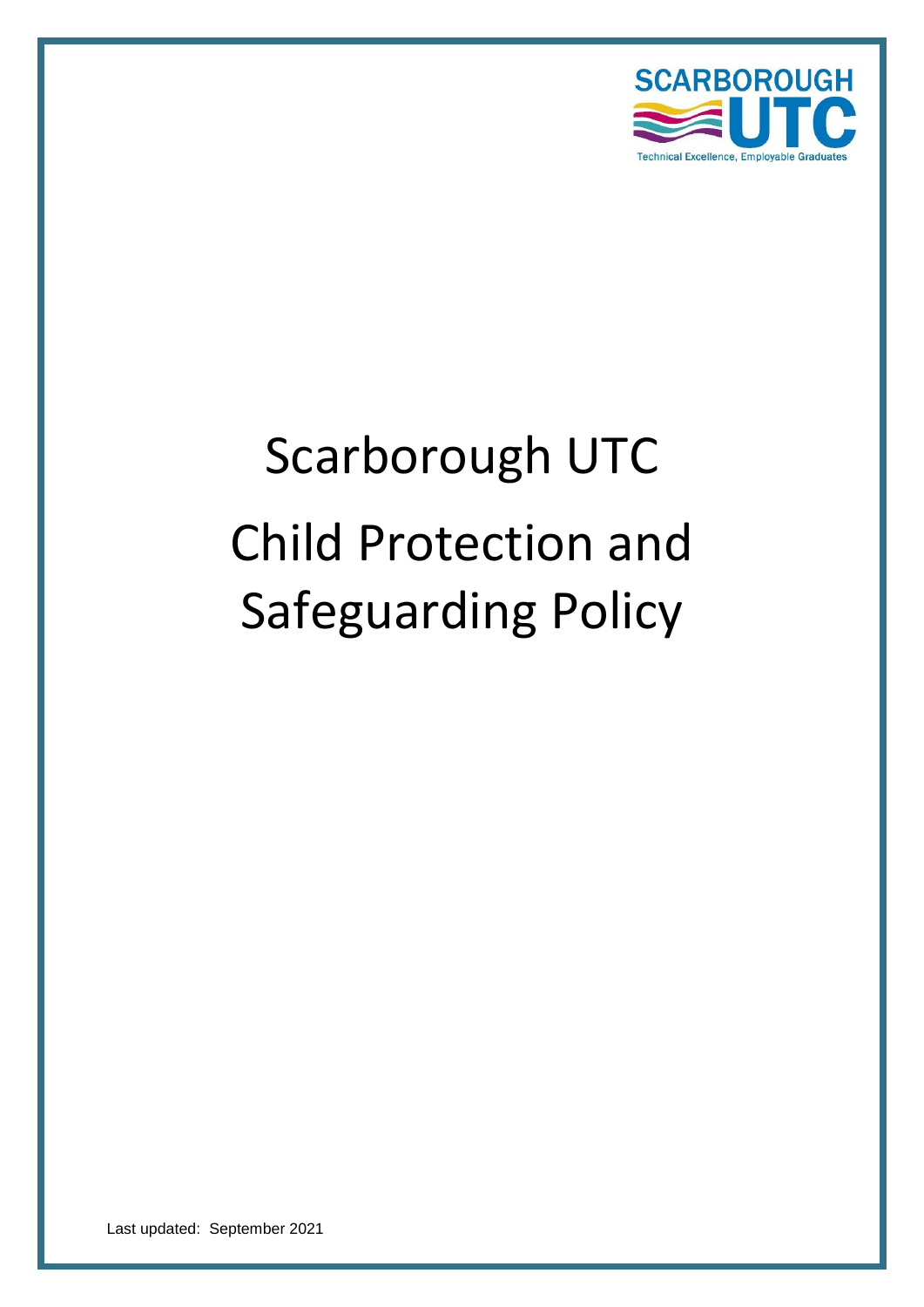

# Scarborough UTC Child Protection and Safeguarding Policy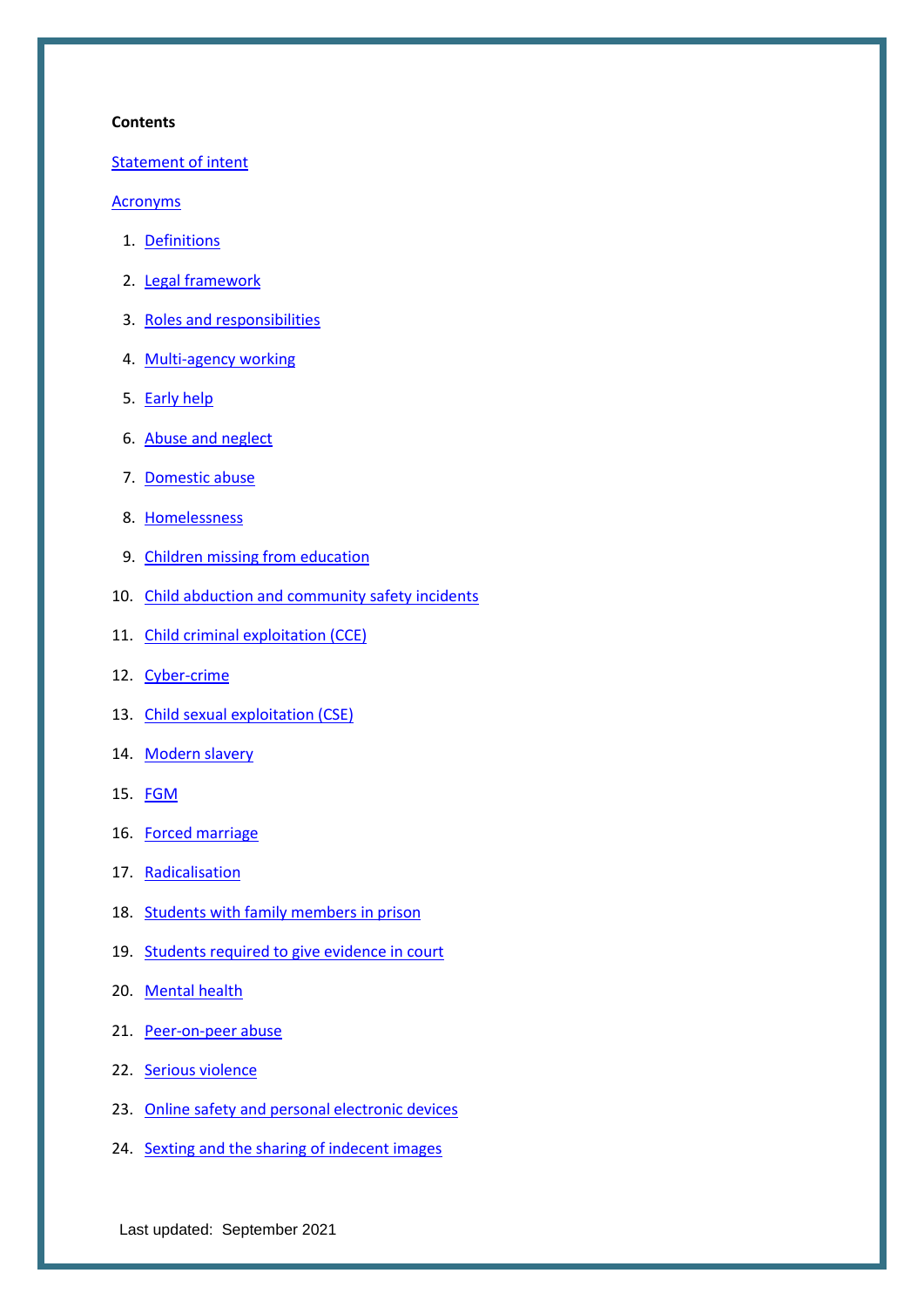#### **Contents**

Statement of intent

#### Acronyms

- 1. [Definitions](#page-7-0)
- 2. [Legal framework](#page-9-0)
- 3. [Roles and responsibilities](#page-10-0)
- 4. [Multi-agency working](#page-17-0)
- 5. [Early help](#page-18-0)
- 6. [Abuse and neglect](#page-19-0)
- 7. [Domestic abuse](#page-20-0)
- 8. [Homelessness](#page-21-0)
- 9. [Children missing from education](#page-21-1)
- 10. [Child abduction and community safety incidents](#page-23-0)
- 11. [Child criminal exploitation \(CCE\)](#page-23-1)
- 12. [Cyber-crime](#page-25-0)
- 13. [Child sexual exploitation \(CSE\)](#page-26-0)
- 14. [Modern slavery](#page-27-0)
- 15. [FGM](#page-27-1)
- 16. [Forced marriage](#page-28-0)
- 17. [Radicalisation](#page-29-0)
- 18. [Students with family members in prison](#page-30-0)
- 19. [Students required to give evidence in court](#page-30-1)
- 20. [Mental health](#page-30-2)
- 21. [Peer-on-peer abuse](#page-31-0)
- 22. [Serious violence](#page-32-0)
- 23. [Online safety and personal electronic devices](#page-33-0)
- 24. [Sexting and the sharing of indecent images](#page-34-0)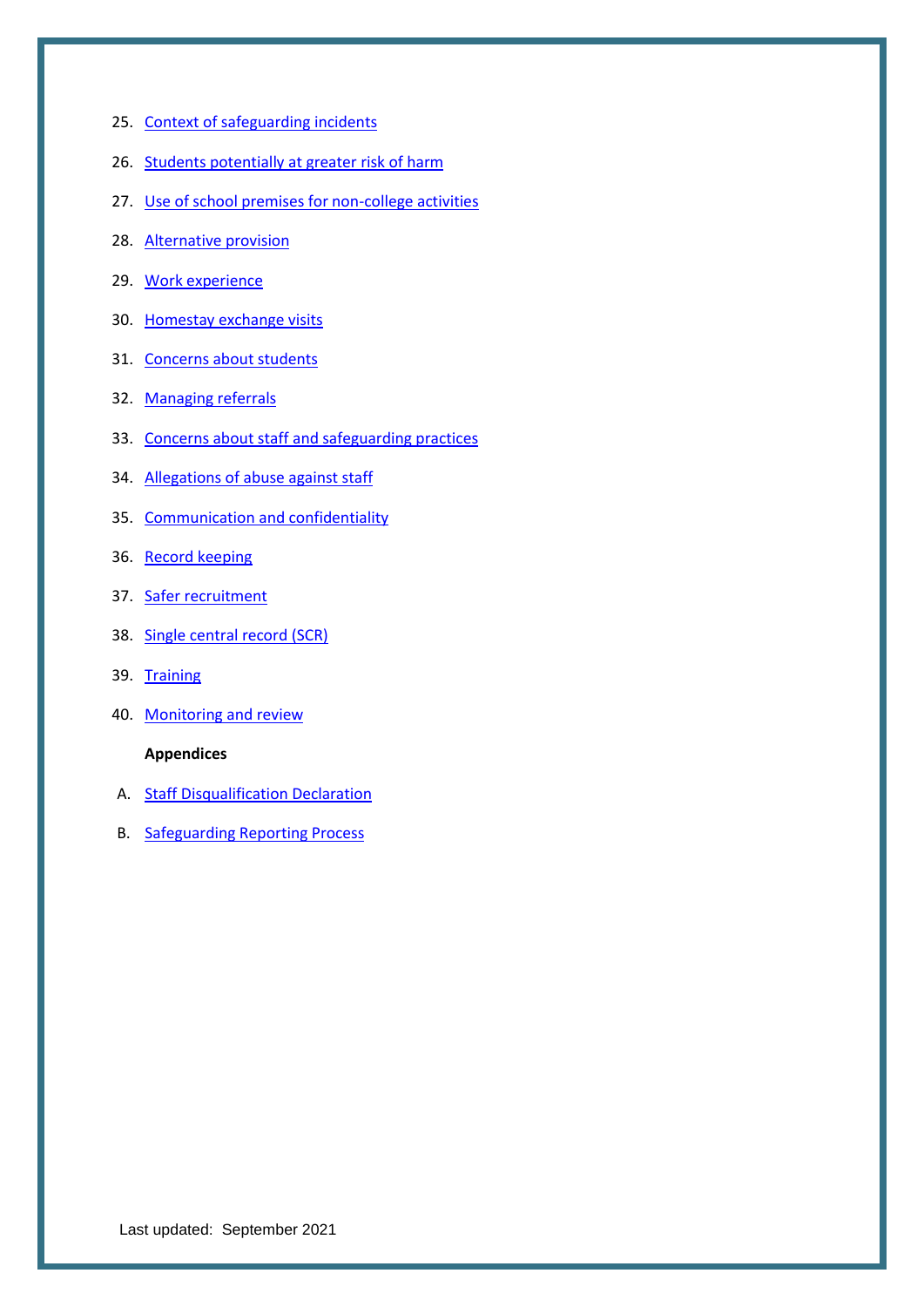- 25. [Context of safeguarding incidents](#page-36-0)
- 26. Students [potentially at greater risk of harm](#page-36-1)
- 27. [Use of school premises for non-college](#page-38-0) activities
- 28. [Alternative provision](#page-38-1)
- 29. [Work experience](#page-38-2)
- 30. [Homestay exchange visits](#page-39-0)
- 31. [Concerns about students](#page-39-1)
- 32. [Managing referrals](#page-40-0)
- 33. [Concerns about staff and safeguarding practices](#page-41-0)
- 34. [Allegations of abuse against staff](#page-41-1)
- 35. [Communication and confidentiality](#page-42-0)
- 36. [Record keeping](#page-42-1)
- 37. [Safer recruitment](#page-43-0)
- 38. [Single central record \(SCR\)](#page-44-0)
- 39. [Training](#page-44-1)
- 40. [Monitoring and review](#page-46-0)

#### **Appendices**

- A. [Staff Disqualification Declaration](#page-46-1)
- B. [Safeguarding Reporting Process](#page-49-0)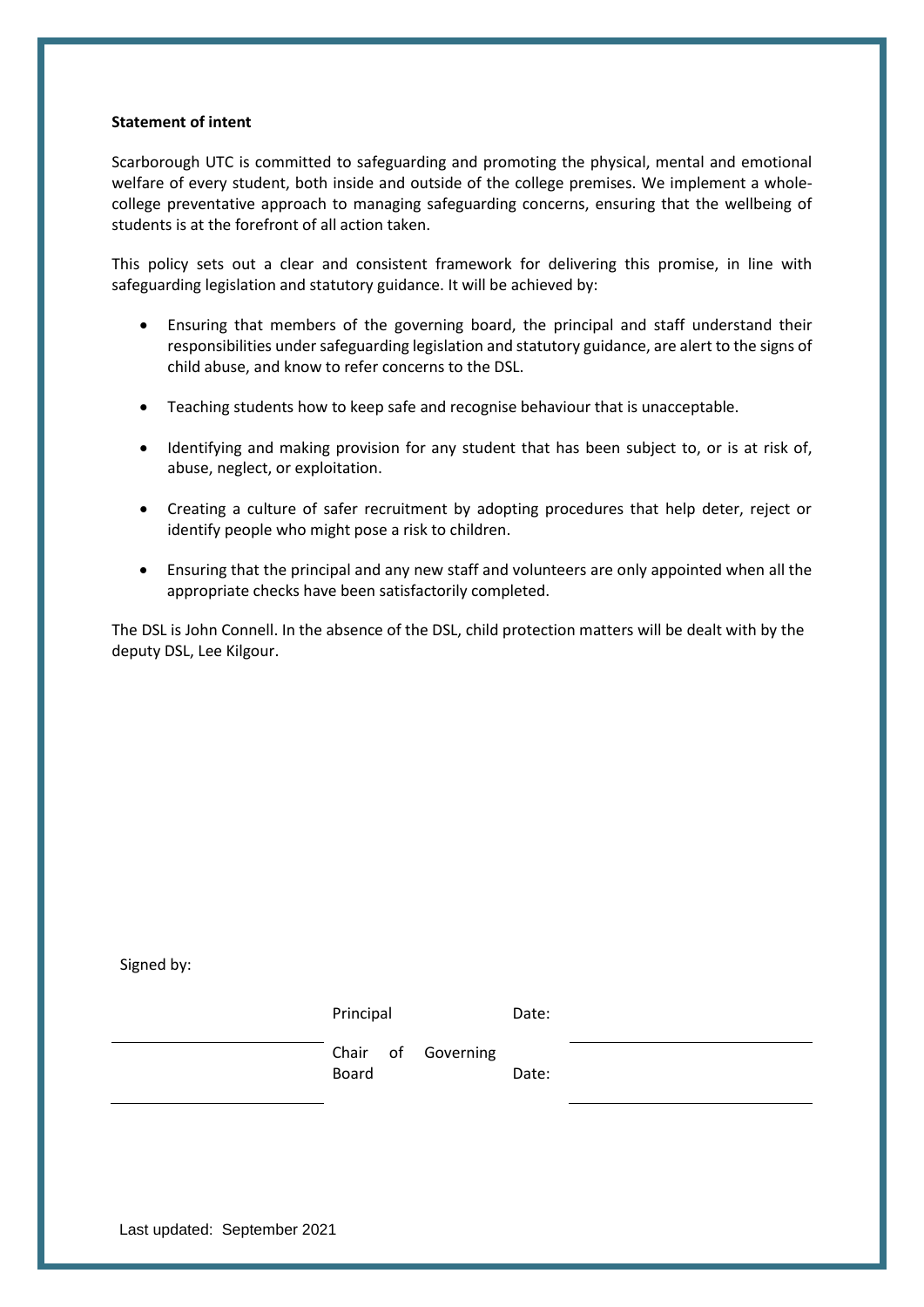#### **Statement of intent**

Scarborough UTC is committed to safeguarding and promoting the physical, mental and emotional welfare of every student, both inside and outside of the college premises. We implement a wholecollege preventative approach to managing safeguarding concerns, ensuring that the wellbeing of students is at the forefront of all action taken.

This policy sets out a clear and consistent framework for delivering this promise, in line with safeguarding legislation and statutory guidance. It will be achieved by:

- Ensuring that members of the governing board, the principal and staff understand their responsibilities under safeguarding legislation and statutory guidance, are alert to the signs of child abuse, and know to refer concerns to the DSL.
- Teaching students how to keep safe and recognise behaviour that is unacceptable.
- Identifying and making provision for any student that has been subject to, or is at risk of, abuse, neglect, or exploitation.
- Creating a culture of safer recruitment by adopting procedures that help deter, reject or identify people who might pose a risk to children.
- Ensuring that the principal and any new staff and volunteers are only appointed when all the appropriate checks have been satisfactorily completed.

The DSL is John Connell. In the absence of the DSL, child protection matters will be dealt with by the deputy DSL, Lee Kilgour.

| 5.511 |                                    |       |
|-------|------------------------------------|-------|
|       | Principal                          | Date: |
|       | Chair of Governing<br><b>Board</b> | Date: |
|       |                                    |       |

Last updated: September 2021

Signed by: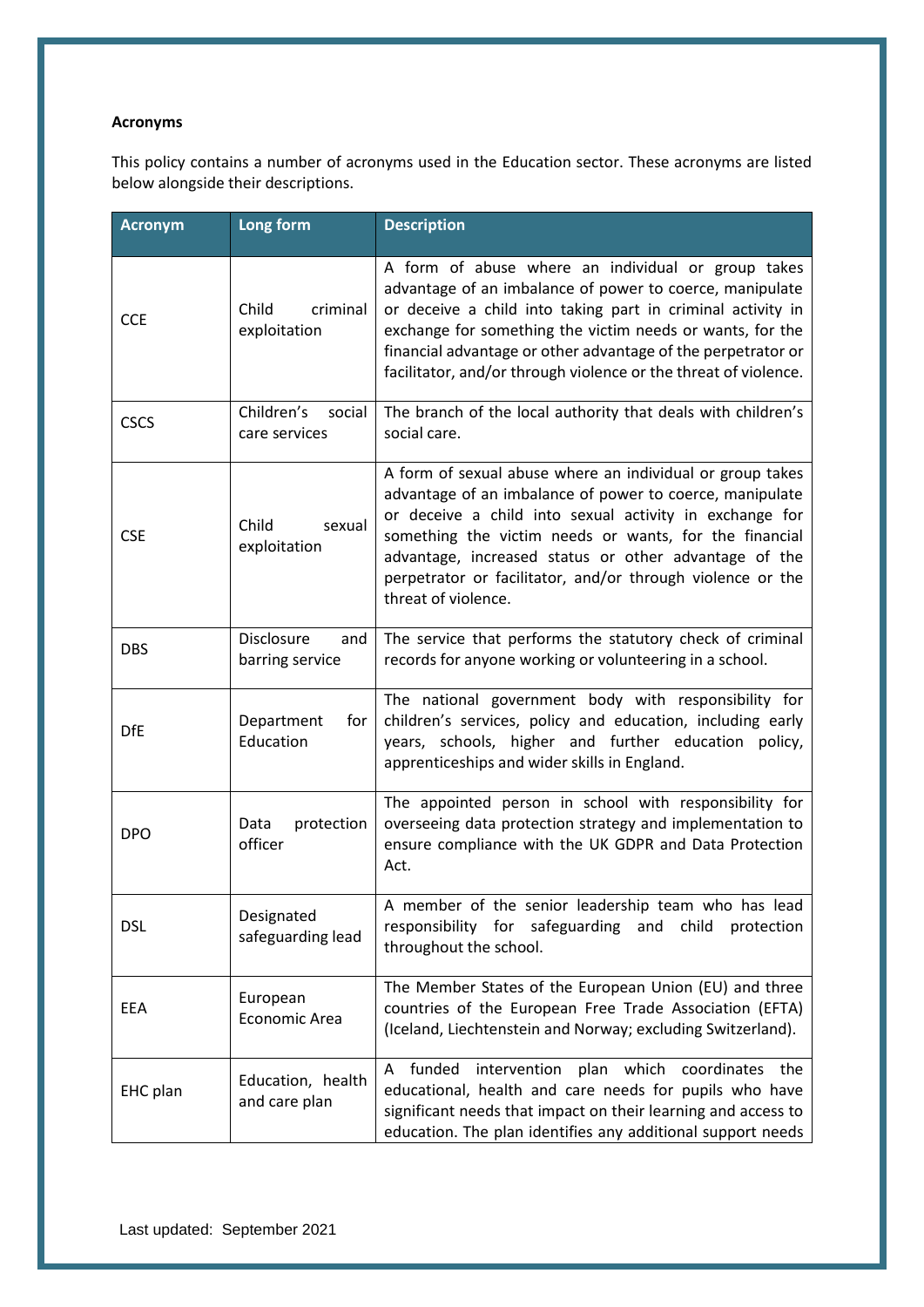#### **Acronyms**

This policy contains a number of acronyms used in the Education sector. These acronyms are listed below alongside their descriptions.

| <b>Acronym</b> | Long form                             | <b>Description</b>                                                                                                                                                                                                                                                                                                                                                                       |
|----------------|---------------------------------------|------------------------------------------------------------------------------------------------------------------------------------------------------------------------------------------------------------------------------------------------------------------------------------------------------------------------------------------------------------------------------------------|
| <b>CCE</b>     | criminal<br>Child<br>exploitation     | A form of abuse where an individual or group takes<br>advantage of an imbalance of power to coerce, manipulate<br>or deceive a child into taking part in criminal activity in<br>exchange for something the victim needs or wants, for the<br>financial advantage or other advantage of the perpetrator or<br>facilitator, and/or through violence or the threat of violence.            |
| <b>CSCS</b>    | Children's<br>social<br>care services | The branch of the local authority that deals with children's<br>social care.                                                                                                                                                                                                                                                                                                             |
| <b>CSE</b>     | Child<br>sexual<br>exploitation       | A form of sexual abuse where an individual or group takes<br>advantage of an imbalance of power to coerce, manipulate<br>or deceive a child into sexual activity in exchange for<br>something the victim needs or wants, for the financial<br>advantage, increased status or other advantage of the<br>perpetrator or facilitator, and/or through violence or the<br>threat of violence. |
| <b>DBS</b>     | Disclosure<br>and<br>barring service  | The service that performs the statutory check of criminal<br>records for anyone working or volunteering in a school.                                                                                                                                                                                                                                                                     |
| <b>DfE</b>     | Department<br>for<br>Education        | The national government body with responsibility for<br>children's services, policy and education, including early<br>years, schools, higher and further education policy,<br>apprenticeships and wider skills in England.                                                                                                                                                               |
| <b>DPO</b>     | protection<br>Data<br>officer         | The appointed person in school with responsibility for<br>overseeing data protection strategy and implementation to<br>ensure compliance with the UK GDPR and Data Protection<br>Act.                                                                                                                                                                                                    |
| <b>DSL</b>     | Designated<br>safeguarding lead       | A member of the senior leadership team who has lead<br>responsibility for safeguarding and child protection<br>throughout the school.                                                                                                                                                                                                                                                    |
| EEA            | European<br>Economic Area             | The Member States of the European Union (EU) and three<br>countries of the European Free Trade Association (EFTA)<br>(Iceland, Liechtenstein and Norway; excluding Switzerland).                                                                                                                                                                                                         |
| EHC plan       | Education, health<br>and care plan    | A funded<br>intervention plan<br>coordinates<br>which<br>the<br>educational, health and care needs for pupils who have<br>significant needs that impact on their learning and access to<br>education. The plan identifies any additional support needs                                                                                                                                   |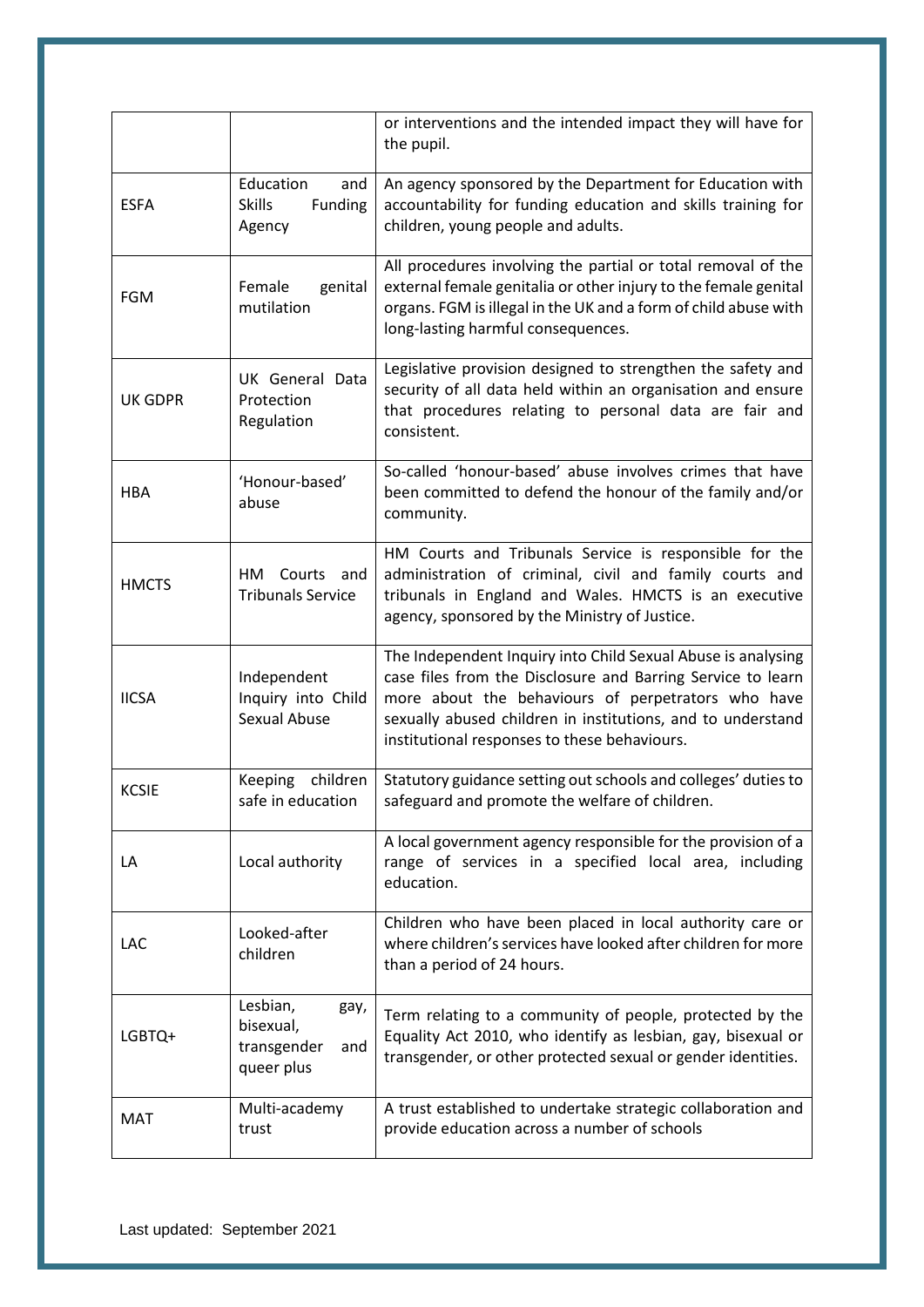|                |                                                                   | or interventions and the intended impact they will have for<br>the pupil.                                                                                                                                                                                                                        |
|----------------|-------------------------------------------------------------------|--------------------------------------------------------------------------------------------------------------------------------------------------------------------------------------------------------------------------------------------------------------------------------------------------|
| <b>ESFA</b>    | Education<br>and<br><b>Skills</b><br>Funding<br>Agency            | An agency sponsored by the Department for Education with<br>accountability for funding education and skills training for<br>children, young people and adults.                                                                                                                                   |
| <b>FGM</b>     | genital<br>Female<br>mutilation                                   | All procedures involving the partial or total removal of the<br>external female genitalia or other injury to the female genital<br>organs. FGM is illegal in the UK and a form of child abuse with<br>long-lasting harmful consequences.                                                         |
| <b>UK GDPR</b> | UK General Data<br>Protection<br>Regulation                       | Legislative provision designed to strengthen the safety and<br>security of all data held within an organisation and ensure<br>that procedures relating to personal data are fair and<br>consistent.                                                                                              |
| <b>HBA</b>     | 'Honour-based'<br>abuse                                           | So-called 'honour-based' abuse involves crimes that have<br>been committed to defend the honour of the family and/or<br>community.                                                                                                                                                               |
| <b>HMCTS</b>   | Courts<br>HM<br>and<br><b>Tribunals Service</b>                   | HM Courts and Tribunals Service is responsible for the<br>administration of criminal, civil and family courts and<br>tribunals in England and Wales. HMCTS is an executive<br>agency, sponsored by the Ministry of Justice.                                                                      |
| <b>IICSA</b>   | Independent<br>Inquiry into Child<br><b>Sexual Abuse</b>          | The Independent Inquiry into Child Sexual Abuse is analysing<br>case files from the Disclosure and Barring Service to learn<br>more about the behaviours of perpetrators who have<br>sexually abused children in institutions, and to understand<br>institutional responses to these behaviours. |
| <b>KCSIE</b>   | Keeping<br>children<br>safe in education                          | Statutory guidance setting out schools and colleges' duties to<br>safeguard and promote the welfare of children.                                                                                                                                                                                 |
| LA             | Local authority                                                   | A local government agency responsible for the provision of a<br>range of services in a specified local area, including<br>education.                                                                                                                                                             |
| LAC            | Looked-after<br>children                                          | Children who have been placed in local authority care or<br>where children's services have looked after children for more<br>than a period of 24 hours.                                                                                                                                          |
| LGBTQ+         | Lesbian,<br>gay,<br>bisexual,<br>transgender<br>and<br>queer plus | Term relating to a community of people, protected by the<br>Equality Act 2010, who identify as lesbian, gay, bisexual or<br>transgender, or other protected sexual or gender identities.                                                                                                         |
| MAT            | Multi-academy<br>trust                                            | A trust established to undertake strategic collaboration and<br>provide education across a number of schools                                                                                                                                                                                     |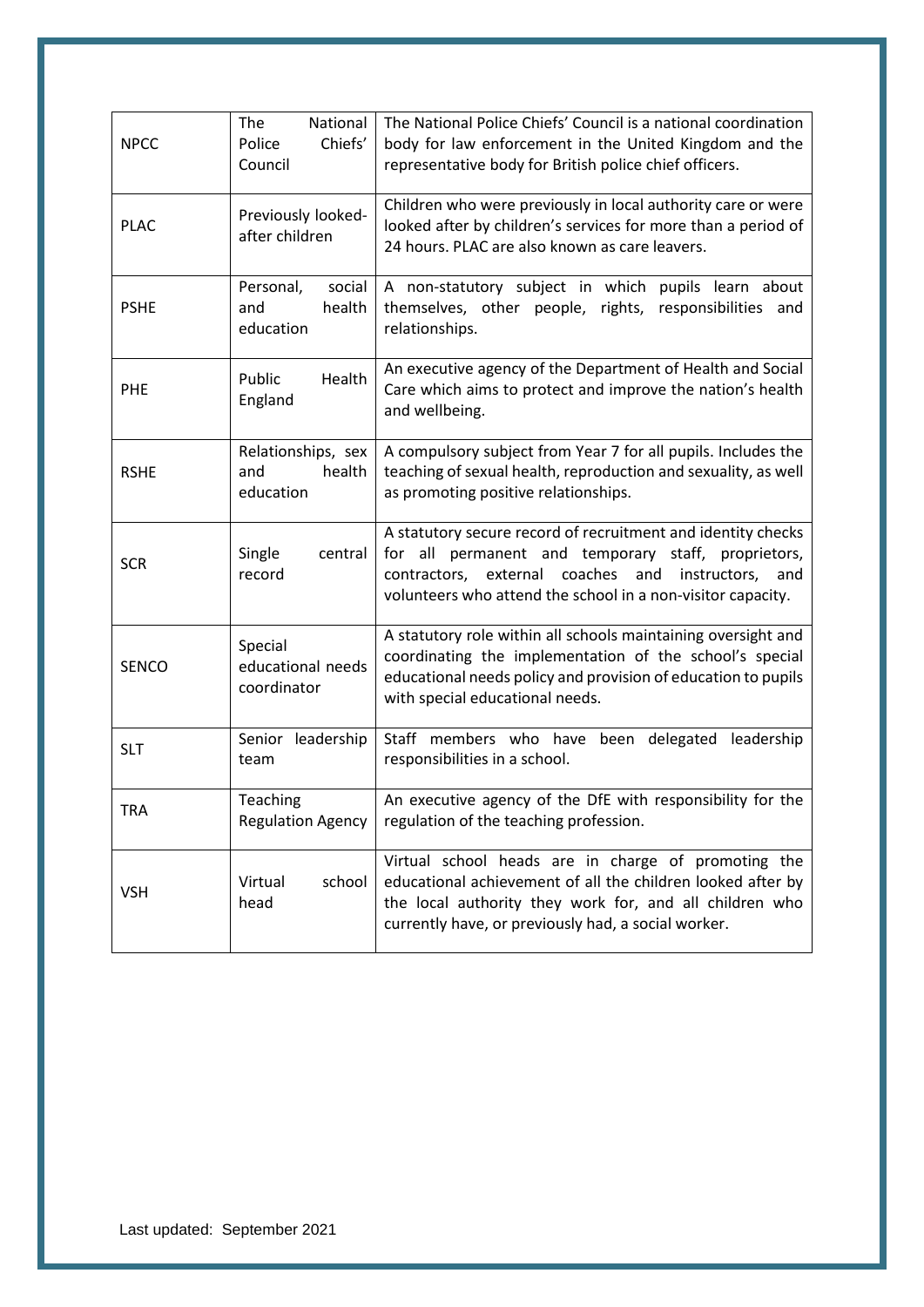| <b>NPCC</b>  | National<br>The<br>Chiefs'<br>Police<br>Council   | The National Police Chiefs' Council is a national coordination<br>body for law enforcement in the United Kingdom and the<br>representative body for British police chief officers.                                                                   |
|--------------|---------------------------------------------------|------------------------------------------------------------------------------------------------------------------------------------------------------------------------------------------------------------------------------------------------------|
| <b>PLAC</b>  | Previously looked-<br>after children              | Children who were previously in local authority care or were<br>looked after by children's services for more than a period of<br>24 hours. PLAC are also known as care leavers.                                                                      |
| <b>PSHE</b>  | Personal,<br>social<br>health<br>and<br>education | A non-statutory subject in which pupils learn about<br>themselves, other people, rights, responsibilities and<br>relationships.                                                                                                                      |
| <b>PHE</b>   | Health<br>Public<br>England                       | An executive agency of the Department of Health and Social<br>Care which aims to protect and improve the nation's health<br>and wellbeing.                                                                                                           |
| <b>RSHE</b>  | Relationships, sex<br>health<br>and<br>education  | A compulsory subject from Year 7 for all pupils. Includes the<br>teaching of sexual health, reproduction and sexuality, as well<br>as promoting positive relationships.                                                                              |
| <b>SCR</b>   | Single<br>central<br>record                       | A statutory secure record of recruitment and identity checks<br>for all permanent and temporary staff, proprietors,<br>external coaches<br>and<br>instructors,<br>contractors,<br>and<br>volunteers who attend the school in a non-visitor capacity. |
| <b>SENCO</b> | Special<br>educational needs<br>coordinator       | A statutory role within all schools maintaining oversight and<br>coordinating the implementation of the school's special<br>educational needs policy and provision of education to pupils<br>with special educational needs.                         |
| <b>SLT</b>   | Senior leadership<br>team                         | Staff members who have been delegated leadership<br>responsibilities in a school.                                                                                                                                                                    |
| TRA          | Teaching<br><b>Regulation Agency</b>              | An executive agency of the DfE with responsibility for the<br>regulation of the teaching profession.                                                                                                                                                 |
| <b>VSH</b>   | school<br>Virtual<br>head                         | Virtual school heads are in charge of promoting the<br>educational achievement of all the children looked after by<br>the local authority they work for, and all children who<br>currently have, or previously had, a social worker.                 |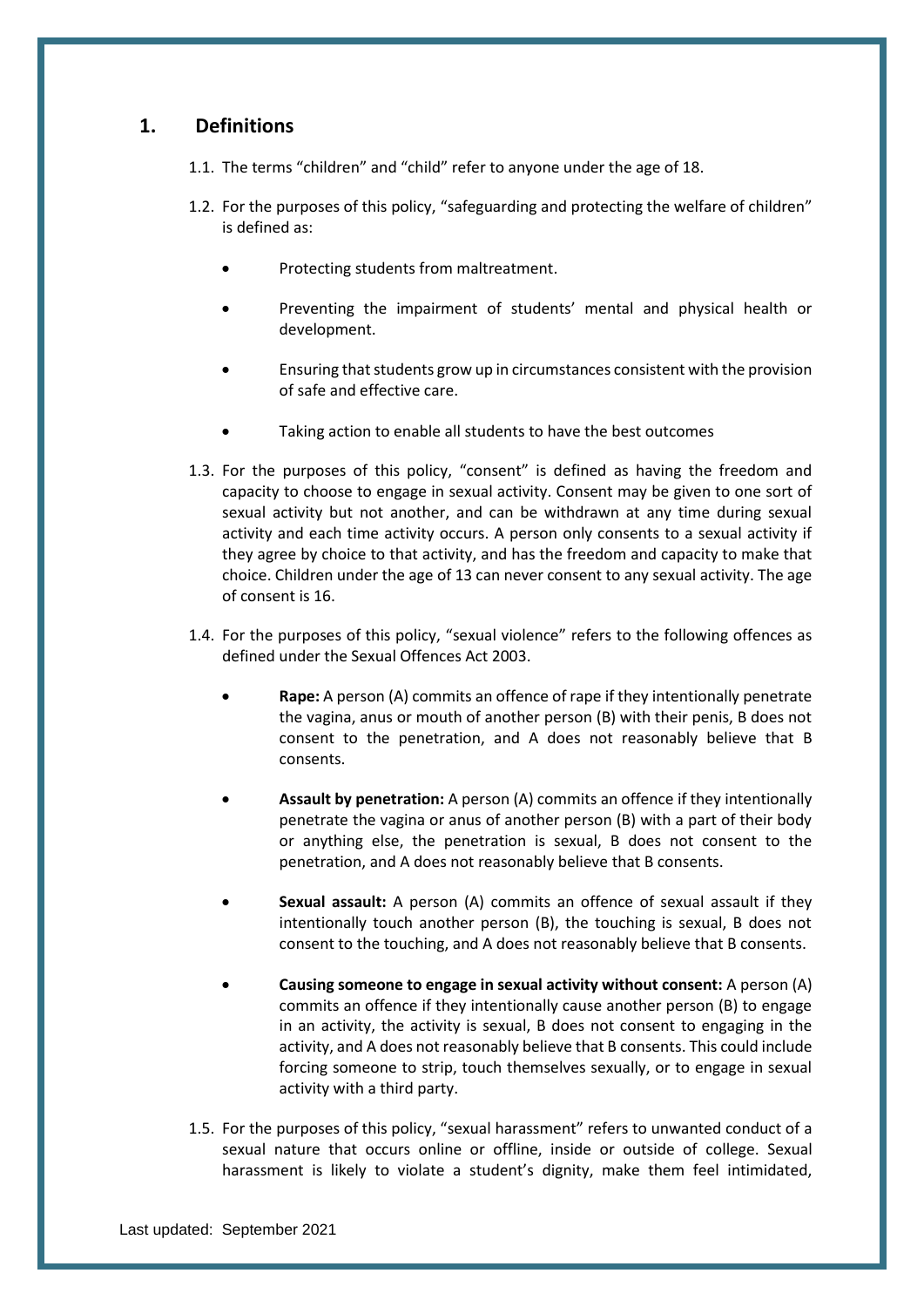## <span id="page-7-0"></span>**1. Definitions**

- 1.1. The terms "children" and "child" refer to anyone under the age of 18.
- 1.2. For the purposes of this policy, "safeguarding and protecting the welfare of children" is defined as:
	- Protecting students from maltreatment.
	- Preventing the impairment of students' mental and physical health or development.
	- Ensuring that students grow up in circumstances consistent with the provision of safe and effective care.
	- Taking action to enable all students to have the best outcomes
- 1.3. For the purposes of this policy, "consent" is defined as having the freedom and capacity to choose to engage in sexual activity. Consent may be given to one sort of sexual activity but not another, and can be withdrawn at any time during sexual activity and each time activity occurs. A person only consents to a sexual activity if they agree by choice to that activity, and has the freedom and capacity to make that choice. Children under the age of 13 can never consent to any sexual activity. The age of consent is 16.
- 1.4. For the purposes of this policy, "sexual violence" refers to the following offences as defined under the Sexual Offences Act 2003.
	- **Rape:** A person (A) commits an offence of rape if they intentionally penetrate the vagina, anus or mouth of another person (B) with their penis, B does not consent to the penetration, and A does not reasonably believe that B consents.
	- **Assault by penetration:** A person (A) commits an offence if they intentionally penetrate the vagina or anus of another person (B) with a part of their body or anything else, the penetration is sexual, B does not consent to the penetration, and A does not reasonably believe that B consents.
	- **Sexual assault:** A person (A) commits an offence of sexual assault if they intentionally touch another person (B), the touching is sexual, B does not consent to the touching, and A does not reasonably believe that B consents.
	- **Causing someone to engage in sexual activity without consent:** A person (A) commits an offence if they intentionally cause another person (B) to engage in an activity, the activity is sexual, B does not consent to engaging in the activity, and A does not reasonably believe that B consents. This could include forcing someone to strip, touch themselves sexually, or to engage in sexual activity with a third party.
- 1.5. For the purposes of this policy, "sexual harassment" refers to unwanted conduct of a sexual nature that occurs online or offline, inside or outside of college. Sexual harassment is likely to violate a student's dignity, make them feel intimidated,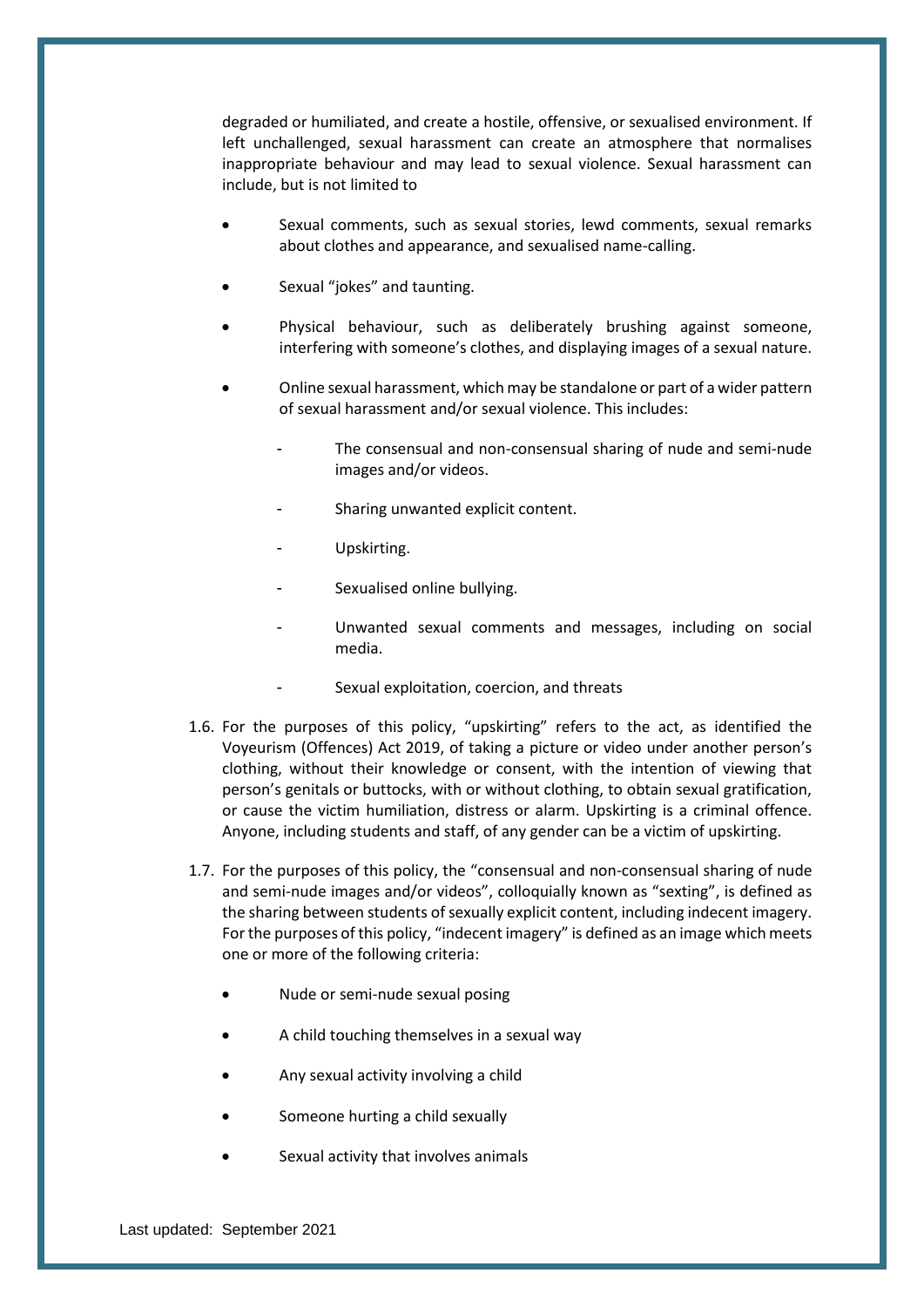degraded or humiliated, and create a hostile, offensive, or sexualised environment. If left unchallenged, sexual harassment can create an atmosphere that normalises inappropriate behaviour and may lead to sexual violence. Sexual harassment can include, but is not limited to

- Sexual comments, such as sexual stories, lewd comments, sexual remarks about clothes and appearance, and sexualised name-calling.
- Sexual "jokes" and taunting.
- Physical behaviour, such as deliberately brushing against someone, interfering with someone's clothes, and displaying images of a sexual nature.
- Online sexual harassment, which may be standalone or part of a wider pattern of sexual harassment and/or sexual violence. This includes:
	- The consensual and non-consensual sharing of nude and semi-nude images and/or videos.
	- Sharing unwanted explicit content.
	- Upskirting.
	- Sexualised online bullying.
	- Unwanted sexual comments and messages, including on social media.
	- Sexual exploitation, coercion, and threats
- 1.6. For the purposes of this policy, "upskirting" refers to the act, as identified the Voyeurism (Offences) Act 2019, of taking a picture or video under another person's clothing, without their knowledge or consent, with the intention of viewing that person's genitals or buttocks, with or without clothing, to obtain sexual gratification, or cause the victim humiliation, distress or alarm. Upskirting is a criminal offence. Anyone, including students and staff, of any gender can be a victim of upskirting.
- 1.7. For the purposes of this policy, the "consensual and non-consensual sharing of nude and semi-nude images and/or videos", colloquially known as "sexting", is defined as the sharing between students of sexually explicit content, including indecent imagery. For the purposes of this policy, "indecent imagery" is defined as an image which meets one or more of the following criteria:
	- Nude or semi-nude sexual posing
	- A child touching themselves in a sexual way
	- Any sexual activity involving a child
	- Someone hurting a child sexually
	- Sexual activity that involves animals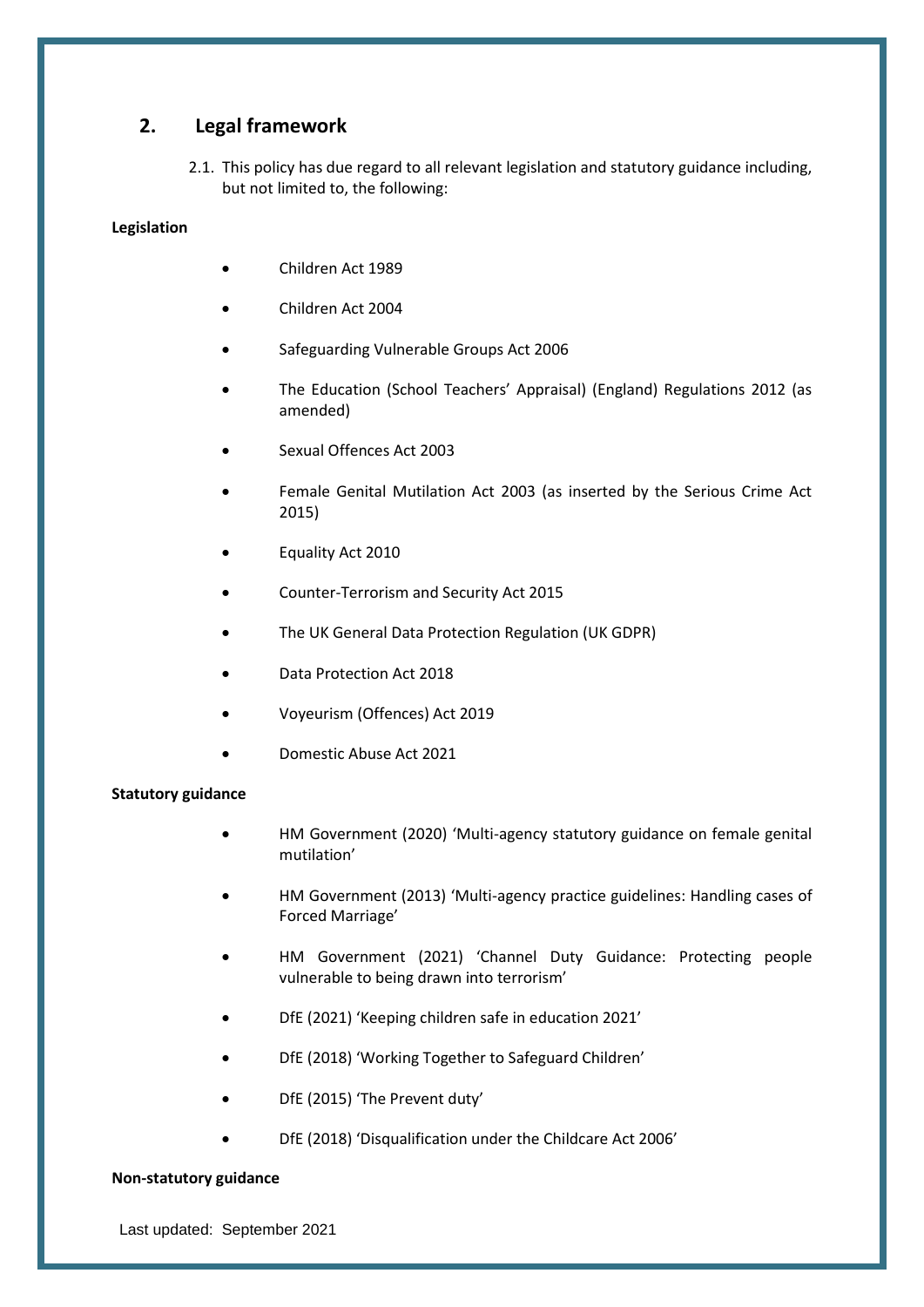## <span id="page-9-0"></span>**2. Legal framework**

2.1. This policy has due regard to all relevant legislation and statutory guidance including, but not limited to, the following:

## **Legislation**

- Children Act 1989
- Children Act 2004
- Safeguarding Vulnerable Groups Act 2006
- The Education (School Teachers' Appraisal) (England) Regulations 2012 (as amended)
- Sexual Offences Act 2003
- Female Genital Mutilation Act 2003 (as inserted by the Serious Crime Act 2015)
- Equality Act 2010
- Counter-Terrorism and Security Act 2015
- The UK General Data Protection Regulation (UK GDPR)
- Data Protection Act 2018
- Voyeurism (Offences) Act 2019
- Domestic Abuse Act 2021

#### **Statutory guidance**

- HM Government (2020) 'Multi-agency statutory guidance on female genital mutilation'
- HM Government (2013) 'Multi-agency practice guidelines: Handling cases of Forced Marriage'
- HM Government (2021) 'Channel Duty Guidance: Protecting people vulnerable to being drawn into terrorism'
- DfE (2021) 'Keeping children safe in education 2021'
- DfE (2018) 'Working Together to Safeguard Children'
- DfE (2015) 'The Prevent duty'
- DfE (2018) 'Disqualification under the Childcare Act 2006'

#### **Non-statutory guidance**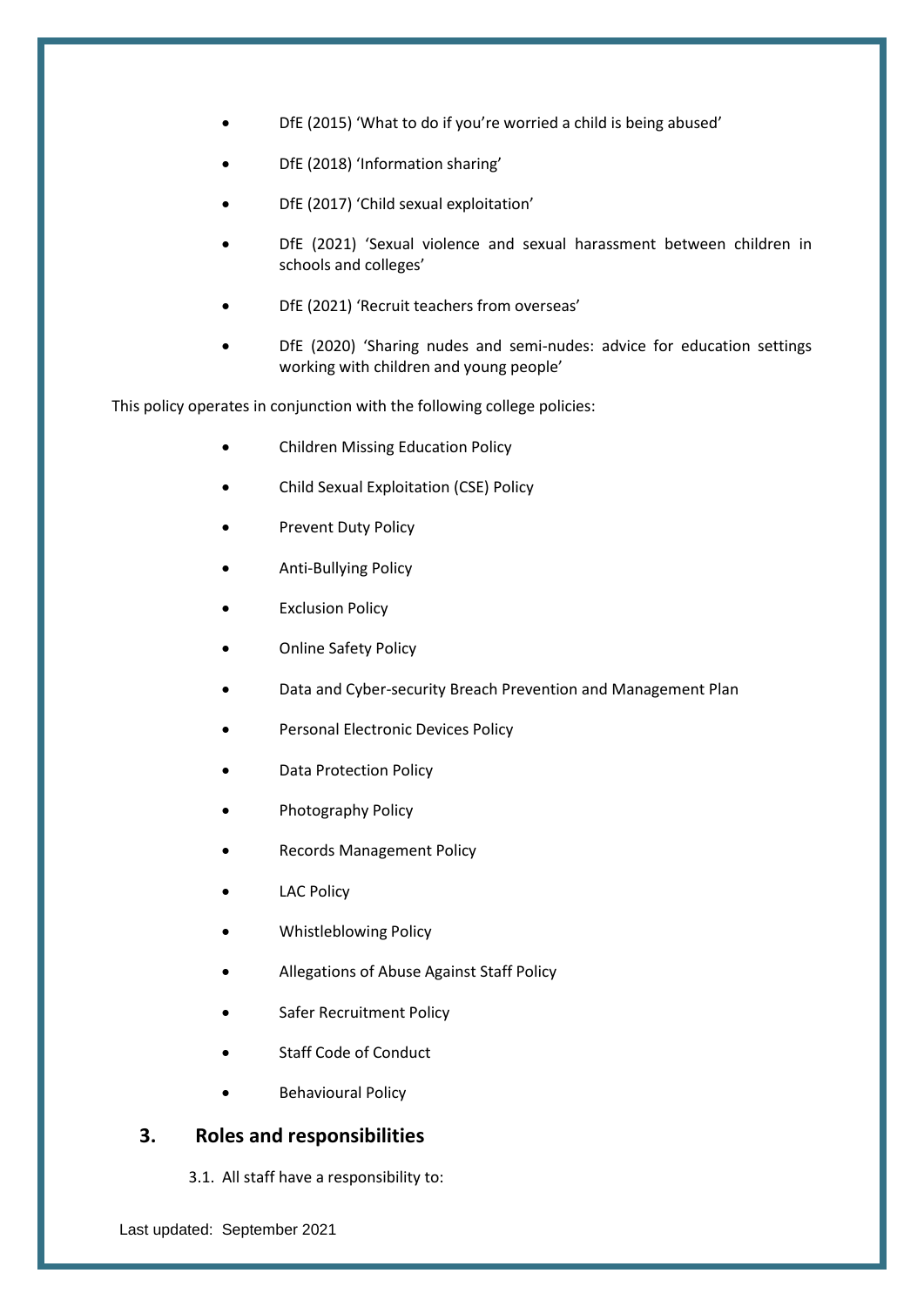- DfE (2015) 'What to do if you're worried a child is being abused'
- DfE (2018) 'Information sharing'
- DfE (2017) 'Child sexual exploitation'
- DfE (2021) 'Sexual violence and sexual harassment between children in schools and colleges'
- DfE (2021) 'Recruit teachers from overseas'
- DfE (2020) 'Sharing nudes and semi-nudes: advice for education settings working with children and young people'

This policy operates in conjunction with the following college policies:

- Children Missing Education Policy
- Child Sexual Exploitation (CSE) Policy
- Prevent Duty Policy
- Anti-Bullying Policy
- **Exclusion Policy**
- Online Safety Policy
- Data and Cyber-security Breach Prevention and Management Plan
- Personal Electronic Devices Policy
- Data Protection Policy
- Photography Policy
- Records Management Policy
- **LAC Policy**
- Whistleblowing Policy
- Allegations of Abuse Against Staff Policy
- Safer Recruitment Policy
- Staff Code of Conduct
- Behavioural Policy

## <span id="page-10-0"></span>**3. Roles and responsibilities**

3.1. All staff have a responsibility to: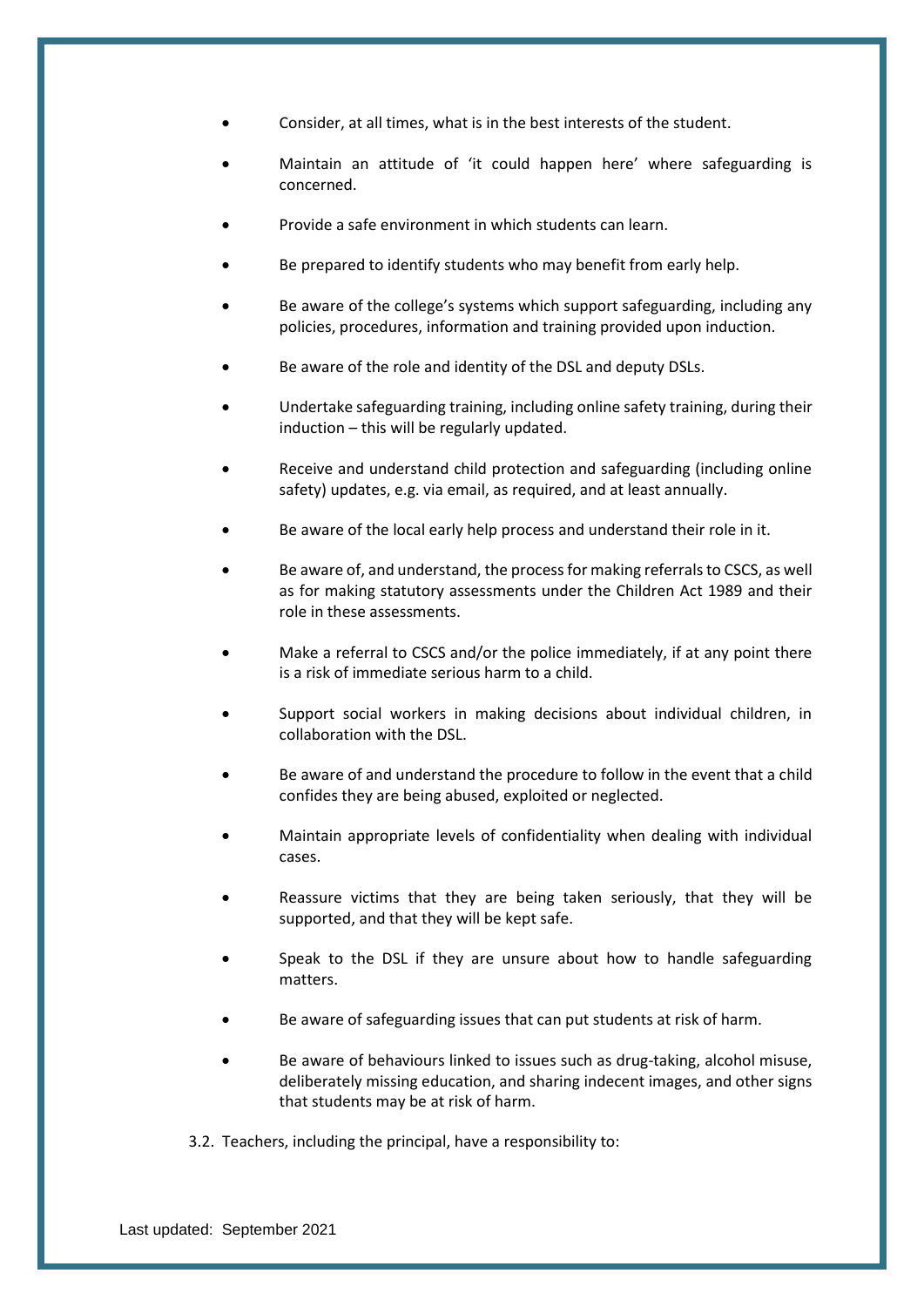- Consider, at all times, what is in the best interests of the student.
- Maintain an attitude of 'it could happen here' where safeguarding is concerned.
- Provide a safe environment in which students can learn.
- Be prepared to identify students who may benefit from early help.
- Be aware of the college's systems which support safeguarding, including any policies, procedures, information and training provided upon induction.
- Be aware of the role and identity of the DSL and deputy DSLs.
- Undertake safeguarding training, including online safety training, during their induction – this will be regularly updated.
- Receive and understand child protection and safeguarding (including online safety) updates, e.g. via email, as required, and at least annually.
- Be aware of the local early help process and understand their role in it.
- Be aware of, and understand, the process for making referrals to CSCS, as well as for making statutory assessments under the Children Act 1989 and their role in these assessments.
- Make a referral to CSCS and/or the police immediately, if at any point there is a risk of immediate serious harm to a child.
- Support social workers in making decisions about individual children, in collaboration with the DSL.
- Be aware of and understand the procedure to follow in the event that a child confides they are being abused, exploited or neglected.
- Maintain appropriate levels of confidentiality when dealing with individual cases.
- Reassure victims that they are being taken seriously, that they will be supported, and that they will be kept safe.
- Speak to the DSL if they are unsure about how to handle safeguarding matters.
- Be aware of safeguarding issues that can put students at risk of harm.
- Be aware of behaviours linked to issues such as drug-taking, alcohol misuse, deliberately missing education, and sharing indecent images, and other signs that students may be at risk of harm.
- 3.2. Teachers, including the principal, have a responsibility to: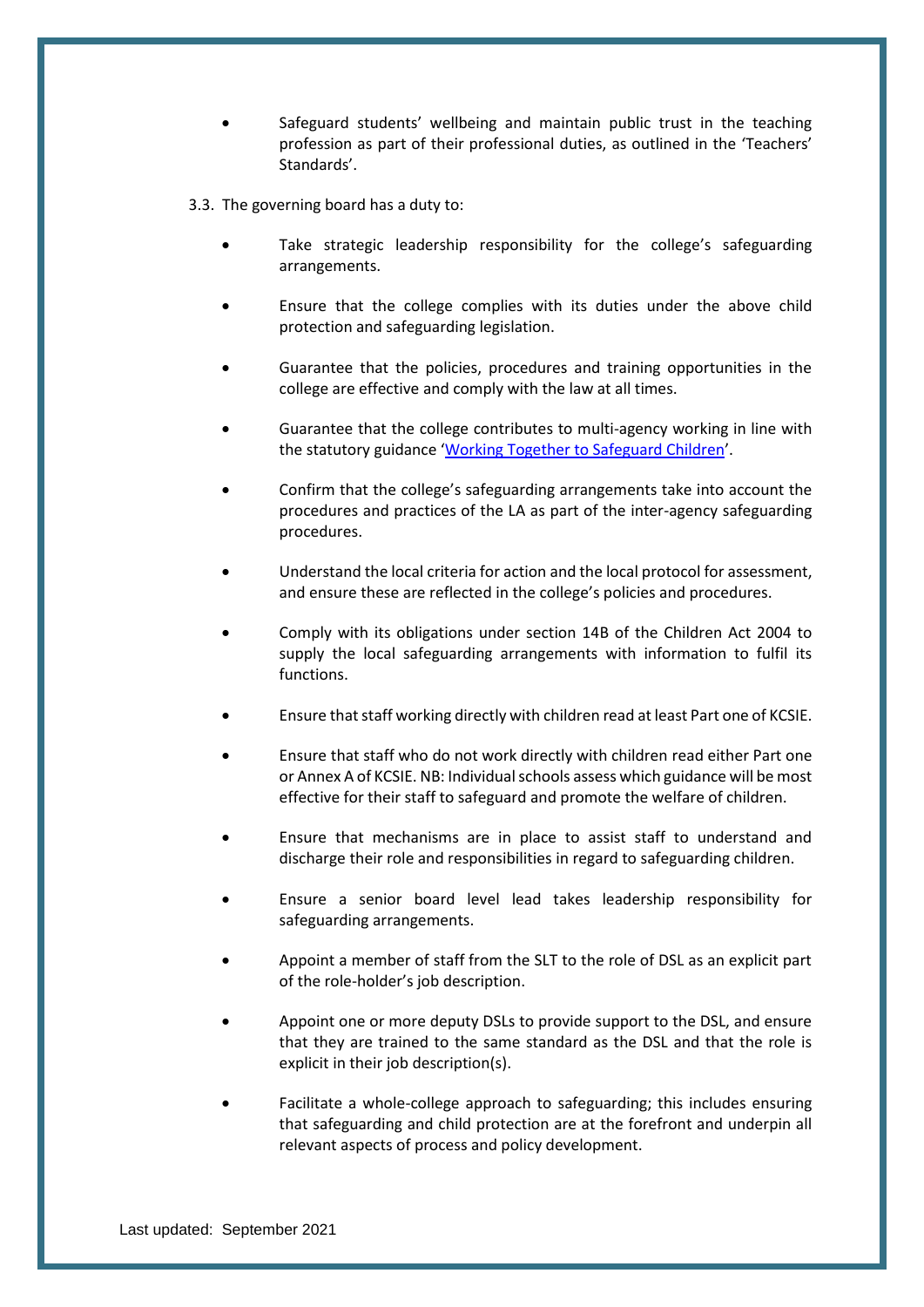Safeguard students' wellbeing and maintain public trust in the teaching profession as part of their professional duties, as outlined in the 'Teachers' Standards'.

3.3. The governing board has a duty to:

- Take strategic leadership responsibility for the college's safeguarding arrangements.
- Ensure that the college complies with its duties under the above child protection and safeguarding legislation.
- Guarantee that the policies, procedures and training opportunities in the college are effective and comply with the law at all times.
- Guarantee that the college contributes to multi-agency working in line with the statutory guidance '[Working Together to Safeguard Children](https://www.gov.uk/government/publications/working-together-to-safeguard-children--2)'.
- Confirm that the college's safeguarding arrangements take into account the procedures and practices of the LA as part of the inter-agency safeguarding procedures.
- Understand the local criteria for action and the local protocol for assessment. and ensure these are reflected in the college's policies and procedures.
- Comply with its obligations under section 14B of the Children Act 2004 to supply the local safeguarding arrangements with information to fulfil its functions.
- Ensure that staff working directly with children read at least Part one of KCSIE.
- Ensure that staff who do not work directly with children read either Part one or Annex A of KCSIE. NB: Individual schools assess which guidance will be most effective for their staff to safeguard and promote the welfare of children.
- Ensure that mechanisms are in place to assist staff to understand and discharge their role and responsibilities in regard to safeguarding children.
- Ensure a senior board level lead takes leadership responsibility for safeguarding arrangements.
- Appoint a member of staff from the SLT to the role of DSL as an explicit part of the role-holder's job description.
- Appoint one or more deputy DSLs to provide support to the DSL, and ensure that they are trained to the same standard as the DSL and that the role is explicit in their job description(s).
- Facilitate a whole-college approach to safeguarding; this includes ensuring that safeguarding and child protection are at the forefront and underpin all relevant aspects of process and policy development.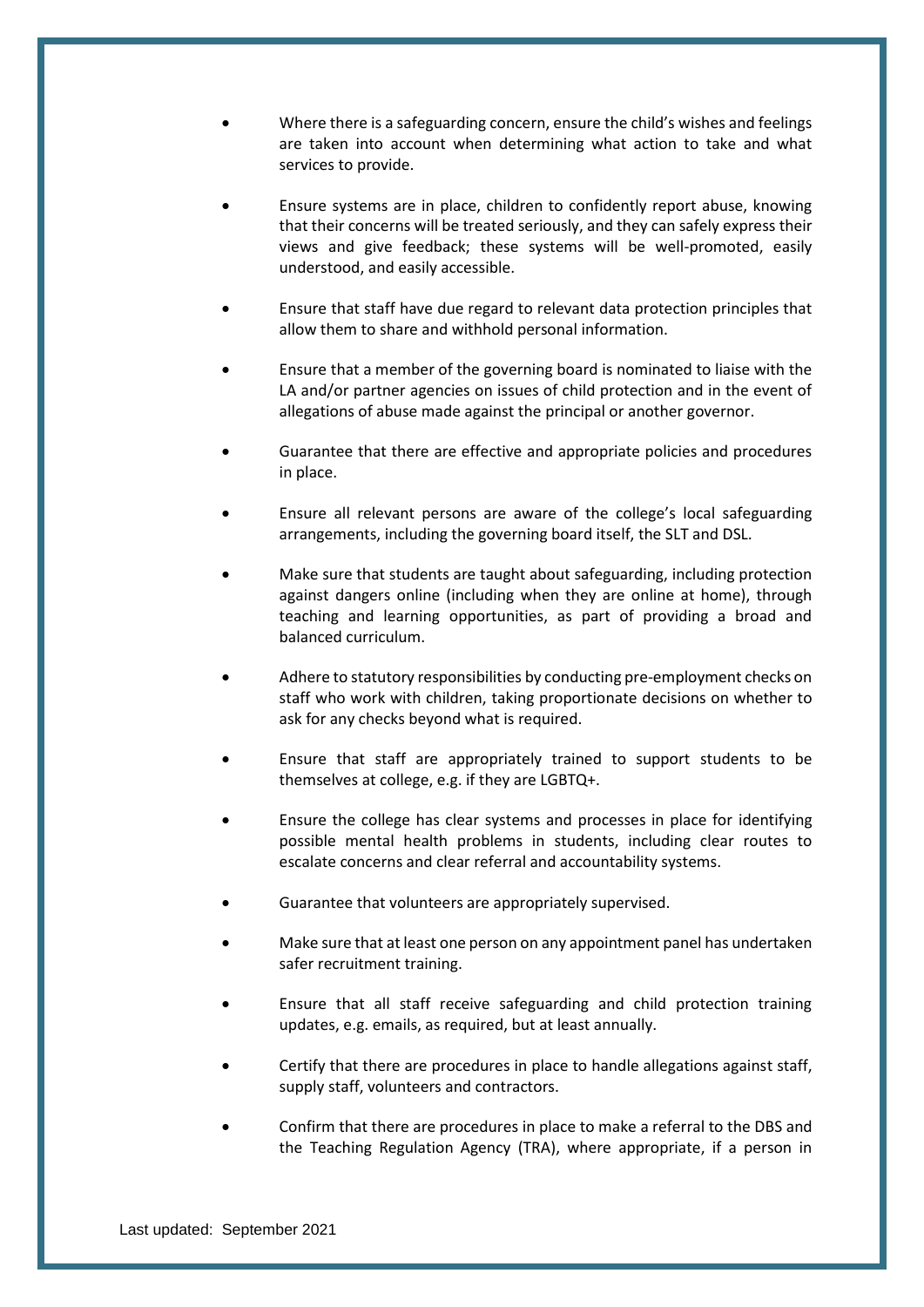- Where there is a safeguarding concern, ensure the child's wishes and feelings are taken into account when determining what action to take and what services to provide.
- Ensure systems are in place, children to confidently report abuse, knowing that their concerns will be treated seriously, and they can safely express their views and give feedback; these systems will be well-promoted, easily understood, and easily accessible.
- Ensure that staff have due regard to relevant data protection principles that allow them to share and withhold personal information.
- Ensure that a member of the governing board is nominated to liaise with the LA and/or partner agencies on issues of child protection and in the event of allegations of abuse made against the principal or another governor.
- Guarantee that there are effective and appropriate policies and procedures in place.
- Ensure all relevant persons are aware of the college's local safeguarding arrangements, including the governing board itself, the SLT and DSL.
- Make sure that students are taught about safeguarding, including protection against dangers online (including when they are online at home), through teaching and learning opportunities, as part of providing a broad and balanced curriculum.
- Adhere to statutory responsibilities by conducting pre-employment checks on staff who work with children, taking proportionate decisions on whether to ask for any checks beyond what is required.
- Ensure that staff are appropriately trained to support students to be themselves at college, e.g. if they are LGBTQ+.
- Ensure the college has clear systems and processes in place for identifying possible mental health problems in students, including clear routes to escalate concerns and clear referral and accountability systems.
- Guarantee that volunteers are appropriately supervised.
- Make sure that at least one person on any appointment panel has undertaken safer recruitment training.
- Ensure that all staff receive safeguarding and child protection training updates, e.g. emails, as required, but at least annually.
- Certify that there are procedures in place to handle allegations against staff, supply staff, volunteers and contractors.
- Confirm that there are procedures in place to make a referral to the DBS and the Teaching Regulation Agency (TRA), where appropriate, if a person in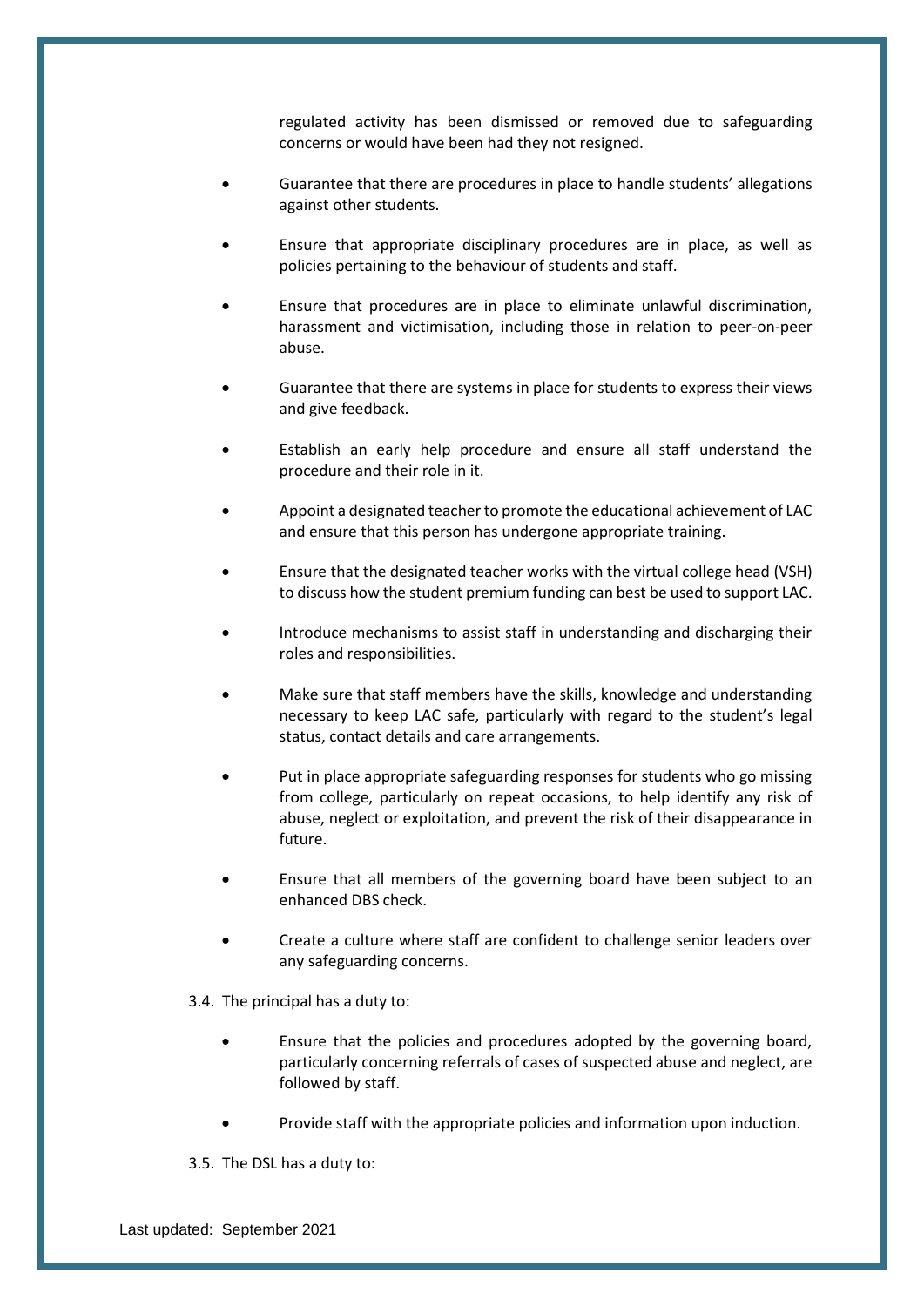regulated activity has been dismissed or removed due to safeguarding concerns or would have been had they not resigned.

- Guarantee that there are procedures in place to handle students' allegations against other students.
- Ensure that appropriate disciplinary procedures are in place, as well as policies pertaining to the behaviour of students and staff.
- Ensure that procedures are in place to eliminate unlawful discrimination, harassment and victimisation, including those in relation to peer-on-peer abuse.
- Guarantee that there are systems in place for students to express their views and give feedback.
- Establish an early help procedure and ensure all staff understand the procedure and their role in it.
- Appoint a designated teacher to promote the educational achievement of LAC and ensure that this person has undergone appropriate training.
- Ensure that the designated teacher works with the virtual college head (VSH) to discuss how the student premium funding can best be used to support LAC.
- Introduce mechanisms to assist staff in understanding and discharging their roles and responsibilities.
- Make sure that staff members have the skills, knowledge and understanding necessary to keep LAC safe, particularly with regard to the student's legal status, contact details and care arrangements.
- Put in place appropriate safeguarding responses for students who go missing from college, particularly on repeat occasions, to help identify any risk of abuse, neglect or exploitation, and prevent the risk of their disappearance in future.
- Ensure that all members of the governing board have been subject to an enhanced DBS check.
- Create a culture where staff are confident to challenge senior leaders over any safeguarding concerns.
- 3.4. The principal has a duty to:
	- Ensure that the policies and procedures adopted by the governing board, particularly concerning referrals of cases of suspected abuse and neglect, are followed by staff.
	- Provide staff with the appropriate policies and information upon induction.
- 3.5. The DSL has a duty to: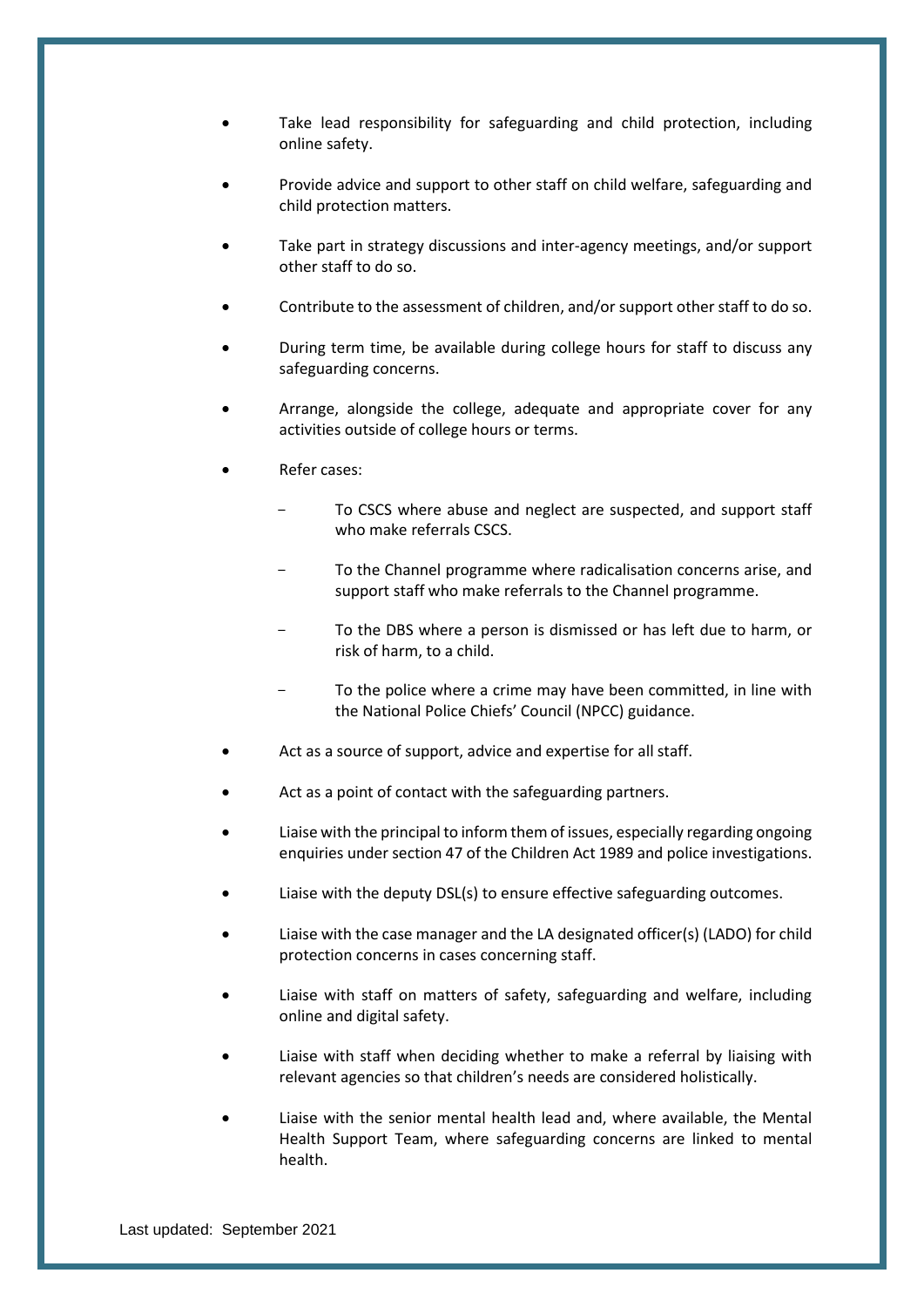- Take lead responsibility for safeguarding and child protection, including online safety.
- Provide advice and support to other staff on child welfare, safeguarding and child protection matters.
- Take part in strategy discussions and inter-agency meetings, and/or support other staff to do so.
- Contribute to the assessment of children, and/or support other staff to do so.
- During term time, be available during college hours for staff to discuss any safeguarding concerns.
- Arrange, alongside the college, adequate and appropriate cover for any activities outside of college hours or terms.
- Refer cases:
	- To CSCS where abuse and neglect are suspected, and support staff who make referrals CSCS.
	- To the Channel programme where radicalisation concerns arise, and support staff who make referrals to the Channel programme.
	- To the DBS where a person is dismissed or has left due to harm, or risk of harm, to a child.
	- To the police where a crime may have been committed, in line with the National Police Chiefs' Council (NPCC) guidance.
- Act as a source of support, advice and expertise for all staff.
- Act as a point of contact with the safeguarding partners.
- Liaise with the principal to inform them of issues, especially regarding ongoing enquiries under section 47 of the Children Act 1989 and police investigations.
- Liaise with the deputy DSL(s) to ensure effective safeguarding outcomes.
- Liaise with the case manager and the LA designated officer(s) (LADO) for child protection concerns in cases concerning staff.
- Liaise with staff on matters of safety, safeguarding and welfare, including online and digital safety.
- Liaise with staff when deciding whether to make a referral by liaising with relevant agencies so that children's needs are considered holistically.
- Liaise with the senior mental health lead and, where available, the Mental Health Support Team, where safeguarding concerns are linked to mental health.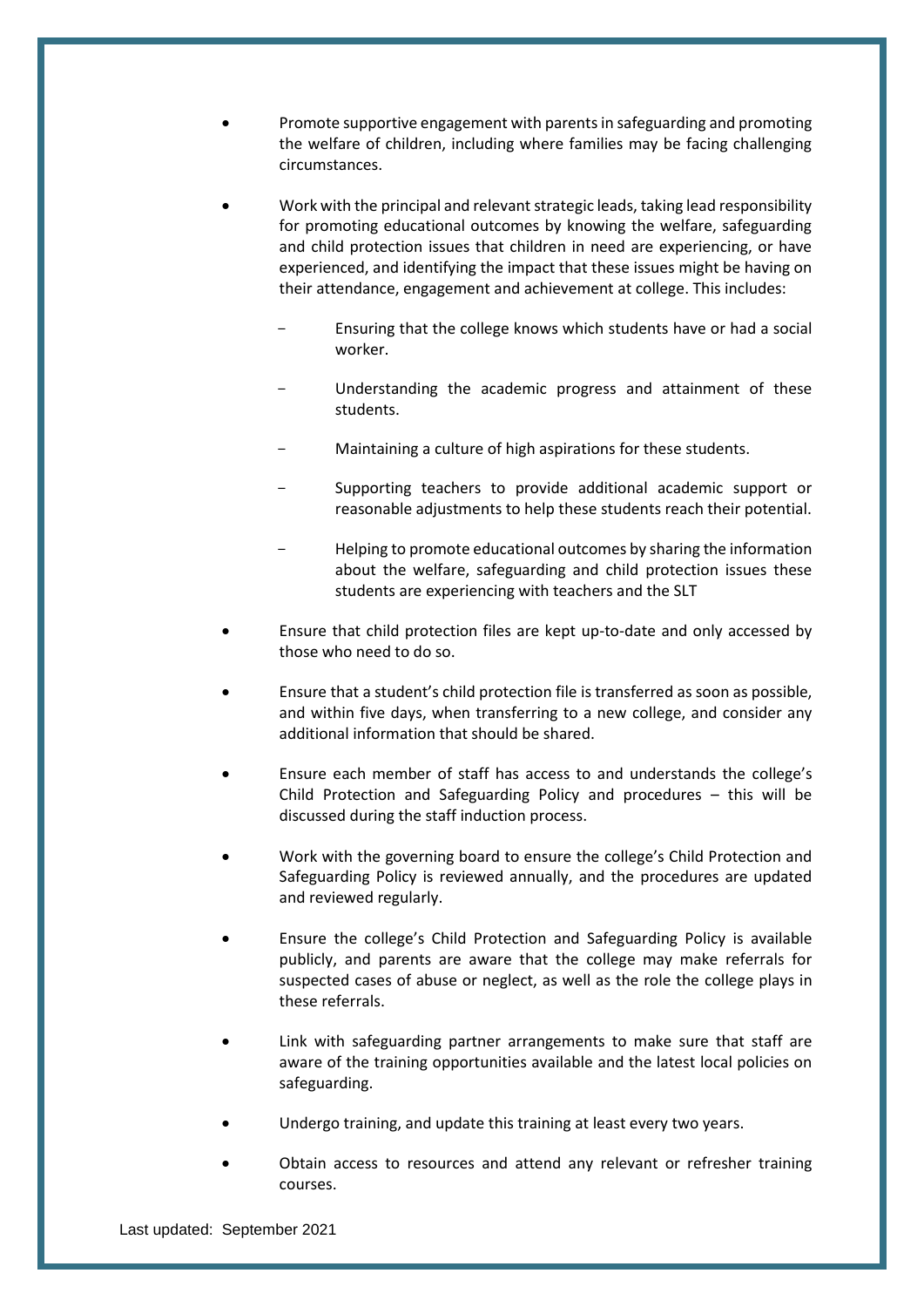- Promote supportive engagement with parents in safeguarding and promoting the welfare of children, including where families may be facing challenging circumstances.
- Work with the principal and relevant strategic leads, taking lead responsibility for promoting educational outcomes by knowing the welfare, safeguarding and child protection issues that children in need are experiencing, or have experienced, and identifying the impact that these issues might be having on their attendance, engagement and achievement at college. This includes:
	- Ensuring that the college knows which students have or had a social worker.
	- Understanding the academic progress and attainment of these students.
	- Maintaining a culture of high aspirations for these students.
	- Supporting teachers to provide additional academic support or reasonable adjustments to help these students reach their potential.
	- Helping to promote educational outcomes by sharing the information about the welfare, safeguarding and child protection issues these students are experiencing with teachers and the SLT
- Ensure that child protection files are kept up-to-date and only accessed by those who need to do so.
- Ensure that a student's child protection file is transferred as soon as possible, and within five days, when transferring to a new college, and consider any additional information that should be shared.
- Ensure each member of staff has access to and understands the college's Child Protection and Safeguarding Policy and procedures – this will be discussed during the staff induction process.
- Work with the governing board to ensure the college's Child Protection and Safeguarding Policy is reviewed annually, and the procedures are updated and reviewed regularly.
- Ensure the college's Child Protection and Safeguarding Policy is available publicly, and parents are aware that the college may make referrals for suspected cases of abuse or neglect, as well as the role the college plays in these referrals.
- Link with safeguarding partner arrangements to make sure that staff are aware of the training opportunities available and the latest local policies on safeguarding.
- Undergo training, and update this training at least every two years.
- Obtain access to resources and attend any relevant or refresher training courses.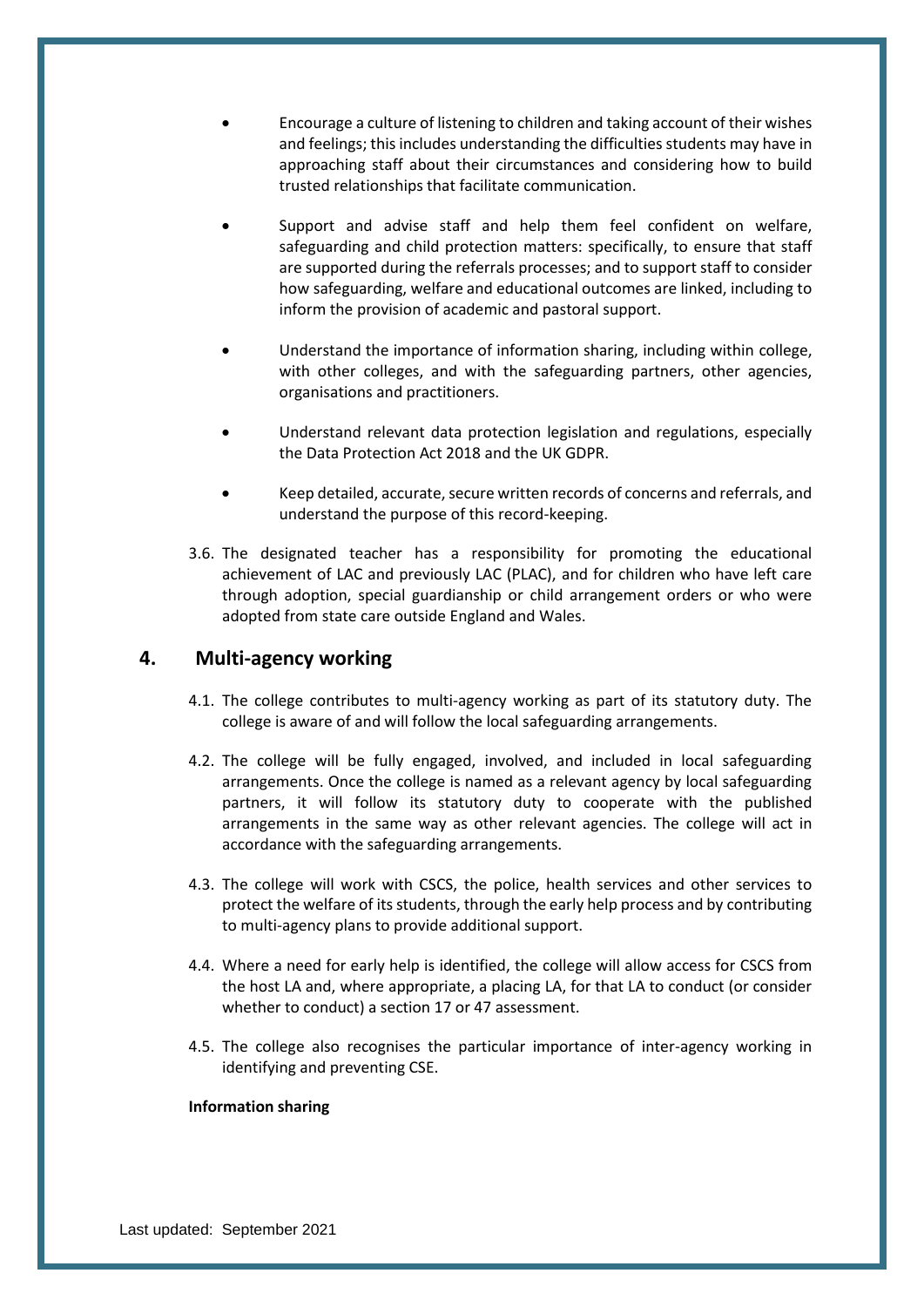- Encourage a culture of listening to children and taking account of their wishes and feelings; this includes understanding the difficulties students may have in approaching staff about their circumstances and considering how to build trusted relationships that facilitate communication.
- Support and advise staff and help them feel confident on welfare, safeguarding and child protection matters: specifically, to ensure that staff are supported during the referrals processes; and to support staff to consider how safeguarding, welfare and educational outcomes are linked, including to inform the provision of academic and pastoral support.
- Understand the importance of information sharing, including within college, with other colleges, and with the safeguarding partners, other agencies, organisations and practitioners.
- Understand relevant data protection legislation and regulations, especially the Data Protection Act 2018 and the UK GDPR.
- Keep detailed, accurate, secure written records of concerns and referrals, and understand the purpose of this record-keeping.
- 3.6. The designated teacher has a responsibility for promoting the educational achievement of LAC and previously LAC (PLAC), and for children who have left care through adoption, special guardianship or child arrangement orders or who were adopted from state care outside England and Wales.

## <span id="page-17-0"></span>**4. Multi-agency working**

- 4.1. The college contributes to multi-agency working as part of its statutory duty. The college is aware of and will follow the local safeguarding arrangements.
- 4.2. The college will be fully engaged, involved, and included in local safeguarding arrangements. Once the college is named as a relevant agency by local safeguarding partners, it will follow its statutory duty to cooperate with the published arrangements in the same way as other relevant agencies. The college will act in accordance with the safeguarding arrangements.
- 4.3. The college will work with CSCS, the police, health services and other services to protect the welfare of its students, through the early help process and by contributing to multi-agency plans to provide additional support.
- 4.4. Where a need for early help is identified, the college will allow access for CSCS from the host LA and, where appropriate, a placing LA, for that LA to conduct (or consider whether to conduct) a section 17 or 47 assessment.
- 4.5. The college also recognises the particular importance of inter-agency working in identifying and preventing CSE.

#### **Information sharing**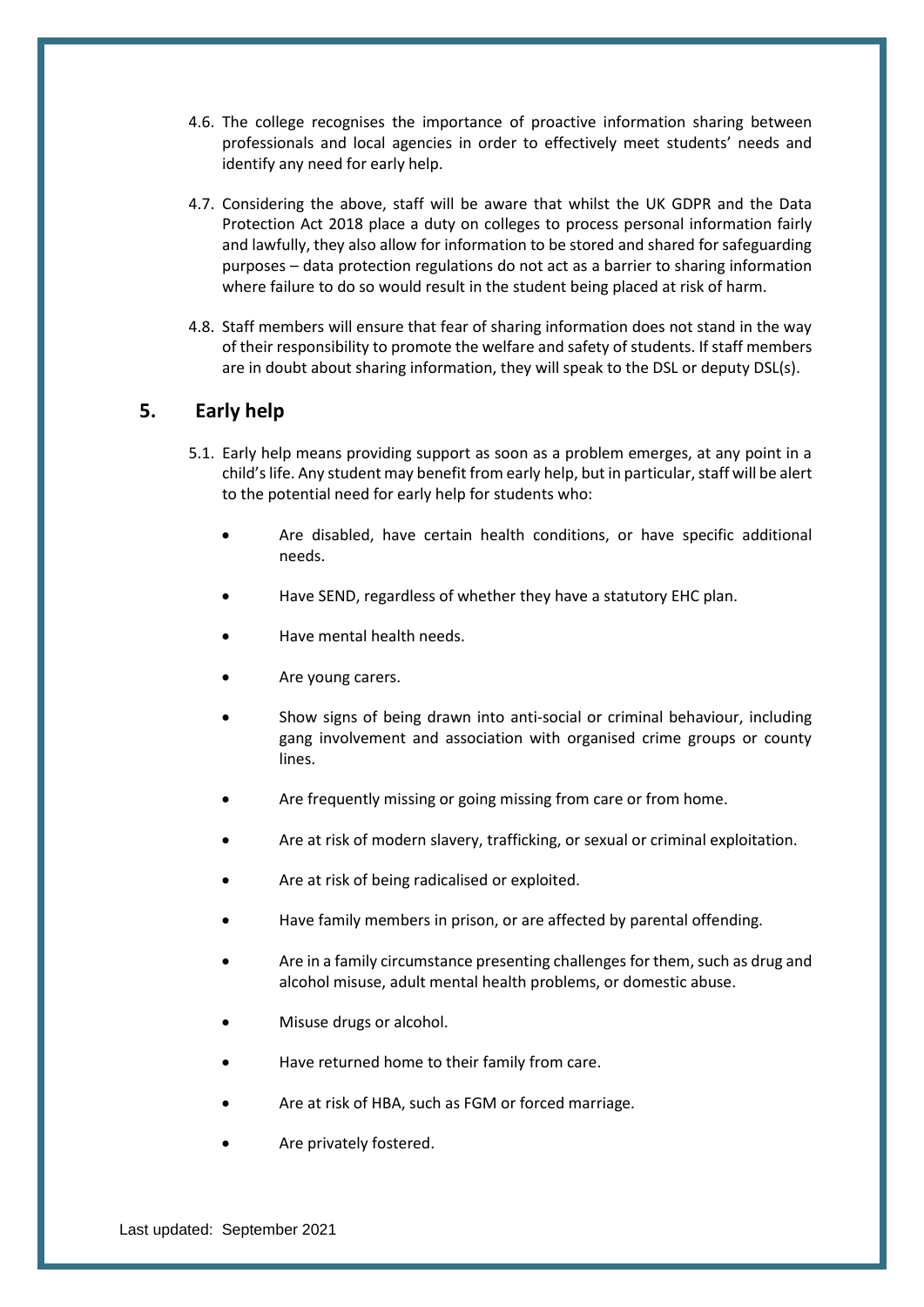- 4.6. The college recognises the importance of proactive information sharing between professionals and local agencies in order to effectively meet students' needs and identify any need for early help.
- 4.7. Considering the above, staff will be aware that whilst the UK GDPR and the Data Protection Act 2018 place a duty on colleges to process personal information fairly and lawfully, they also allow for information to be stored and shared for safeguarding purposes – data protection regulations do not act as a barrier to sharing information where failure to do so would result in the student being placed at risk of harm.
- 4.8. Staff members will ensure that fear of sharing information does not stand in the way of their responsibility to promote the welfare and safety of students. If staff members are in doubt about sharing information, they will speak to the DSL or deputy DSL(s).

## <span id="page-18-0"></span>**5. Early help**

- 5.1. Early help means providing support as soon as a problem emerges, at any point in a child's life. Any student may benefit from early help, but in particular, staff will be alert to the potential need for early help for students who:
	- Are disabled, have certain health conditions, or have specific additional needs.
	- Have SEND, regardless of whether they have a statutory EHC plan.
	- Have mental health needs.
	- Are young carers.
	- Show signs of being drawn into anti-social or criminal behaviour, including gang involvement and association with organised crime groups or county lines.
	- Are frequently missing or going missing from care or from home.
	- Are at risk of modern slavery, trafficking, or sexual or criminal exploitation.
	- Are at risk of being radicalised or exploited.
	- Have family members in prison, or are affected by parental offending.
	- Are in a family circumstance presenting challenges for them, such as drug and alcohol misuse, adult mental health problems, or domestic abuse.
	- Misuse drugs or alcohol.
	- Have returned home to their family from care.
	- Are at risk of HBA, such as FGM or forced marriage.
	- Are privately fostered.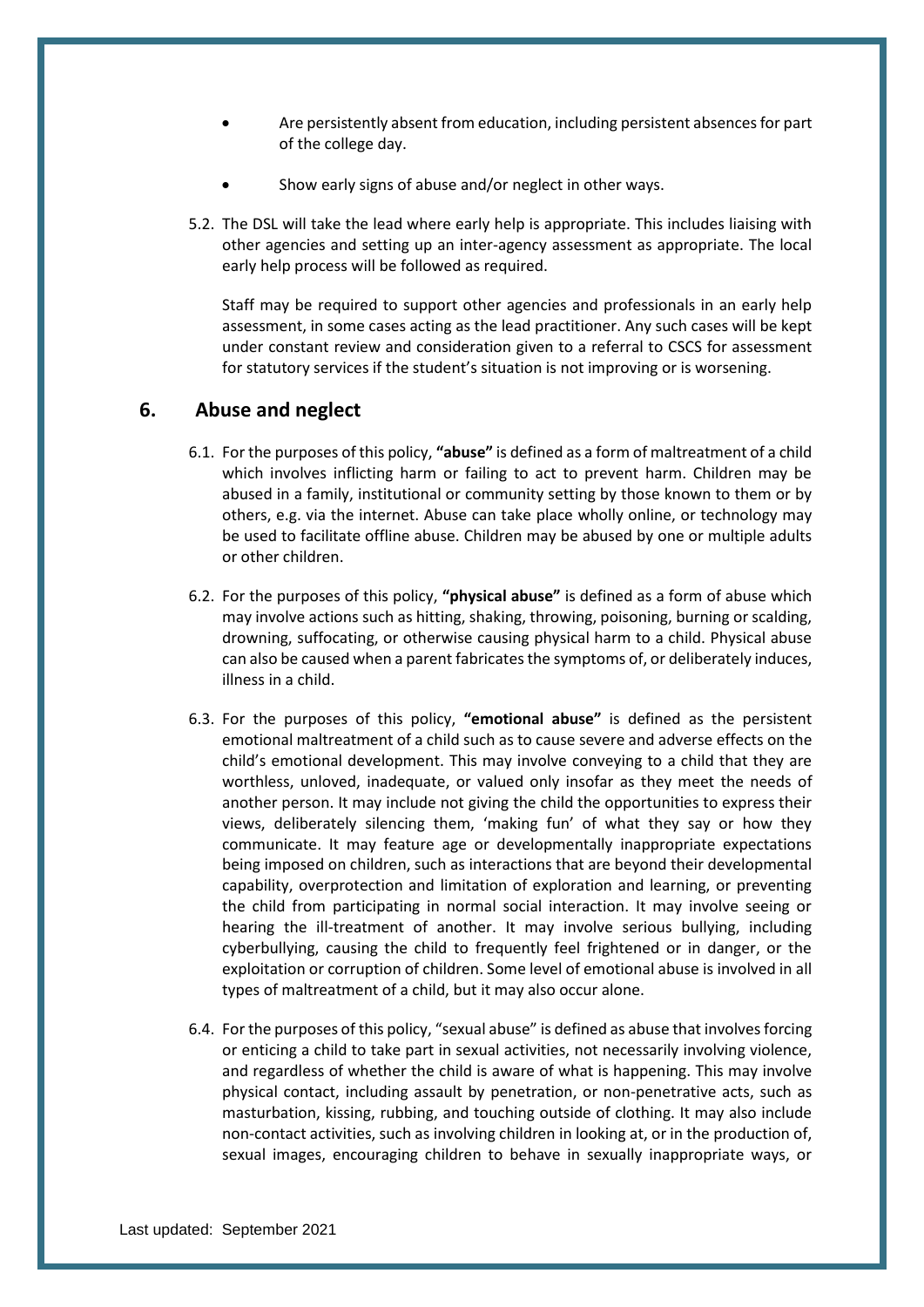- Are persistently absent from education, including persistent absences for part of the college day.
- Show early signs of abuse and/or neglect in other ways.
- 5.2. The DSL will take the lead where early help is appropriate. This includes liaising with other agencies and setting up an inter-agency assessment as appropriate. The local early help process will be followed as required.

Staff may be required to support other agencies and professionals in an early help assessment, in some cases acting as the lead practitioner. Any such cases will be kept under constant review and consideration given to a referral to CSCS for assessment for statutory services if the student's situation is not improving or is worsening.

## <span id="page-19-0"></span>**6. Abuse and neglect**

- 6.1. For the purposes of this policy, **"abuse"** is defined as a form of maltreatment of a child which involves inflicting harm or failing to act to prevent harm. Children may be abused in a family, institutional or community setting by those known to them or by others, e.g. via the internet. Abuse can take place wholly online, or technology may be used to facilitate offline abuse. Children may be abused by one or multiple adults or other children.
- 6.2. For the purposes of this policy, **"physical abuse"** is defined as a form of abuse which may involve actions such as hitting, shaking, throwing, poisoning, burning or scalding, drowning, suffocating, or otherwise causing physical harm to a child. Physical abuse can also be caused when a parent fabricates the symptoms of, or deliberately induces, illness in a child.
- 6.3. For the purposes of this policy, **"emotional abuse"** is defined as the persistent emotional maltreatment of a child such as to cause severe and adverse effects on the child's emotional development. This may involve conveying to a child that they are worthless, unloved, inadequate, or valued only insofar as they meet the needs of another person. It may include not giving the child the opportunities to express their views, deliberately silencing them, 'making fun' of what they say or how they communicate. It may feature age or developmentally inappropriate expectations being imposed on children, such as interactions that are beyond their developmental capability, overprotection and limitation of exploration and learning, or preventing the child from participating in normal social interaction. It may involve seeing or hearing the ill-treatment of another. It may involve serious bullying, including cyberbullying, causing the child to frequently feel frightened or in danger, or the exploitation or corruption of children. Some level of emotional abuse is involved in all types of maltreatment of a child, but it may also occur alone.
- 6.4. For the purposes of this policy, "sexual abuse" is defined as abuse that involves forcing or enticing a child to take part in sexual activities, not necessarily involving violence, and regardless of whether the child is aware of what is happening. This may involve physical contact, including assault by penetration, or non-penetrative acts, such as masturbation, kissing, rubbing, and touching outside of clothing. It may also include non-contact activities, such as involving children in looking at, or in the production of, sexual images, encouraging children to behave in sexually inappropriate ways, or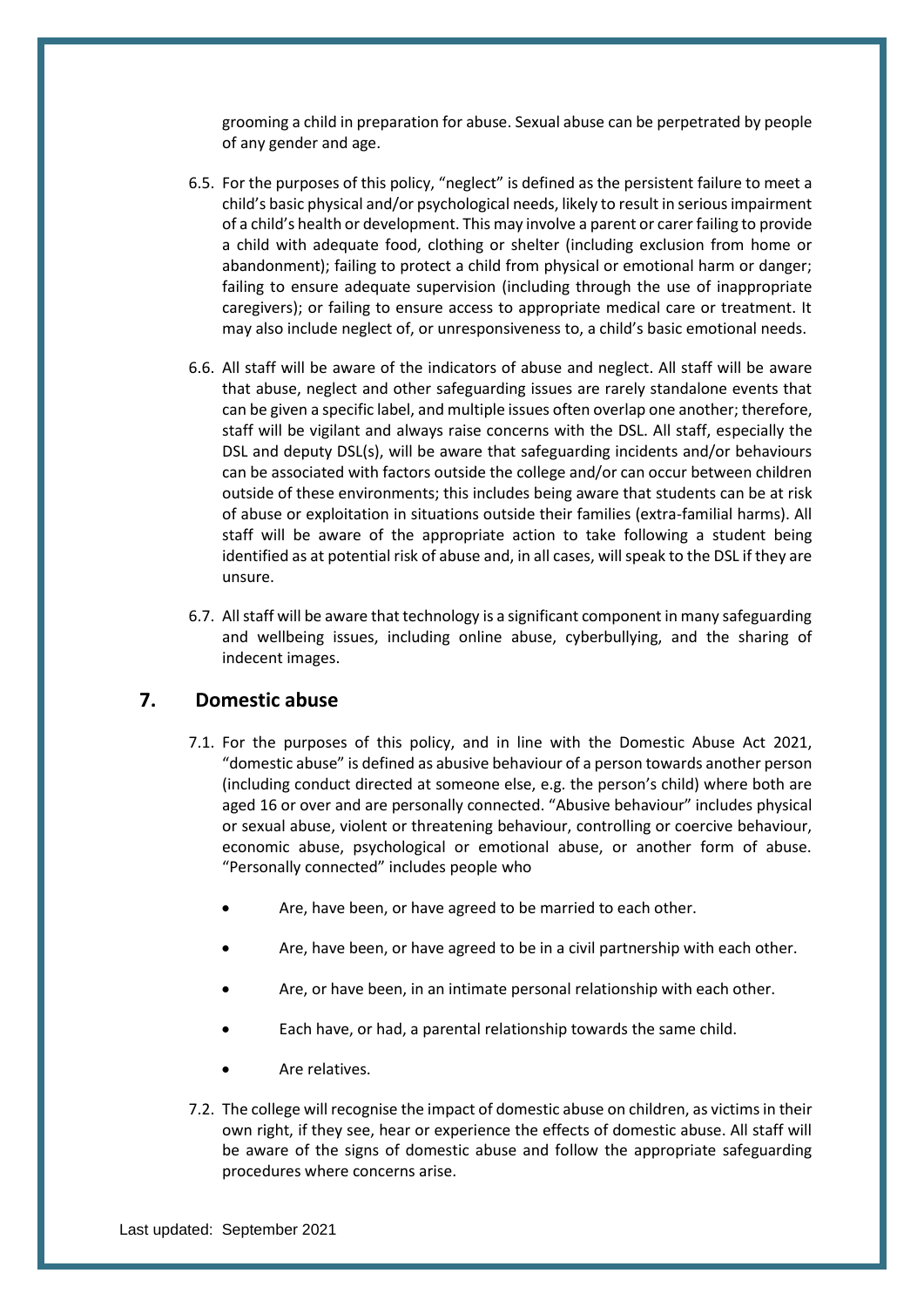grooming a child in preparation for abuse. Sexual abuse can be perpetrated by people of any gender and age.

- 6.5. For the purposes of this policy, "neglect" is defined as the persistent failure to meet a child's basic physical and/or psychological needs, likely to result in serious impairment of a child's health or development. This may involve a parent or carer failing to provide a child with adequate food, clothing or shelter (including exclusion from home or abandonment); failing to protect a child from physical or emotional harm or danger; failing to ensure adequate supervision (including through the use of inappropriate caregivers); or failing to ensure access to appropriate medical care or treatment. It may also include neglect of, or unresponsiveness to, a child's basic emotional needs.
- 6.6. All staff will be aware of the indicators of abuse and neglect. All staff will be aware that abuse, neglect and other safeguarding issues are rarely standalone events that can be given a specific label, and multiple issues often overlap one another; therefore, staff will be vigilant and always raise concerns with the DSL. All staff, especially the DSL and deputy DSL(s), will be aware that safeguarding incidents and/or behaviours can be associated with factors outside the college and/or can occur between children outside of these environments; this includes being aware that students can be at risk of abuse or exploitation in situations outside their families (extra-familial harms). All staff will be aware of the appropriate action to take following a student being identified as at potential risk of abuse and, in all cases, will speak to the DSL if they are unsure.
- 6.7. All staff will be aware that technology is a significant component in many safeguarding and wellbeing issues, including online abuse, cyberbullying, and the sharing of indecent images.

## <span id="page-20-0"></span>**7. Domestic abuse**

- 7.1. For the purposes of this policy, and in line with the Domestic Abuse Act 2021, "domestic abuse" is defined as abusive behaviour of a person towards another person (including conduct directed at someone else, e.g. the person's child) where both are aged 16 or over and are personally connected. "Abusive behaviour" includes physical or sexual abuse, violent or threatening behaviour, controlling or coercive behaviour, economic abuse, psychological or emotional abuse, or another form of abuse. "Personally connected" includes people who
	- Are, have been, or have agreed to be married to each other.
	- Are, have been, or have agreed to be in a civil partnership with each other.
	- Are, or have been, in an intimate personal relationship with each other.
	- Each have, or had, a parental relationship towards the same child.
	- Are relatives.
- 7.2. The college will recognise the impact of domestic abuse on children, as victims in their own right, if they see, hear or experience the effects of domestic abuse. All staff will be aware of the signs of domestic abuse and follow the appropriate safeguarding procedures where concerns arise.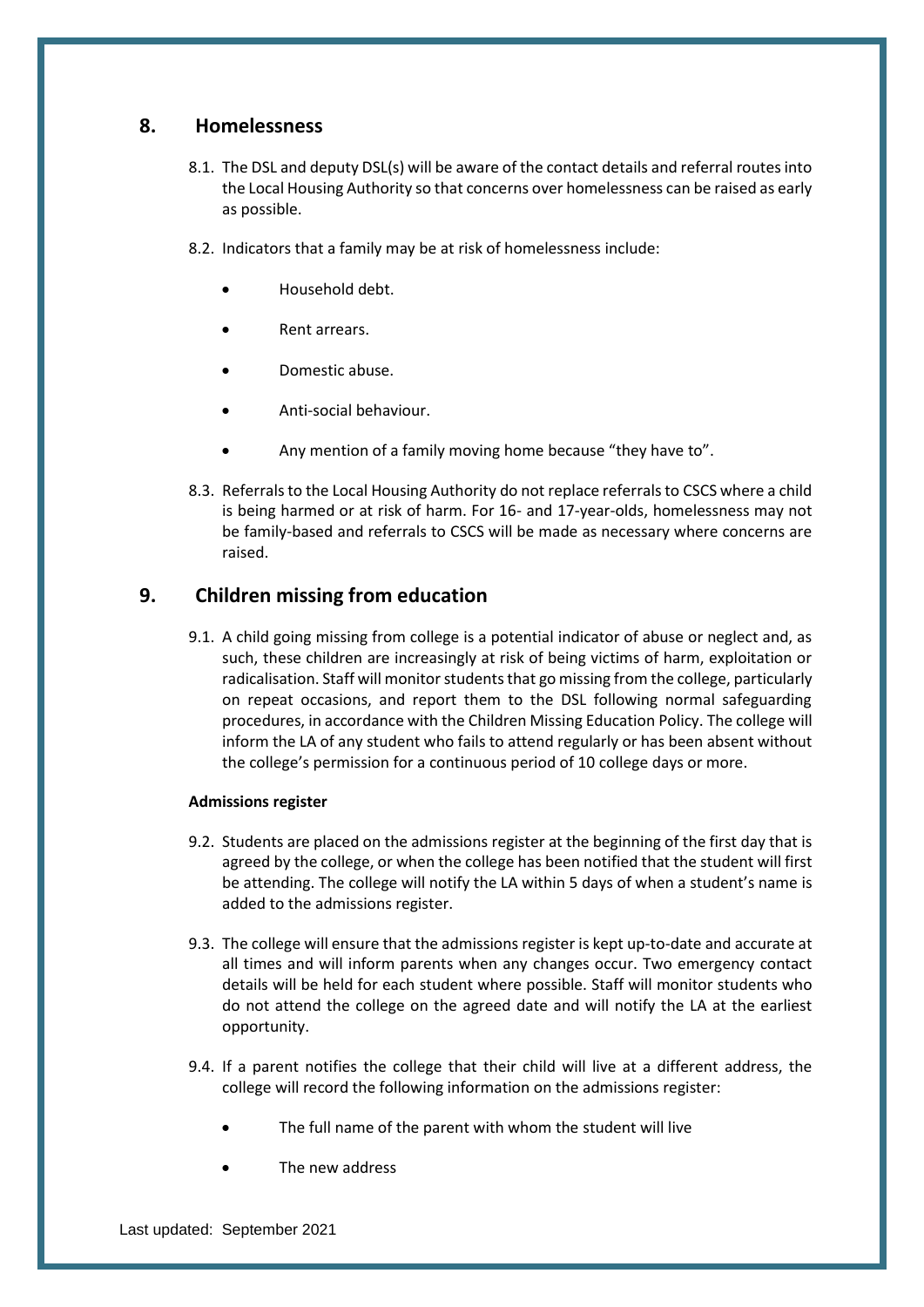## <span id="page-21-0"></span>**8. Homelessness**

- 8.1. The DSL and deputy DSL(s) will be aware of the contact details and referral routes into the Local Housing Authority so that concerns over homelessness can be raised as early as possible.
- 8.2. Indicators that a family may be at risk of homelessness include:
	- Household debt.
	- Rent arrears.
	- Domestic abuse.
	- Anti-social behaviour.
	- Any mention of a family moving home because "they have to".
- 8.3. Referrals to the Local Housing Authority do not replace referrals to CSCS where a child is being harmed or at risk of harm. For 16- and 17-year-olds, homelessness may not be family-based and referrals to CSCS will be made as necessary where concerns are raised.

## <span id="page-21-1"></span>**9. Children missing from education**

9.1. A child going missing from college is a potential indicator of abuse or neglect and, as such, these children are increasingly at risk of being victims of harm, exploitation or radicalisation. Staff will monitor students that go missing from the college, particularly on repeat occasions, and report them to the DSL following normal safeguarding procedures, in accordance with the Children Missing Education Policy. The college will inform the LA of any student who fails to attend regularly or has been absent without the college's permission for a continuous period of 10 college days or more.

#### **Admissions register**

- 9.2. Students are placed on the admissions register at the beginning of the first day that is agreed by the college, or when the college has been notified that the student will first be attending. The college will notify the LA within 5 days of when a student's name is added to the admissions register.
- 9.3. The college will ensure that the admissions register is kept up-to-date and accurate at all times and will inform parents when any changes occur. Two emergency contact details will be held for each student where possible. Staff will monitor students who do not attend the college on the agreed date and will notify the LA at the earliest opportunity.
- 9.4. If a parent notifies the college that their child will live at a different address, the college will record the following information on the admissions register:
	- The full name of the parent with whom the student will live
	- The new address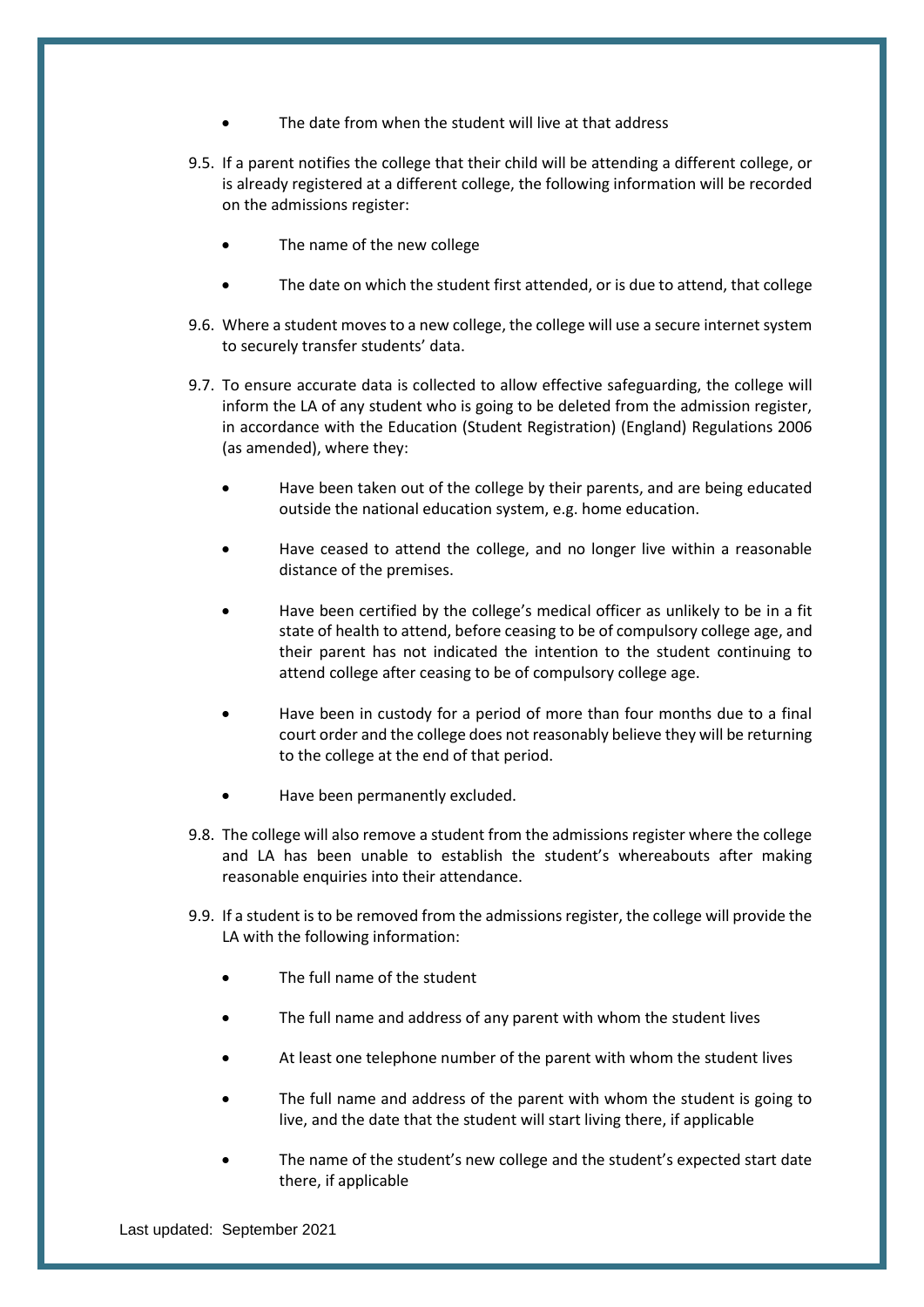- The date from when the student will live at that address
- 9.5. If a parent notifies the college that their child will be attending a different college, or is already registered at a different college, the following information will be recorded on the admissions register:
	- The name of the new college
	- The date on which the student first attended, or is due to attend, that college
- 9.6. Where a student moves to a new college, the college will use a secure internet system to securely transfer students' data.
- 9.7. To ensure accurate data is collected to allow effective safeguarding, the college will inform the LA of any student who is going to be deleted from the admission register, in accordance with the Education (Student Registration) (England) Regulations 2006 (as amended), where they:
	- Have been taken out of the college by their parents, and are being educated outside the national education system, e.g. home education.
	- Have ceased to attend the college, and no longer live within a reasonable distance of the premises.
	- Have been certified by the college's medical officer as unlikely to be in a fit state of health to attend, before ceasing to be of compulsory college age, and their parent has not indicated the intention to the student continuing to attend college after ceasing to be of compulsory college age.
	- Have been in custody for a period of more than four months due to a final court order and the college does not reasonably believe they will be returning to the college at the end of that period.
	- Have been permanently excluded.
- 9.8. The college will also remove a student from the admissions register where the college and LA has been unable to establish the student's whereabouts after making reasonable enquiries into their attendance.
- 9.9. If a student is to be removed from the admissions register, the college will provide the LA with the following information:
	- The full name of the student
	- The full name and address of any parent with whom the student lives
	- At least one telephone number of the parent with whom the student lives
	- The full name and address of the parent with whom the student is going to live, and the date that the student will start living there, if applicable
	- The name of the student's new college and the student's expected start date there, if applicable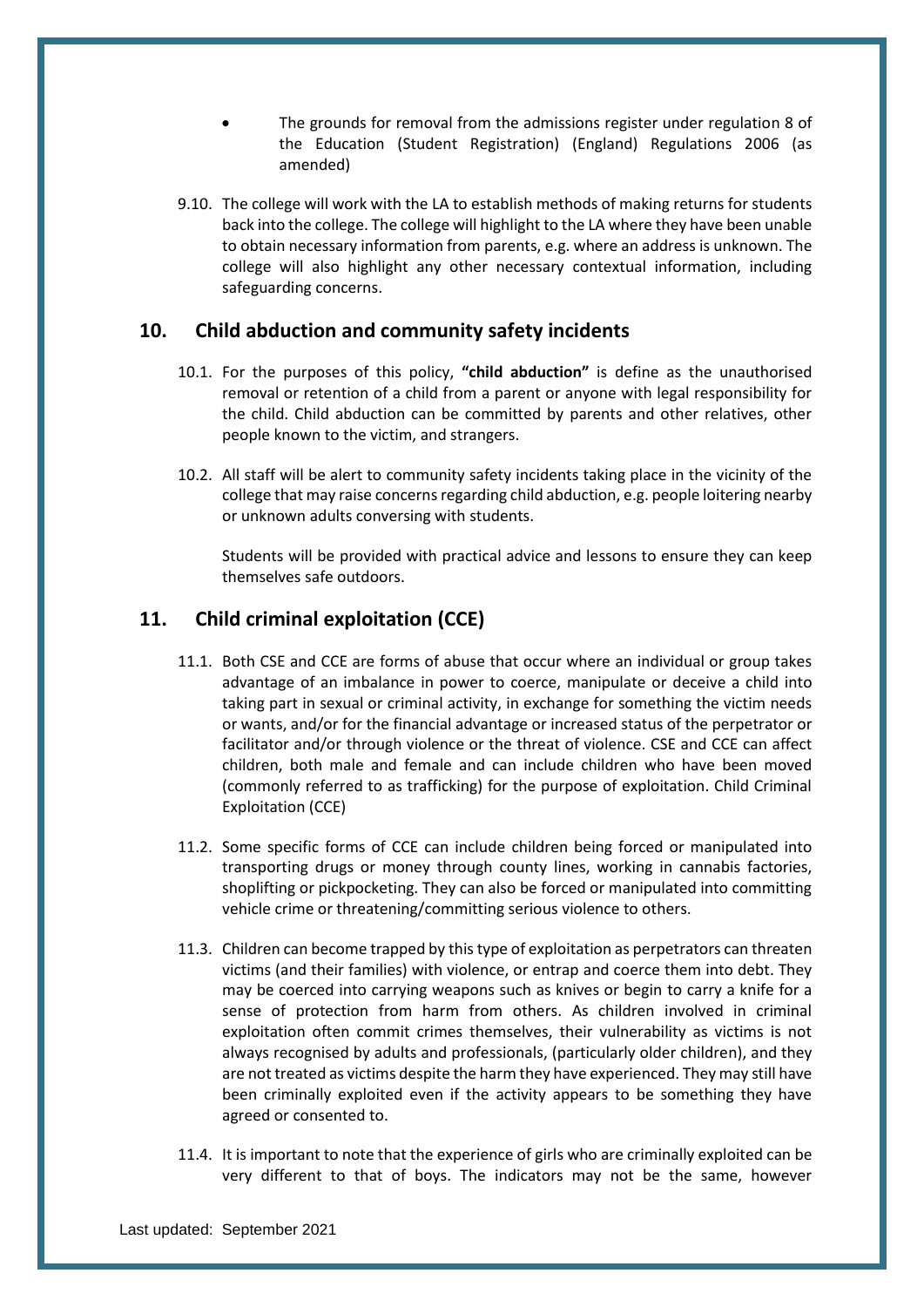- The grounds for removal from the admissions register under regulation 8 of the Education (Student Registration) (England) Regulations 2006 (as amended)
- 9.10. The college will work with the LA to establish methods of making returns for students back into the college. The college will highlight to the LA where they have been unable to obtain necessary information from parents, e.g. where an address is unknown. The college will also highlight any other necessary contextual information, including safeguarding concerns.

## <span id="page-23-0"></span>**10. Child abduction and community safety incidents**

- 10.1. For the purposes of this policy, **"child abduction"** is define as the unauthorised removal or retention of a child from a parent or anyone with legal responsibility for the child. Child abduction can be committed by parents and other relatives, other people known to the victim, and strangers.
- 10.2. All staff will be alert to community safety incidents taking place in the vicinity of the college that may raise concerns regarding child abduction, e.g. people loitering nearby or unknown adults conversing with students.

Students will be provided with practical advice and lessons to ensure they can keep themselves safe outdoors.

## <span id="page-23-1"></span>**11. Child criminal exploitation (CCE)**

- 11.1. Both CSE and CCE are forms of abuse that occur where an individual or group takes advantage of an imbalance in power to coerce, manipulate or deceive a child into taking part in sexual or criminal activity, in exchange for something the victim needs or wants, and/or for the financial advantage or increased status of the perpetrator or facilitator and/or through violence or the threat of violence. CSE and CCE can affect children, both male and female and can include children who have been moved (commonly referred to as trafficking) for the purpose of exploitation. Child Criminal Exploitation (CCE)
- 11.2. Some specific forms of CCE can include children being forced or manipulated into transporting drugs or money through county lines, working in cannabis factories, shoplifting or pickpocketing. They can also be forced or manipulated into committing vehicle crime or threatening/committing serious violence to others.
- 11.3. Children can become trapped by this type of exploitation as perpetrators can threaten victims (and their families) with violence, or entrap and coerce them into debt. They may be coerced into carrying weapons such as knives or begin to carry a knife for a sense of protection from harm from others. As children involved in criminal exploitation often commit crimes themselves, their vulnerability as victims is not always recognised by adults and professionals, (particularly older children), and they are not treated as victims despite the harm they have experienced. They may still have been criminally exploited even if the activity appears to be something they have agreed or consented to.
- 11.4. It is important to note that the experience of girls who are criminally exploited can be very different to that of boys. The indicators may not be the same, however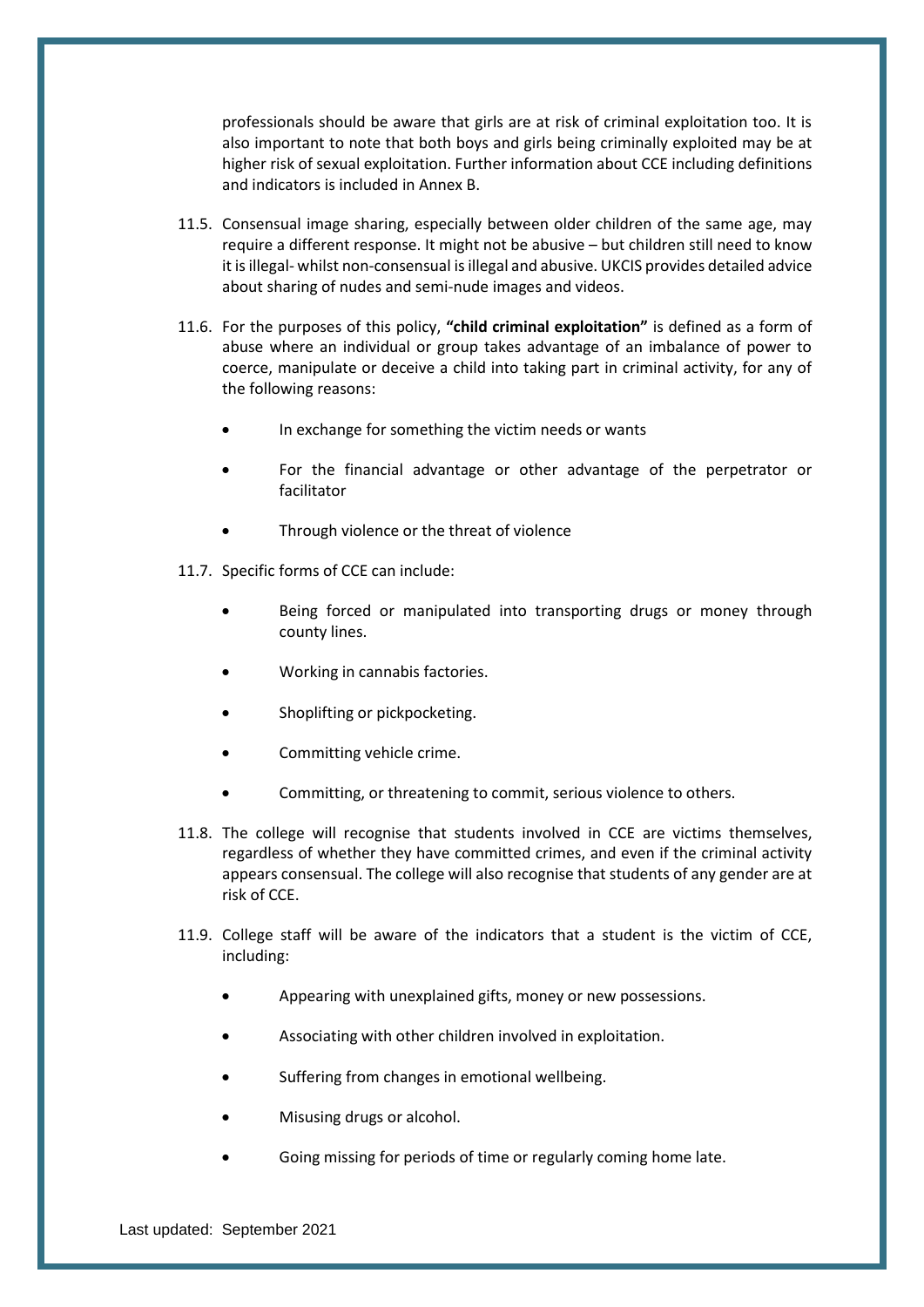professionals should be aware that girls are at risk of criminal exploitation too. It is also important to note that both boys and girls being criminally exploited may be at higher risk of sexual exploitation. Further information about CCE including definitions and indicators is included in Annex B.

- 11.5. Consensual image sharing, especially between older children of the same age, may require a different response. It might not be abusive – but children still need to know it is illegal- whilst non-consensual is illegal and abusive. UKCIS provides detailed advice about sharing of nudes and semi-nude images and videos.
- 11.6. For the purposes of this policy, **"child criminal exploitation"** is defined as a form of abuse where an individual or group takes advantage of an imbalance of power to coerce, manipulate or deceive a child into taking part in criminal activity, for any of the following reasons:
	- In exchange for something the victim needs or wants
	- For the financial advantage or other advantage of the perpetrator or facilitator
	- Through violence or the threat of violence
- 11.7. Specific forms of CCE can include:
	- Being forced or manipulated into transporting drugs or money through county lines.
	- Working in cannabis factories.
	- Shoplifting or pickpocketing.
	- Committing vehicle crime.
	- Committing, or threatening to commit, serious violence to others.
- 11.8. The college will recognise that students involved in CCE are victims themselves, regardless of whether they have committed crimes, and even if the criminal activity appears consensual. The college will also recognise that students of any gender are at risk of CCE.
- 11.9. College staff will be aware of the indicators that a student is the victim of CCE, including:
	- Appearing with unexplained gifts, money or new possessions.
	- Associating with other children involved in exploitation.
	- Suffering from changes in emotional wellbeing.
	- Misusing drugs or alcohol.
	- Going missing for periods of time or regularly coming home late.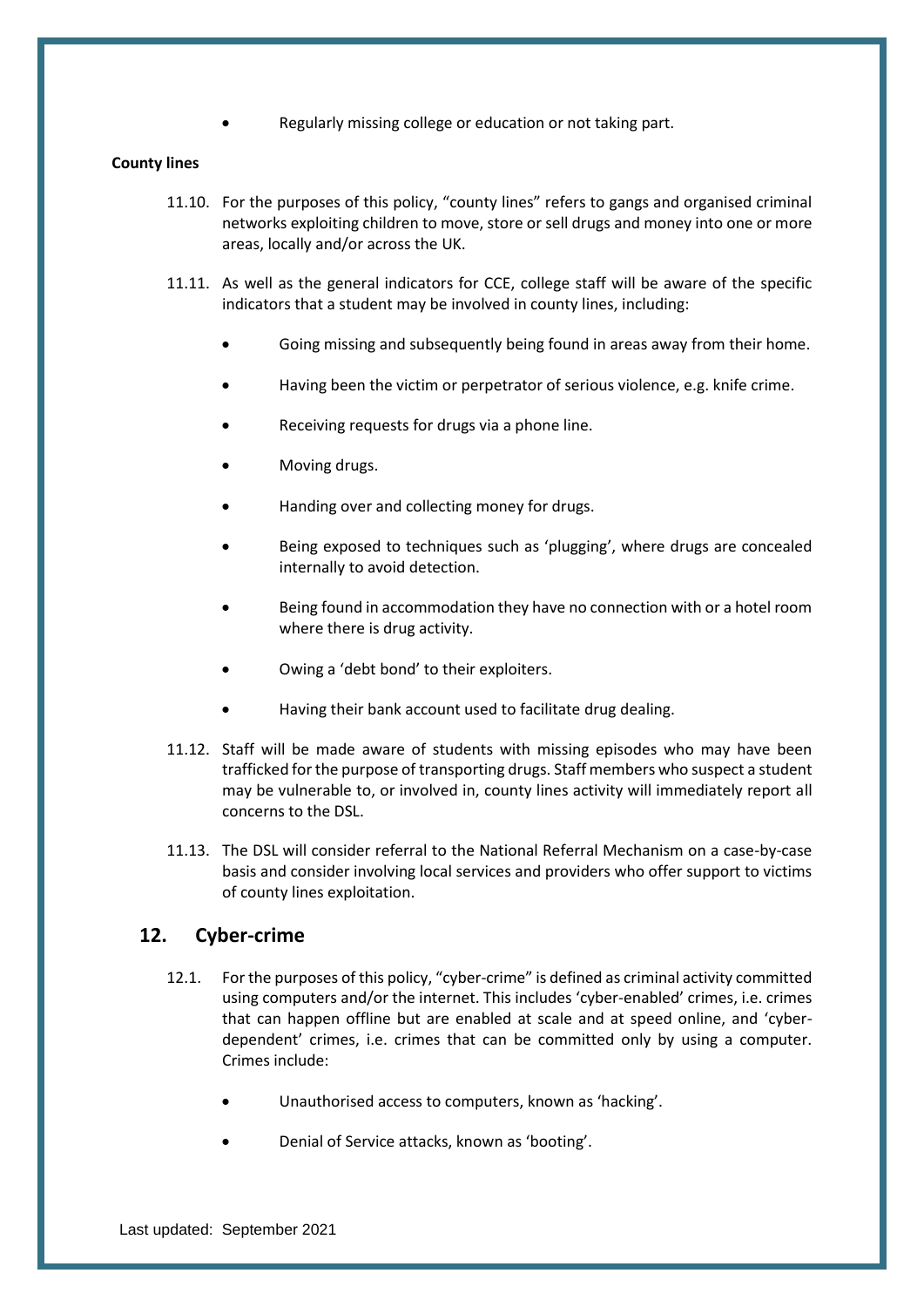Regularly missing college or education or not taking part.

#### **County lines**

- 11.10. For the purposes of this policy, "county lines" refers to gangs and organised criminal networks exploiting children to move, store or sell drugs and money into one or more areas, locally and/or across the UK.
- 11.11. As well as the general indicators for CCE, college staff will be aware of the specific indicators that a student may be involved in county lines, including:
	- Going missing and subsequently being found in areas away from their home.
	- Having been the victim or perpetrator of serious violence, e.g. knife crime.
	- Receiving requests for drugs via a phone line.
	- Moving drugs.
	- Handing over and collecting money for drugs.
	- Being exposed to techniques such as 'plugging', where drugs are concealed internally to avoid detection.
	- Being found in accommodation they have no connection with or a hotel room where there is drug activity.
	- Owing a 'debt bond' to their exploiters.
	- Having their bank account used to facilitate drug dealing.
- 11.12. Staff will be made aware of students with missing episodes who may have been trafficked for the purpose of transporting drugs. Staff members who suspect a student may be vulnerable to, or involved in, county lines activity will immediately report all concerns to the DSL.
- 11.13. The DSL will consider referral to the National Referral Mechanism on a case-by-case basis and consider involving local services and providers who offer support to victims of county lines exploitation.

## <span id="page-25-0"></span>**12. Cyber-crime**

- 12.1. For the purposes of this policy, "cyber-crime" is defined as criminal activity committed using computers and/or the internet. This includes 'cyber-enabled' crimes, i.e. crimes that can happen offline but are enabled at scale and at speed online, and 'cyberdependent' crimes, i.e. crimes that can be committed only by using a computer. Crimes include:
	- Unauthorised access to computers, known as 'hacking'.
	- Denial of Service attacks, known as 'booting'.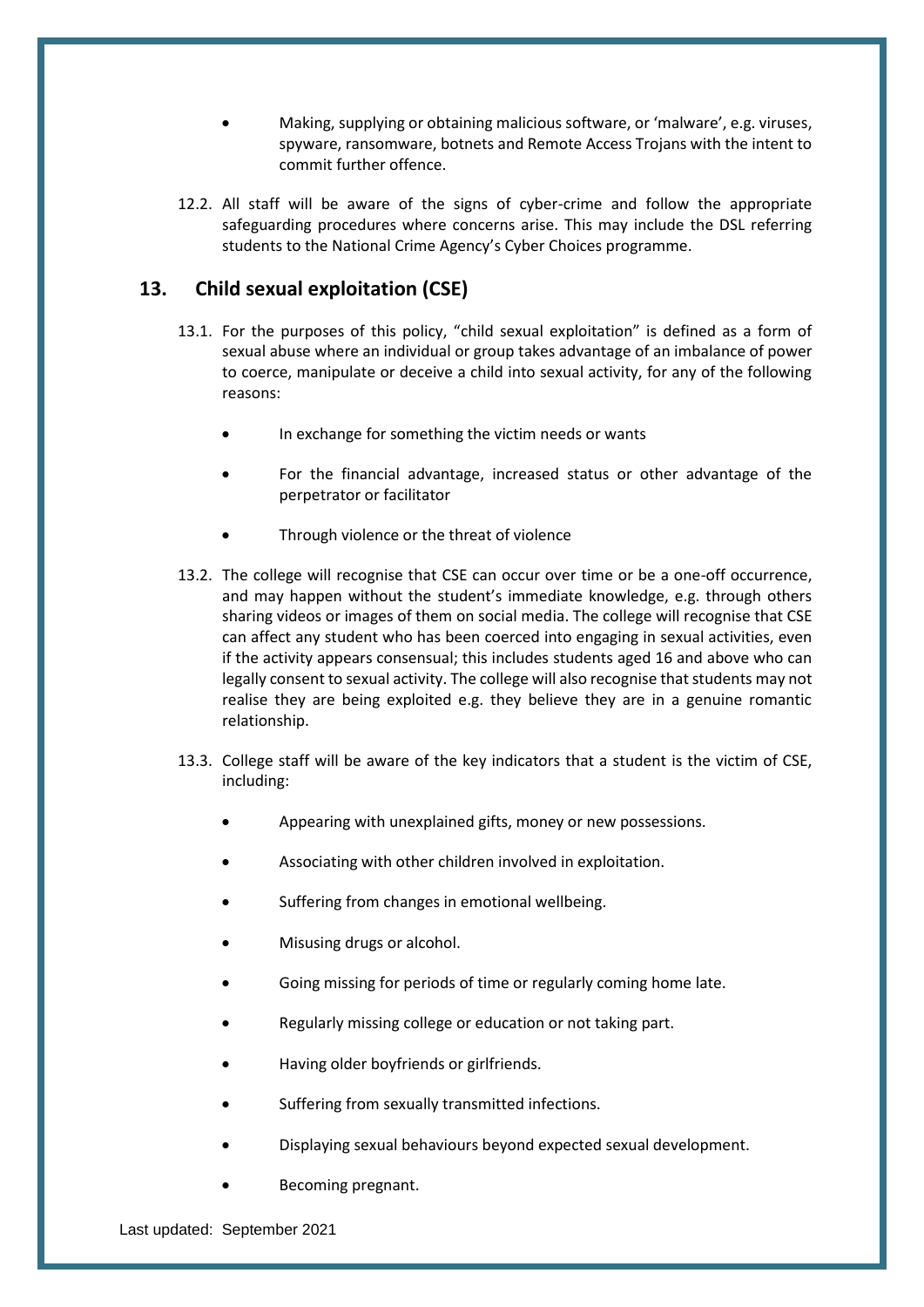- Making, supplying or obtaining malicious software, or 'malware', e.g. viruses, spyware, ransomware, botnets and Remote Access Trojans with the intent to commit further offence.
- 12.2. All staff will be aware of the signs of cyber-crime and follow the appropriate safeguarding procedures where concerns arise. This may include the DSL referring students to the National Crime Agency's Cyber Choices programme.

## <span id="page-26-0"></span>**13. Child sexual exploitation (CSE)**

- 13.1. For the purposes of this policy, "child sexual exploitation" is defined as a form of sexual abuse where an individual or group takes advantage of an imbalance of power to coerce, manipulate or deceive a child into sexual activity, for any of the following reasons:
	- In exchange for something the victim needs or wants
	- For the financial advantage, increased status or other advantage of the perpetrator or facilitator
	- Through violence or the threat of violence
- 13.2. The college will recognise that CSE can occur over time or be a one-off occurrence, and may happen without the student's immediate knowledge, e.g. through others sharing videos or images of them on social media. The college will recognise that CSE can affect any student who has been coerced into engaging in sexual activities, even if the activity appears consensual; this includes students aged 16 and above who can legally consent to sexual activity. The college will also recognise that students may not realise they are being exploited e.g. they believe they are in a genuine romantic relationship.
- 13.3. College staff will be aware of the key indicators that a student is the victim of CSE, including:
	- Appearing with unexplained gifts, money or new possessions.
	- Associating with other children involved in exploitation.
	- Suffering from changes in emotional wellbeing.
	- Misusing drugs or alcohol.
	- Going missing for periods of time or regularly coming home late.
	- Regularly missing college or education or not taking part.
	- Having older boyfriends or girlfriends.
	- Suffering from sexually transmitted infections.
	- Displaying sexual behaviours beyond expected sexual development.
	- Becoming pregnant.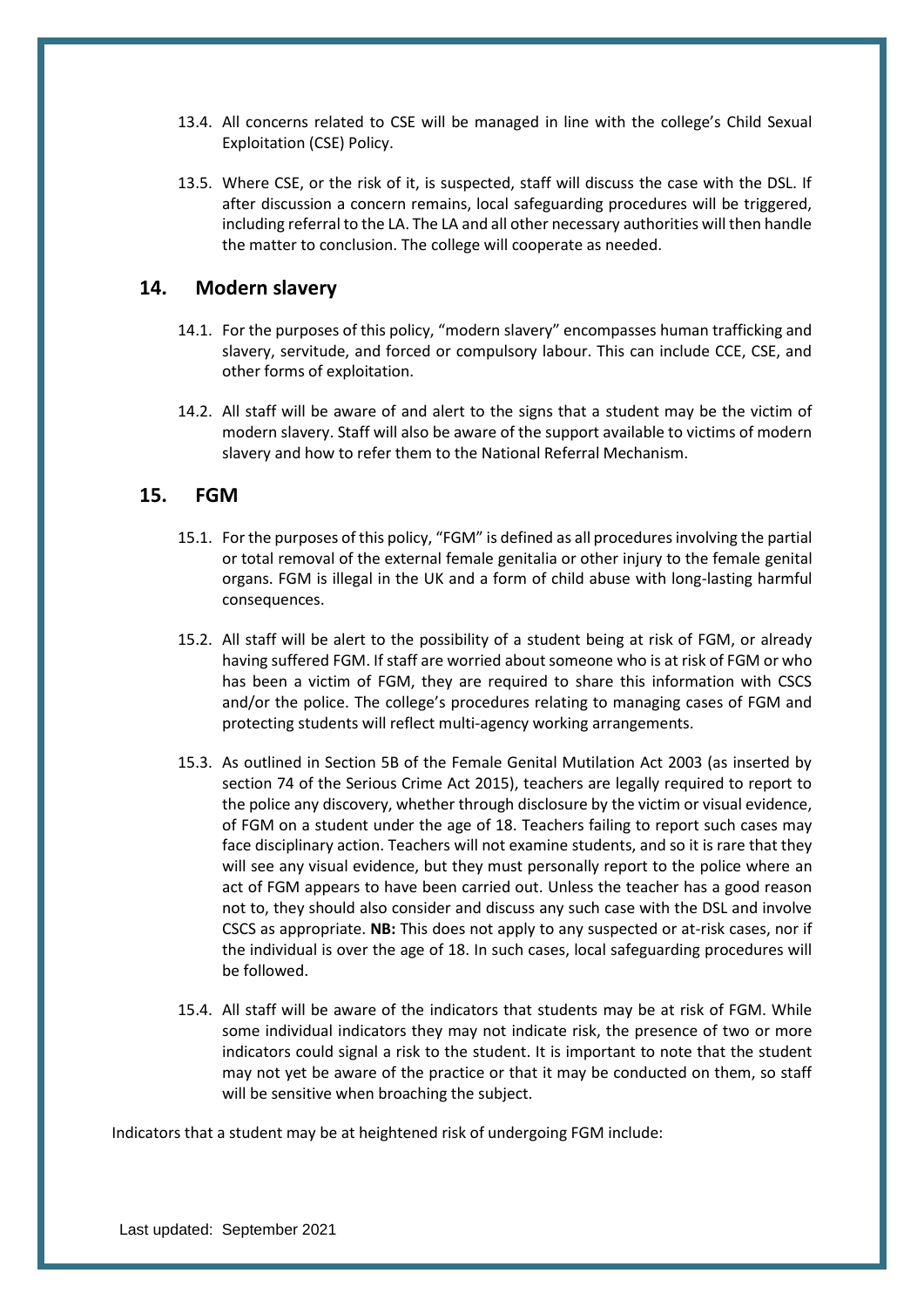- 13.4. All concerns related to CSE will be managed in line with the college's Child Sexual Exploitation (CSE) Policy.
- 13.5. Where CSE, or the risk of it, is suspected, staff will discuss the case with the DSL. If after discussion a concern remains, local safeguarding procedures will be triggered, including referral to the LA. The LA and all other necessary authorities will then handle the matter to conclusion. The college will cooperate as needed.

## <span id="page-27-0"></span>**14. Modern slavery**

- 14.1. For the purposes of this policy, "modern slavery" encompasses human trafficking and slavery, servitude, and forced or compulsory labour. This can include CCE, CSE, and other forms of exploitation.
- 14.2. All staff will be aware of and alert to the signs that a student may be the victim of modern slavery. Staff will also be aware of the support available to victims of modern slavery and how to refer them to the National Referral Mechanism.

## <span id="page-27-1"></span>**15. FGM**

- 15.1. For the purposes of this policy, "FGM" is defined as all procedures involving the partial or total removal of the external female genitalia or other injury to the female genital organs. FGM is illegal in the UK and a form of child abuse with long-lasting harmful consequences.
- 15.2. All staff will be alert to the possibility of a student being at risk of FGM, or already having suffered FGM. If staff are worried about someone who is at risk of FGM or who has been a victim of FGM, they are required to share this information with CSCS and/or the police. The college's procedures relating to managing cases of FGM and protecting students will reflect multi-agency working arrangements.
- 15.3. As outlined in Section 5B of the Female Genital Mutilation Act 2003 (as inserted by section 74 of the Serious Crime Act 2015), teachers are legally required to report to the police any discovery, whether through disclosure by the victim or visual evidence, of FGM on a student under the age of 18. Teachers failing to report such cases may face disciplinary action. Teachers will not examine students, and so it is rare that they will see any visual evidence, but they must personally report to the police where an act of FGM appears to have been carried out. Unless the teacher has a good reason not to, they should also consider and discuss any such case with the DSL and involve CSCS as appropriate. **NB:** This does not apply to any suspected or at-risk cases, nor if the individual is over the age of 18. In such cases, local safeguarding procedures will be followed.
- 15.4. All staff will be aware of the indicators that students may be at risk of FGM. While some individual indicators they may not indicate risk, the presence of two or more indicators could signal a risk to the student. It is important to note that the student may not yet be aware of the practice or that it may be conducted on them, so staff will be sensitive when broaching the subject.

Indicators that a student may be at heightened risk of undergoing FGM include: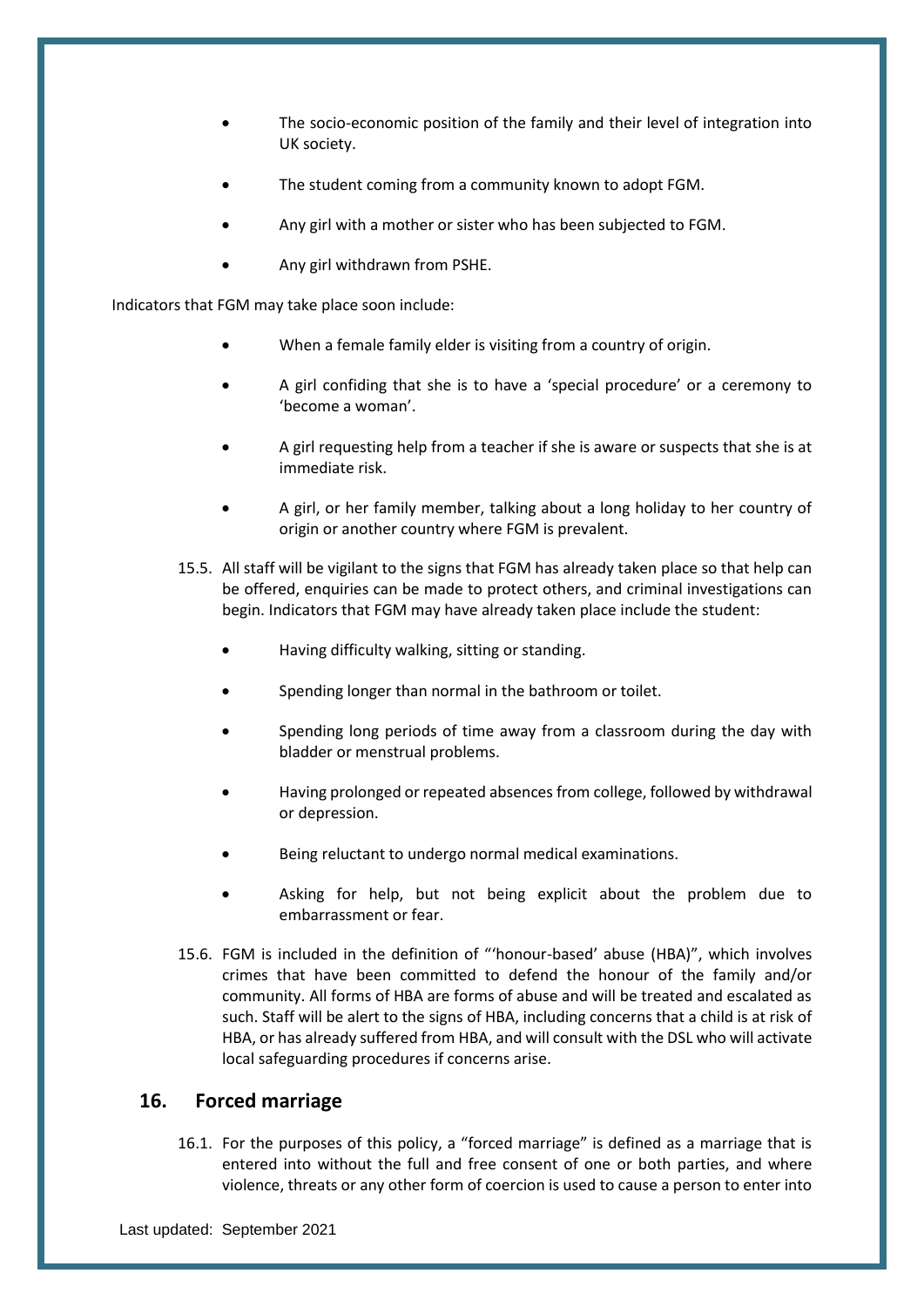- The socio-economic position of the family and their level of integration into UK society.
- The student coming from a community known to adopt FGM.
- Any girl with a mother or sister who has been subjected to FGM.
- Any girl withdrawn from PSHE.

Indicators that FGM may take place soon include:

- When a female family elder is visiting from a country of origin.
- A girl confiding that she is to have a 'special procedure' or a ceremony to 'become a woman'.
- A girl requesting help from a teacher if she is aware or suspects that she is at immediate risk.
- A girl, or her family member, talking about a long holiday to her country of origin or another country where FGM is prevalent.
- 15.5. All staff will be vigilant to the signs that FGM has already taken place so that help can be offered, enquiries can be made to protect others, and criminal investigations can begin. Indicators that FGM may have already taken place include the student:
	- Having difficulty walking, sitting or standing.
	- Spending longer than normal in the bathroom or toilet.
	- Spending long periods of time away from a classroom during the day with bladder or menstrual problems.
	- Having prolonged or repeated absences from college, followed by withdrawal or depression.
	- Being reluctant to undergo normal medical examinations.
	- Asking for help, but not being explicit about the problem due to embarrassment or fear.
- 15.6. FGM is included in the definition of "'honour-based' abuse (HBA)", which involves crimes that have been committed to defend the honour of the family and/or community. All forms of HBA are forms of abuse and will be treated and escalated as such. Staff will be alert to the signs of HBA, including concerns that a child is at risk of HBA, or has already suffered from HBA, and will consult with the DSL who will activate local safeguarding procedures if concerns arise.

## <span id="page-28-0"></span>**16. Forced marriage**

16.1. For the purposes of this policy, a "forced marriage" is defined as a marriage that is entered into without the full and free consent of one or both parties, and where violence, threats or any other form of coercion is used to cause a person to enter into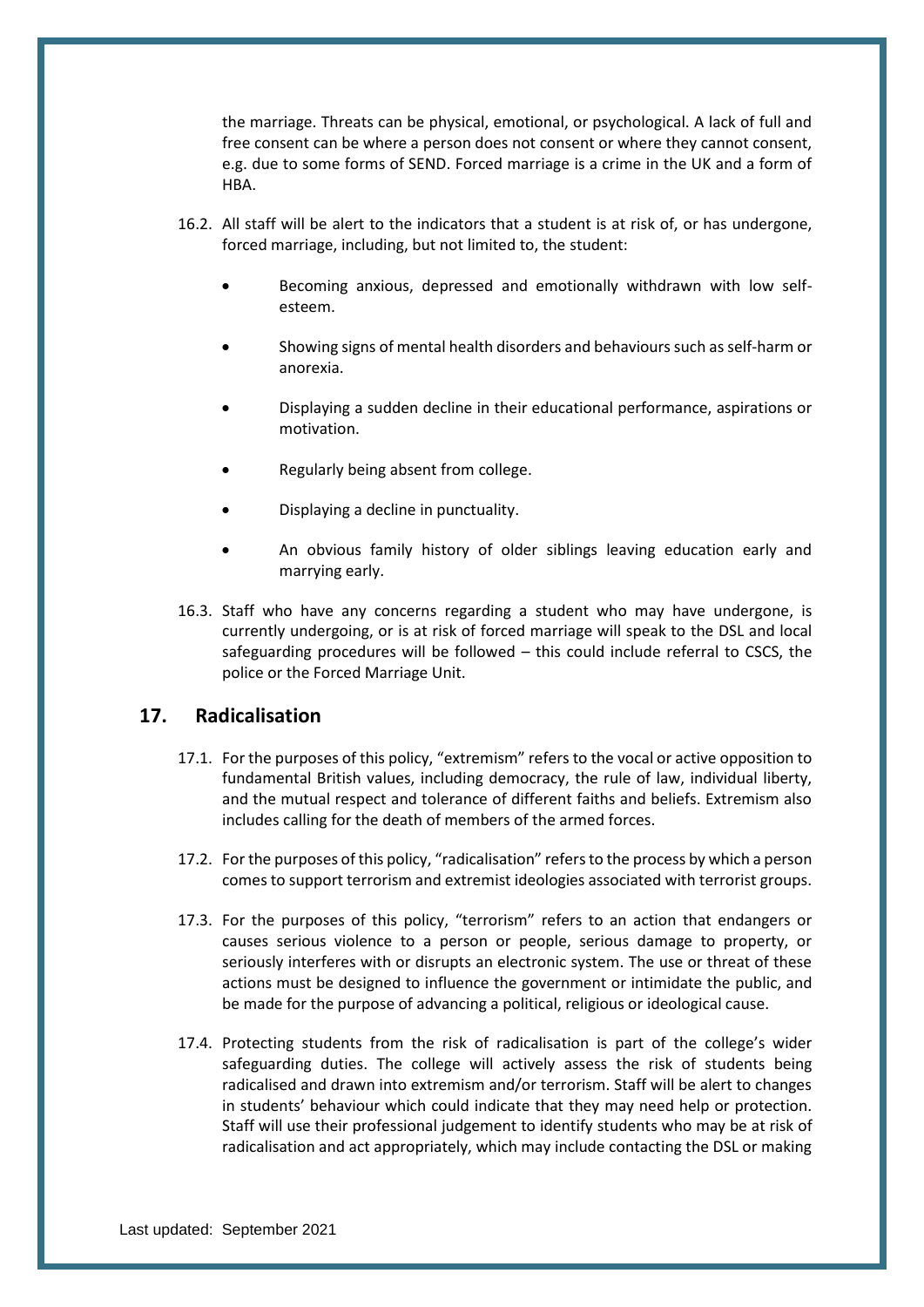the marriage. Threats can be physical, emotional, or psychological. A lack of full and free consent can be where a person does not consent or where they cannot consent, e.g. due to some forms of SEND. Forced marriage is a crime in the UK and a form of HBA.

- 16.2. All staff will be alert to the indicators that a student is at risk of, or has undergone, forced marriage, including, but not limited to, the student:
	- Becoming anxious, depressed and emotionally withdrawn with low selfesteem.
	- Showing signs of mental health disorders and behaviours such as self-harm or anorexia.
	- Displaying a sudden decline in their educational performance, aspirations or motivation.
	- Regularly being absent from college.
	- Displaying a decline in punctuality.
	- An obvious family history of older siblings leaving education early and marrying early.
- 16.3. Staff who have any concerns regarding a student who may have undergone, is currently undergoing, or is at risk of forced marriage will speak to the DSL and local safeguarding procedures will be followed – this could include referral to CSCS, the police or the Forced Marriage Unit.

## <span id="page-29-0"></span>**17. Radicalisation**

- 17.1. For the purposes of this policy, "extremism" refers to the vocal or active opposition to fundamental British values, including democracy, the rule of law, individual liberty, and the mutual respect and tolerance of different faiths and beliefs. Extremism also includes calling for the death of members of the armed forces.
- 17.2. For the purposes of this policy, "radicalisation" refers to the process by which a person comes to support terrorism and extremist ideologies associated with terrorist groups.
- 17.3. For the purposes of this policy, "terrorism" refers to an action that endangers or causes serious violence to a person or people, serious damage to property, or seriously interferes with or disrupts an electronic system. The use or threat of these actions must be designed to influence the government or intimidate the public, and be made for the purpose of advancing a political, religious or ideological cause.
- 17.4. Protecting students from the risk of radicalisation is part of the college's wider safeguarding duties. The college will actively assess the risk of students being radicalised and drawn into extremism and/or terrorism. Staff will be alert to changes in students' behaviour which could indicate that they may need help or protection. Staff will use their professional judgement to identify students who may be at risk of radicalisation and act appropriately, which may include contacting the DSL or making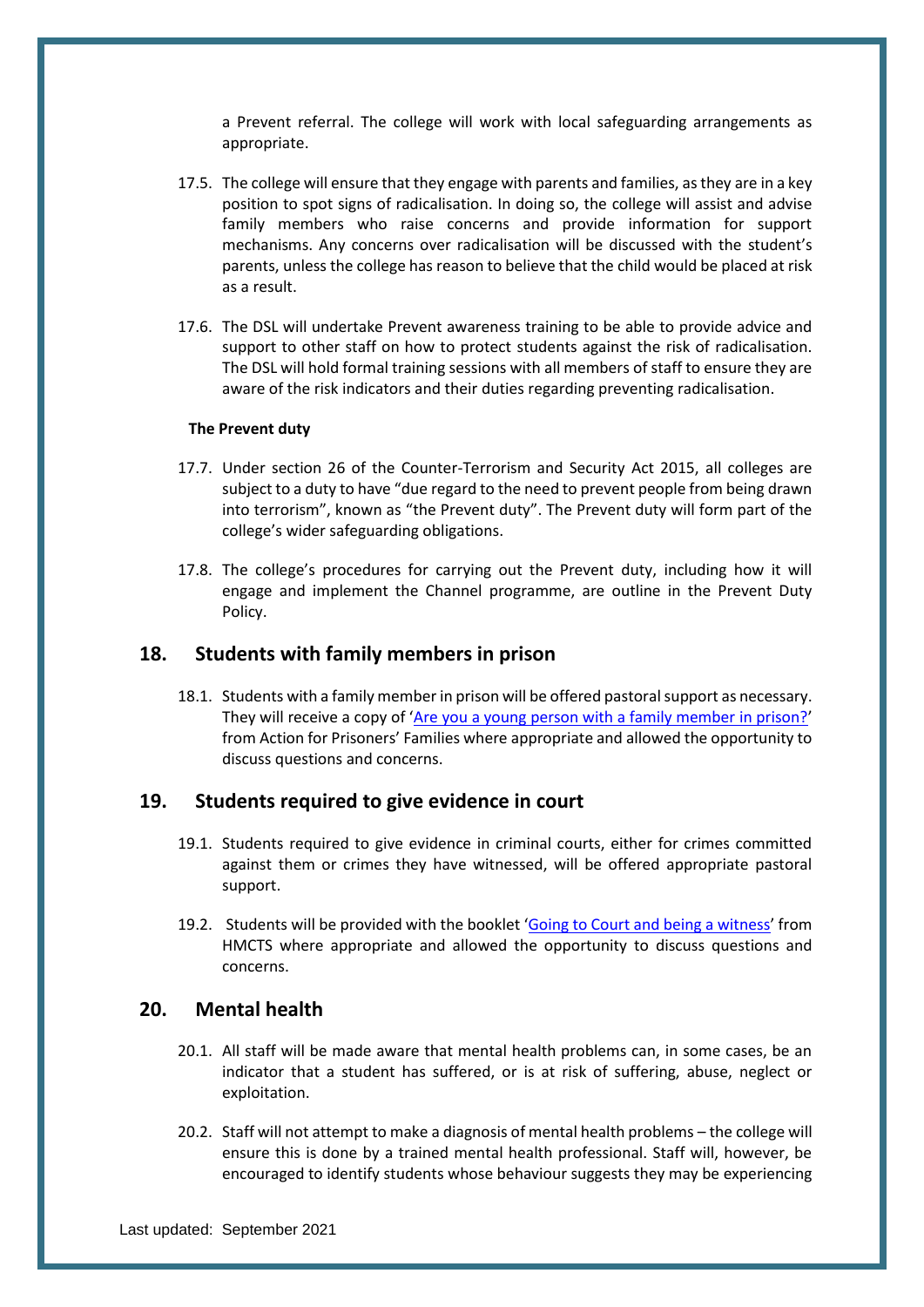a Prevent referral. The college will work with local safeguarding arrangements as appropriate.

- 17.5. The college will ensure that they engage with parents and families, as they are in a key position to spot signs of radicalisation. In doing so, the college will assist and advise family members who raise concerns and provide information for support mechanisms. Any concerns over radicalisation will be discussed with the student's parents, unless the college has reason to believe that the child would be placed at risk as a result.
- 17.6. The DSL will undertake Prevent awareness training to be able to provide advice and support to other staff on how to protect students against the risk of radicalisation. The DSL will hold formal training sessions with all members of staff to ensure they are aware of the risk indicators and their duties regarding preventing radicalisation.

#### **The Prevent duty**

- 17.7. Under section 26 of the Counter-Terrorism and Security Act 2015, all colleges are subject to a duty to have "due regard to the need to prevent people from being drawn into terrorism", known as "the Prevent duty". The Prevent duty will form part of the college's wider safeguarding obligations.
- 17.8. The college's procedures for carrying out the Prevent duty, including how it will engage and implement the Channel programme, are outline in the Prevent Duty Policy.

## <span id="page-30-0"></span>**18. Students with family members in prison**

18.1. Students with a family member in prison will be offered pastoralsupport as necessary. They will receive a copy of '[Are you a young person with a family member in prison?](https://www.nicco.org.uk/directory-of-resources)' from Action for Prisoners' Families where appropriate and allowed the opportunity to discuss questions and concerns.

#### <span id="page-30-1"></span>**19. Students required to give evidence in court**

- 19.1. Students required to give evidence in criminal courts, either for crimes committed against them or crimes they have witnessed, will be offered appropriate pastoral support.
- 19.2. Students will be provided with the booklet '[Going to Court and being a witness](https://www.gov.uk/government/publications/young-witness-booklet-for-12-to-17-year-olds)' from HMCTS where appropriate and allowed the opportunity to discuss questions and concerns.

## <span id="page-30-2"></span>**20. Mental health**

- 20.1. All staff will be made aware that mental health problems can, in some cases, be an indicator that a student has suffered, or is at risk of suffering, abuse, neglect or exploitation.
- 20.2. Staff will not attempt to make a diagnosis of mental health problems the college will ensure this is done by a trained mental health professional. Staff will, however, be encouraged to identify students whose behaviour suggests they may be experiencing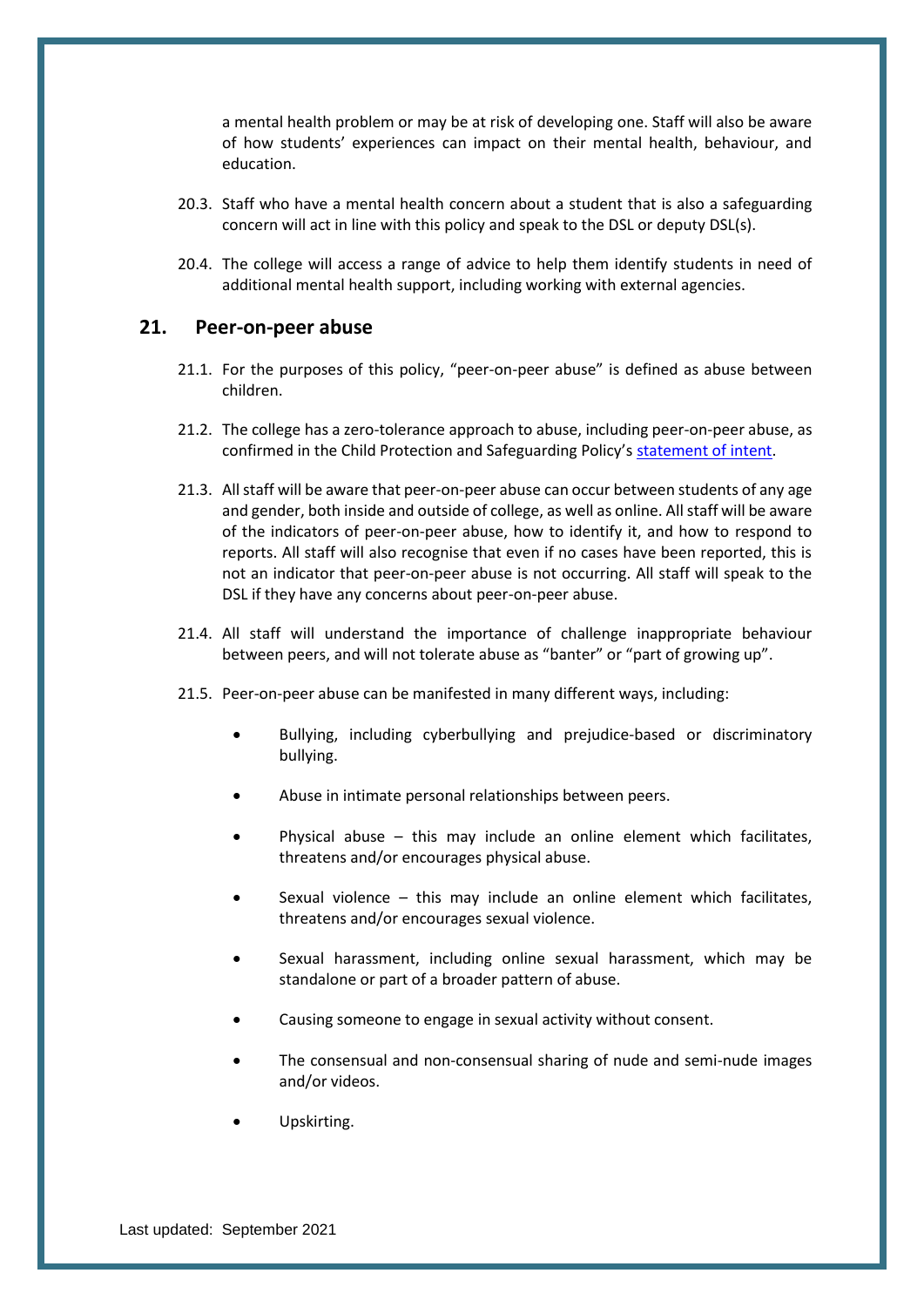a mental health problem or may be at risk of developing one. Staff will also be aware of how students' experiences can impact on their mental health, behaviour, and education.

- 20.3. Staff who have a mental health concern about a student that is also a safeguarding concern will act in line with this policy and speak to the DSL or deputy DSL(s).
- 20.4. The college will access a range of advice to help them identify students in need of additional mental health support, including working with external agencies.

#### <span id="page-31-0"></span>**21. Peer-on-peer abuse**

- 21.1. For the purposes of this policy, "peer-on-peer abuse" is defined as abuse between children.
- 21.2. The college has a zero-tolerance approach to abuse, including peer-on-peer abuse, as confirmed in the Child Protection and Safeguarding Policy's statement of intent.
- 21.3. All staff will be aware that peer-on-peer abuse can occur between students of any age and gender, both inside and outside of college, as well as online. All staff will be aware of the indicators of peer-on-peer abuse, how to identify it, and how to respond to reports. All staff will also recognise that even if no cases have been reported, this is not an indicator that peer-on-peer abuse is not occurring. All staff will speak to the DSL if they have any concerns about peer-on-peer abuse.
- 21.4. All staff will understand the importance of challenge inappropriate behaviour between peers, and will not tolerate abuse as "banter" or "part of growing up".
- 21.5. Peer-on-peer abuse can be manifested in many different ways, including:
	- Bullying, including cyberbullying and prejudice-based or discriminatory bullying.
	- Abuse in intimate personal relationships between peers.
	- Physical abuse  $-$  this may include an online element which facilitates, threatens and/or encourages physical abuse.
	- Sexual violence this may include an online element which facilitates, threatens and/or encourages sexual violence.
	- Sexual harassment, including online sexual harassment, which may be standalone or part of a broader pattern of abuse.
	- Causing someone to engage in sexual activity without consent.
	- The consensual and non-consensual sharing of nude and semi-nude images and/or videos.
	- Upskirting.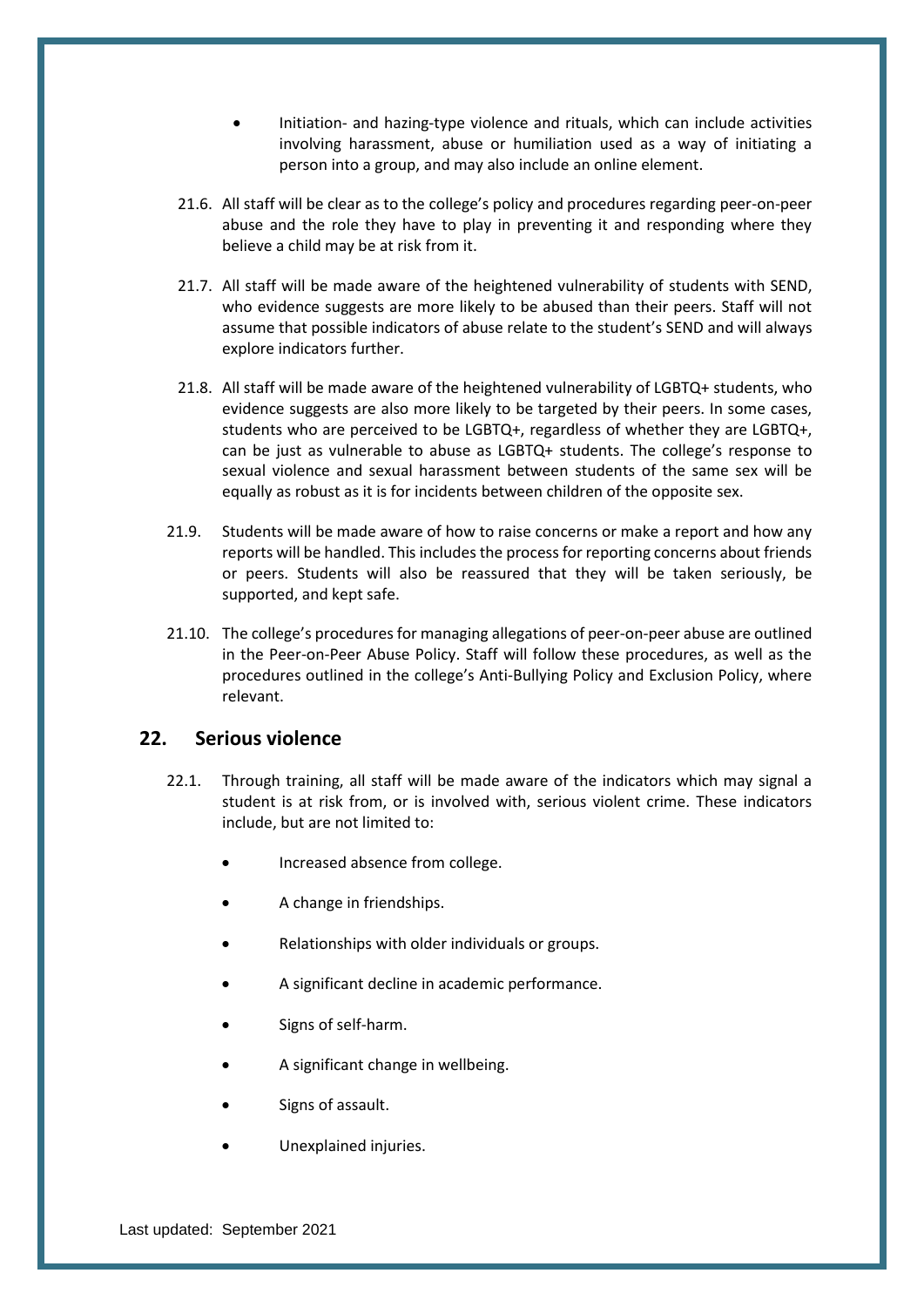- Initiation- and hazing-type violence and rituals, which can include activities involving harassment, abuse or humiliation used as a way of initiating a person into a group, and may also include an online element.
- 21.6. All staff will be clear as to the college's policy and procedures regarding peer-on-peer abuse and the role they have to play in preventing it and responding where they believe a child may be at risk from it.
- 21.7. All staff will be made aware of the heightened vulnerability of students with SEND, who evidence suggests are more likely to be abused than their peers. Staff will not assume that possible indicators of abuse relate to the student's SEND and will always explore indicators further.
- 21.8. All staff will be made aware of the heightened vulnerability of LGBTQ+ students, who evidence suggests are also more likely to be targeted by their peers. In some cases, students who are perceived to be LGBTQ+, regardless of whether they are LGBTQ+, can be just as vulnerable to abuse as LGBTQ+ students. The college's response to sexual violence and sexual harassment between students of the same sex will be equally as robust as it is for incidents between children of the opposite sex.
- 21.9. Students will be made aware of how to raise concerns or make a report and how any reports will be handled. This includes the process for reporting concerns about friends or peers. Students will also be reassured that they will be taken seriously, be supported, and kept safe.
- 21.10. The college's procedures for managing allegations of peer-on-peer abuse are outlined in the Peer-on-Peer Abuse Policy. Staff will follow these procedures, as well as the procedures outlined in the college's Anti-Bullying Policy and Exclusion Policy, where relevant.

## <span id="page-32-0"></span>**22. Serious violence**

- 22.1. Through training, all staff will be made aware of the indicators which may signal a student is at risk from, or is involved with, serious violent crime. These indicators include, but are not limited to:
	- Increased absence from college.
	- A change in friendships.
	- Relationships with older individuals or groups.
	- A significant decline in academic performance.
	- Signs of self-harm.
	- A significant change in wellbeing.
	- Signs of assault.
	- Unexplained injuries.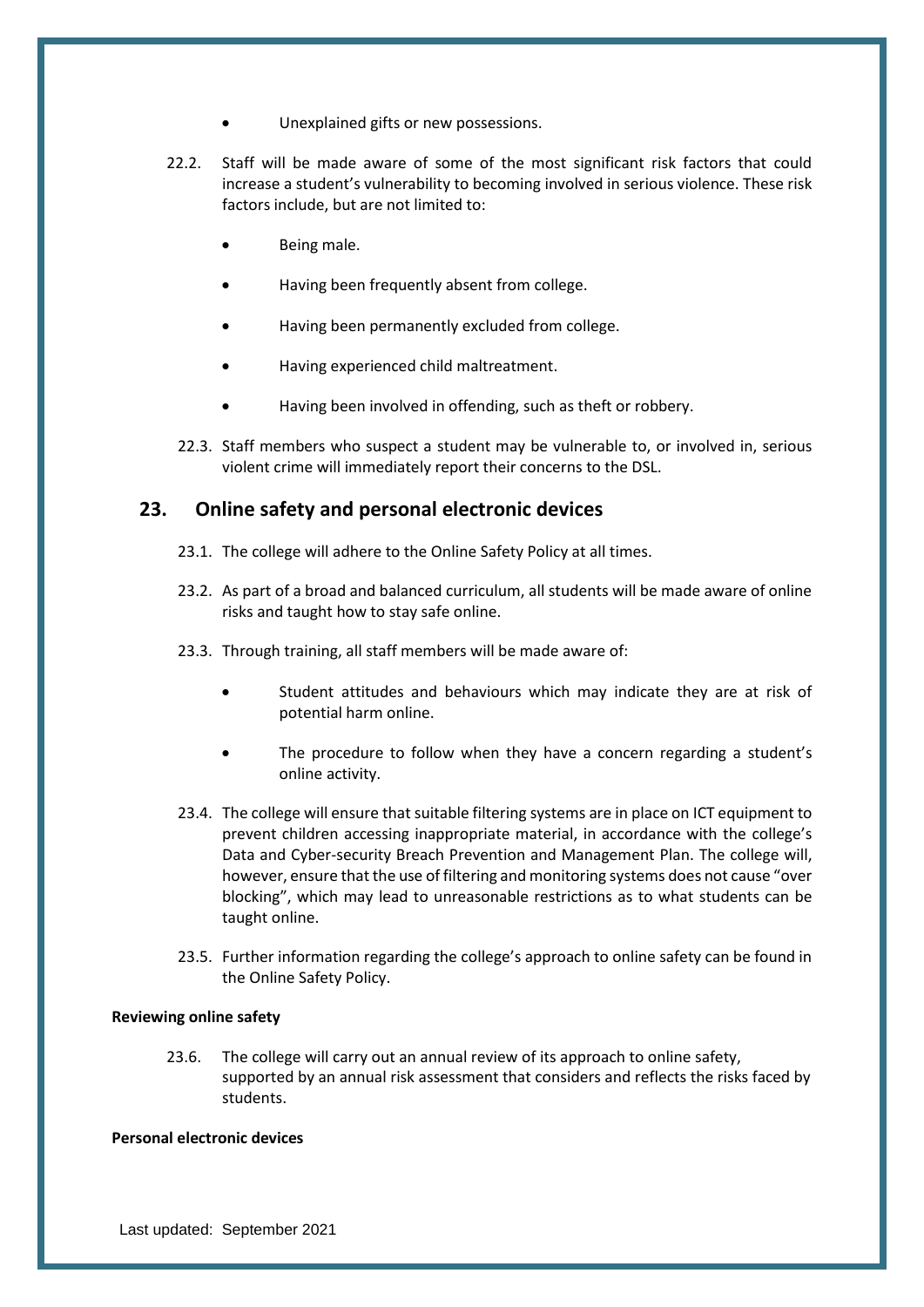- Unexplained gifts or new possessions.
- 22.2. Staff will be made aware of some of the most significant risk factors that could increase a student's vulnerability to becoming involved in serious violence. These risk factors include, but are not limited to:
	- Being male.
	- Having been frequently absent from college.
	- Having been permanently excluded from college.
	- Having experienced child maltreatment.
	- Having been involved in offending, such as theft or robbery.
	- 22.3. Staff members who suspect a student may be vulnerable to, or involved in, serious violent crime will immediately report their concerns to the DSL.

## <span id="page-33-0"></span>**23. Online safety and personal electronic devices**

- 23.1. The college will adhere to the Online Safety Policy at all times.
- 23.2. As part of a broad and balanced curriculum, all students will be made aware of online risks and taught how to stay safe online.
- 23.3. Through training, all staff members will be made aware of:
	- Student attitudes and behaviours which may indicate they are at risk of potential harm online.
	- The procedure to follow when they have a concern regarding a student's online activity.
- 23.4. The college will ensure that suitable filtering systems are in place on ICT equipment to prevent children accessing inappropriate material, in accordance with the college's Data and Cyber-security Breach Prevention and Management Plan. The college will, however, ensure that the use of filtering and monitoring systems does not cause "over blocking", which may lead to unreasonable restrictions as to what students can be taught online.
- 23.5. Further information regarding the college's approach to online safety can be found in the Online Safety Policy.

#### **Reviewing online safety**

23.6. The college will carry out an annual review of its approach to online safety, supported by an annual risk assessment that considers and reflects the risks faced by students.

#### **Personal electronic devices**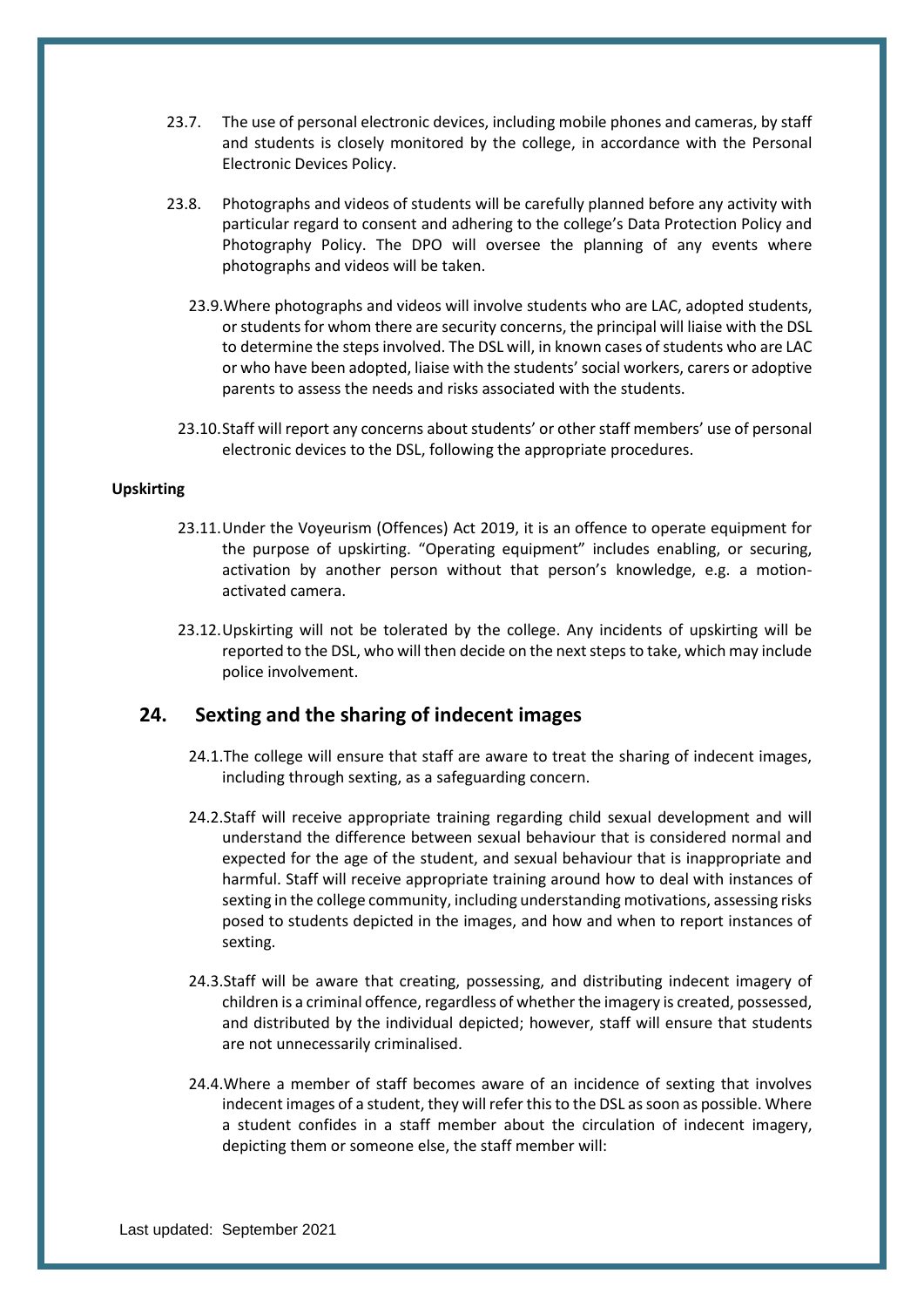- 23.7. The use of personal electronic devices, including mobile phones and cameras, by staff and students is closely monitored by the college, in accordance with the Personal Electronic Devices Policy.
- 23.8. Photographs and videos of students will be carefully planned before any activity with particular regard to consent and adhering to the college's Data Protection Policy and Photography Policy. The DPO will oversee the planning of any events where photographs and videos will be taken.
	- 23.9.Where photographs and videos will involve students who are LAC, adopted students, or students for whom there are security concerns, the principal will liaise with the DSL to determine the steps involved. The DSL will, in known cases of students who are LAC or who have been adopted, liaise with the students' social workers, carers or adoptive parents to assess the needs and risks associated with the students.
	- 23.10.Staff will report any concerns about students' or other staff members' use of personal electronic devices to the DSL, following the appropriate procedures.

#### **Upskirting**

- 23.11.Under the Voyeurism (Offences) Act 2019, it is an offence to operate equipment for the purpose of upskirting. "Operating equipment" includes enabling, or securing, activation by another person without that person's knowledge, e.g. a motionactivated camera.
- 23.12.Upskirting will not be tolerated by the college. Any incidents of upskirting will be reported to the DSL, who will then decide on the next steps to take, which may include police involvement.

## <span id="page-34-0"></span>**24. Sexting and the sharing of indecent images**

- 24.1.The college will ensure that staff are aware to treat the sharing of indecent images, including through sexting, as a safeguarding concern.
- 24.2.Staff will receive appropriate training regarding child sexual development and will understand the difference between sexual behaviour that is considered normal and expected for the age of the student, and sexual behaviour that is inappropriate and harmful. Staff will receive appropriate training around how to deal with instances of sexting in the college community, including understanding motivations, assessing risks posed to students depicted in the images, and how and when to report instances of sexting.
- 24.3.Staff will be aware that creating, possessing, and distributing indecent imagery of children is a criminal offence, regardless of whether the imagery is created, possessed, and distributed by the individual depicted; however, staff will ensure that students are not unnecessarily criminalised.
- 24.4.Where a member of staff becomes aware of an incidence of sexting that involves indecent images of a student, they will refer this to the DSL as soon as possible. Where a student confides in a staff member about the circulation of indecent imagery, depicting them or someone else, the staff member will: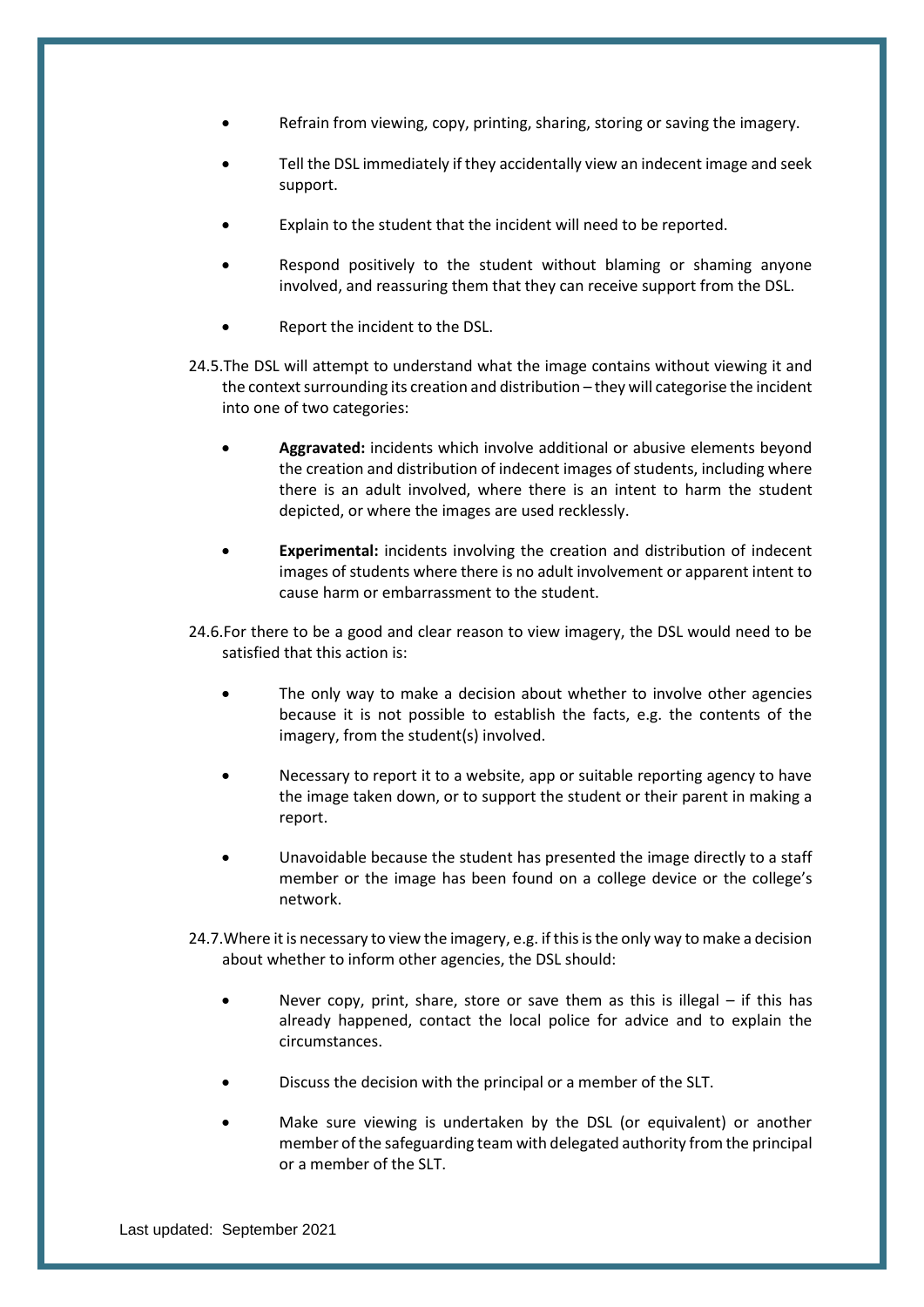- Refrain from viewing, copy, printing, sharing, storing or saving the imagery.
- Tell the DSL immediately if they accidentally view an indecent image and seek support.
- Explain to the student that the incident will need to be reported.
- Respond positively to the student without blaming or shaming anyone involved, and reassuring them that they can receive support from the DSL.
- Report the incident to the DSL.
- 24.5.The DSL will attempt to understand what the image contains without viewing it and the context surrounding its creation and distribution – they will categorise the incident into one of two categories:
	- **Aggravated:** incidents which involve additional or abusive elements beyond the creation and distribution of indecent images of students, including where there is an adult involved, where there is an intent to harm the student depicted, or where the images are used recklessly.
	- **Experimental:** incidents involving the creation and distribution of indecent images of students where there is no adult involvement or apparent intent to cause harm or embarrassment to the student.
- 24.6.For there to be a good and clear reason to view imagery, the DSL would need to be satisfied that this action is:
	- The only way to make a decision about whether to involve other agencies because it is not possible to establish the facts, e.g. the contents of the imagery, from the student(s) involved.
	- Necessary to report it to a website, app or suitable reporting agency to have the image taken down, or to support the student or their parent in making a report.
	- Unavoidable because the student has presented the image directly to a staff member or the image has been found on a college device or the college's network.
- 24.7.Where it is necessary to view the imagery, e.g. if this is the only way to make a decision about whether to inform other agencies, the DSL should:
	- Never copy, print, share, store or save them as this is illegal  $-$  if this has already happened, contact the local police for advice and to explain the circumstances.
	- Discuss the decision with the principal or a member of the SLT.
	- Make sure viewing is undertaken by the DSL (or equivalent) or another member of the safeguarding team with delegated authority from the principal or a member of the SLT.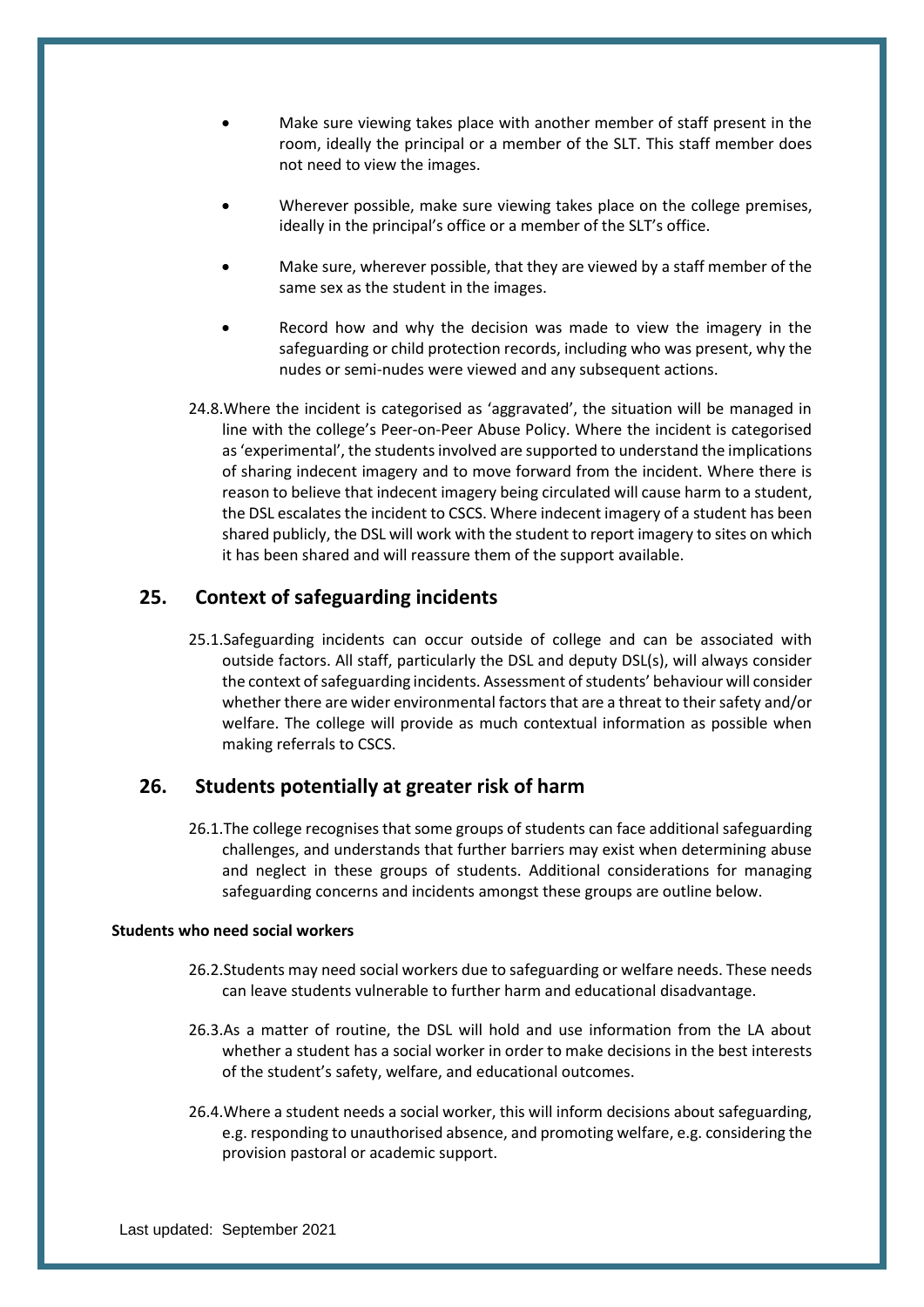- Make sure viewing takes place with another member of staff present in the room, ideally the principal or a member of the SLT. This staff member does not need to view the images.
- Wherever possible, make sure viewing takes place on the college premises, ideally in the principal's office or a member of the SLT's office.
- Make sure, wherever possible, that they are viewed by a staff member of the same sex as the student in the images.
- Record how and why the decision was made to view the imagery in the safeguarding or child protection records, including who was present, why the nudes or semi-nudes were viewed and any subsequent actions.
- 24.8.Where the incident is categorised as 'aggravated', the situation will be managed in line with the college's Peer-on-Peer Abuse Policy. Where the incident is categorised as 'experimental', the students involved are supported to understand the implications of sharing indecent imagery and to move forward from the incident. Where there is reason to believe that indecent imagery being circulated will cause harm to a student, the DSL escalates the incident to CSCS. Where indecent imagery of a student has been shared publicly, the DSL will work with the student to report imagery to sites on which it has been shared and will reassure them of the support available.

## <span id="page-36-0"></span>**25. Context of safeguarding incidents**

25.1.Safeguarding incidents can occur outside of college and can be associated with outside factors. All staff, particularly the DSL and deputy DSL(s), will always consider the context of safeguarding incidents. Assessment of students' behaviour will consider whether there are wider environmental factors that are a threat to their safety and/or welfare. The college will provide as much contextual information as possible when making referrals to CSCS.

#### <span id="page-36-1"></span>**26. Students potentially at greater risk of harm**

26.1.The college recognises that some groups of students can face additional safeguarding challenges, and understands that further barriers may exist when determining abuse and neglect in these groups of students. Additional considerations for managing safeguarding concerns and incidents amongst these groups are outline below.

#### **Students who need social workers**

- 26.2.Students may need social workers due to safeguarding or welfare needs. These needs can leave students vulnerable to further harm and educational disadvantage.
- 26.3.As a matter of routine, the DSL will hold and use information from the LA about whether a student has a social worker in order to make decisions in the best interests of the student's safety, welfare, and educational outcomes.
- 26.4.Where a student needs a social worker, this will inform decisions about safeguarding, e.g. responding to unauthorised absence, and promoting welfare, e.g. considering the provision pastoral or academic support.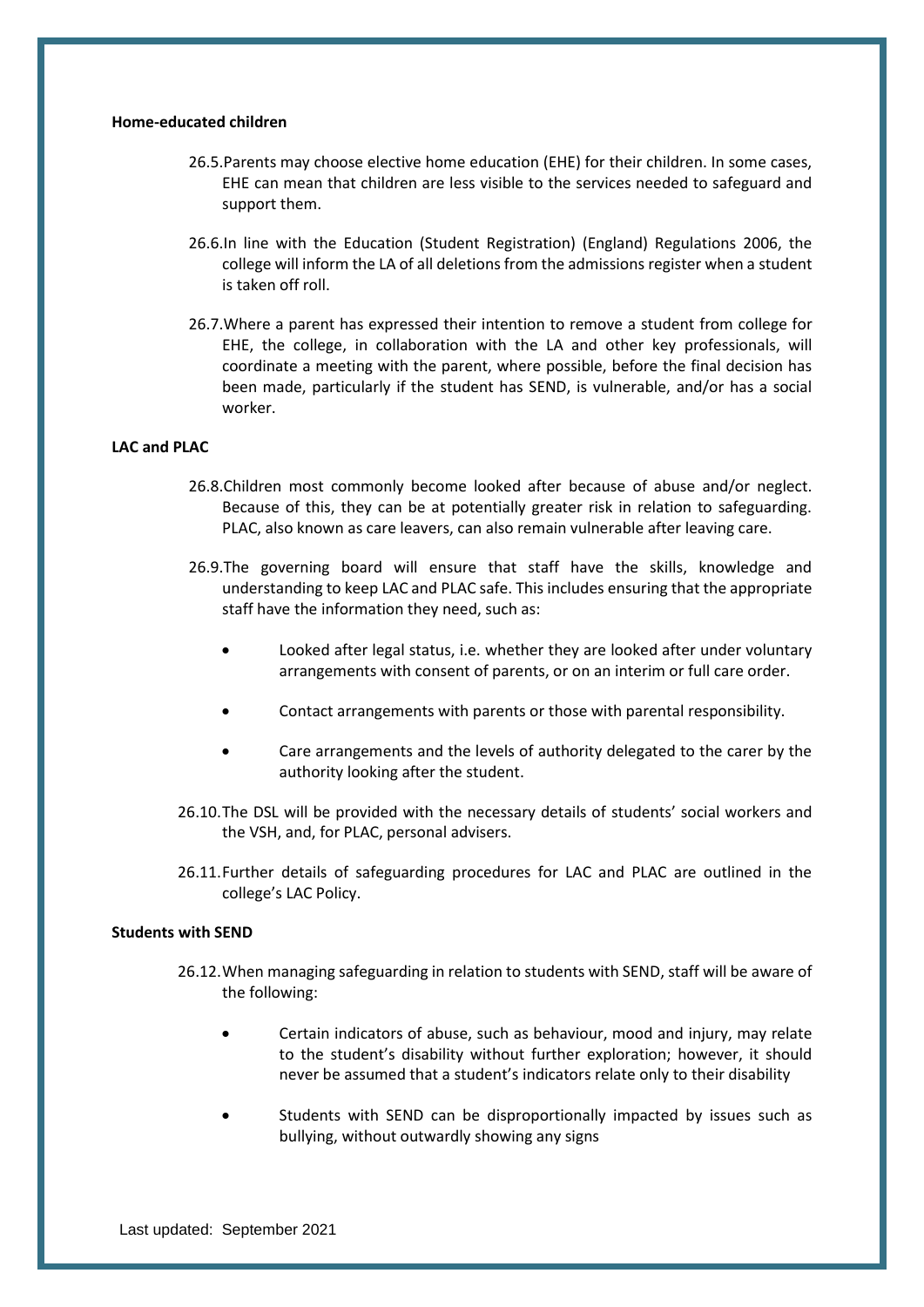#### **Home-educated children**

- 26.5.Parents may choose elective home education (EHE) for their children. In some cases, EHE can mean that children are less visible to the services needed to safeguard and support them.
- 26.6.In line with the Education (Student Registration) (England) Regulations 2006, the college will inform the LA of all deletions from the admissions register when a student is taken off roll.
- 26.7.Where a parent has expressed their intention to remove a student from college for EHE, the college, in collaboration with the LA and other key professionals, will coordinate a meeting with the parent, where possible, before the final decision has been made, particularly if the student has SEND, is vulnerable, and/or has a social worker.

#### **LAC and PLAC**

- 26.8.Children most commonly become looked after because of abuse and/or neglect. Because of this, they can be at potentially greater risk in relation to safeguarding. PLAC, also known as care leavers, can also remain vulnerable after leaving care.
- 26.9.The governing board will ensure that staff have the skills, knowledge and understanding to keep LAC and PLAC safe. This includes ensuring that the appropriate staff have the information they need, such as:
	- Looked after legal status, i.e. whether they are looked after under voluntary arrangements with consent of parents, or on an interim or full care order.
	- Contact arrangements with parents or those with parental responsibility.
	- Care arrangements and the levels of authority delegated to the carer by the authority looking after the student.
- 26.10.The DSL will be provided with the necessary details of students' social workers and the VSH, and, for PLAC, personal advisers.
- 26.11.Further details of safeguarding procedures for LAC and PLAC are outlined in the college's LAC Policy.

#### **Students with SEND**

- 26.12.When managing safeguarding in relation to students with SEND, staff will be aware of the following:
	- Certain indicators of abuse, such as behaviour, mood and injury, may relate to the student's disability without further exploration; however, it should never be assumed that a student's indicators relate only to their disability
	- Students with SEND can be disproportionally impacted by issues such as bullying, without outwardly showing any signs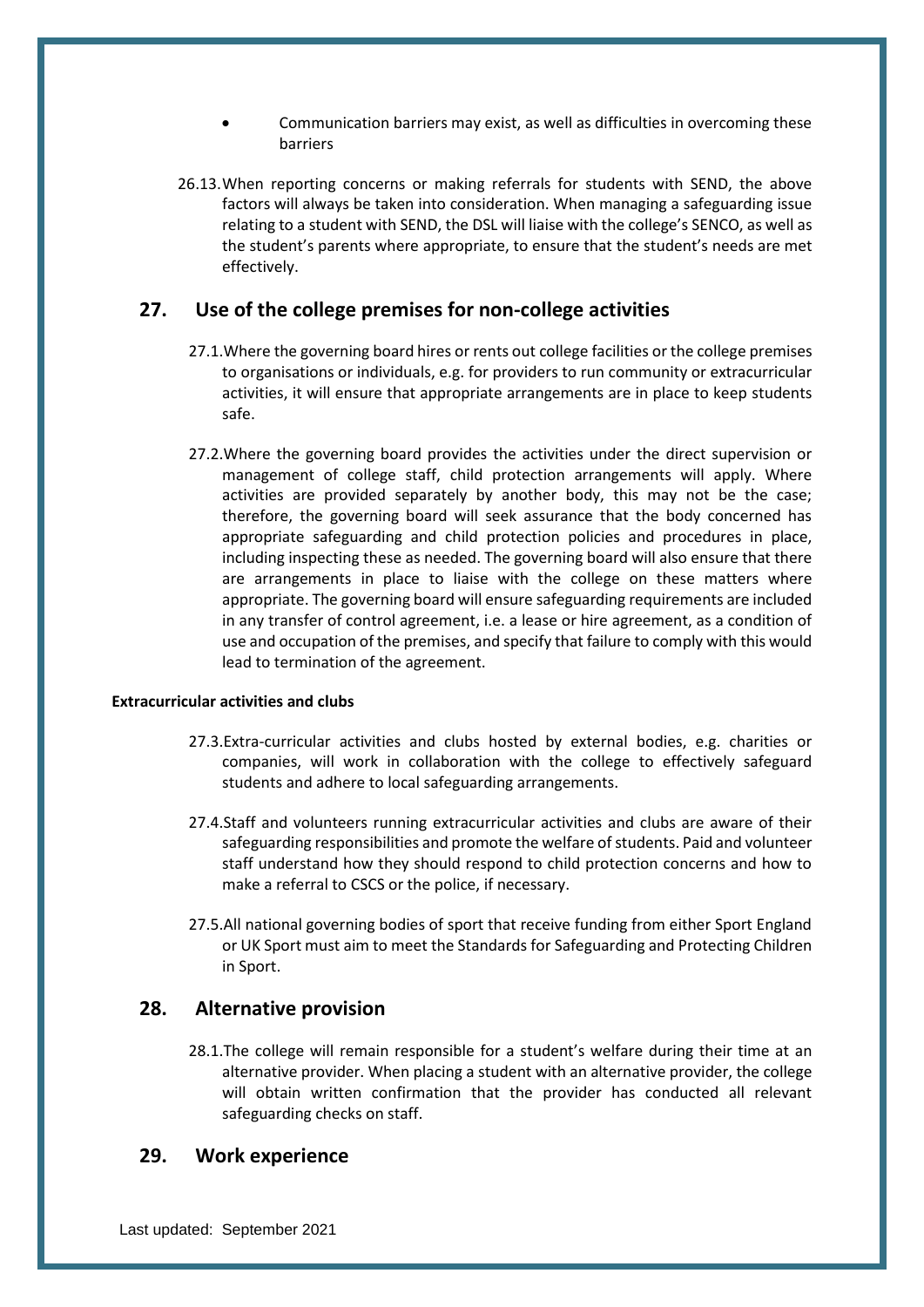- Communication barriers may exist, as well as difficulties in overcoming these barriers
- 26.13.When reporting concerns or making referrals for students with SEND, the above factors will always be taken into consideration. When managing a safeguarding issue relating to a student with SEND, the DSL will liaise with the college's SENCO, as well as the student's parents where appropriate, to ensure that the student's needs are met effectively.

## <span id="page-38-0"></span>**27. Use of the college premises for non-college activities**

- 27.1.Where the governing board hires or rents out college facilities or the college premises to organisations or individuals, e.g. for providers to run community or extracurricular activities, it will ensure that appropriate arrangements are in place to keep students safe.
- 27.2.Where the governing board provides the activities under the direct supervision or management of college staff, child protection arrangements will apply. Where activities are provided separately by another body, this may not be the case; therefore, the governing board will seek assurance that the body concerned has appropriate safeguarding and child protection policies and procedures in place, including inspecting these as needed. The governing board will also ensure that there are arrangements in place to liaise with the college on these matters where appropriate. The governing board will ensure safeguarding requirements are included in any transfer of control agreement, i.e. a lease or hire agreement, as a condition of use and occupation of the premises, and specify that failure to comply with this would lead to termination of the agreement.

#### **Extracurricular activities and clubs**

- 27.3.Extra-curricular activities and clubs hosted by external bodies, e.g. charities or companies, will work in collaboration with the college to effectively safeguard students and adhere to local safeguarding arrangements.
- 27.4.Staff and volunteers running extracurricular activities and clubs are aware of their safeguarding responsibilities and promote the welfare of students. Paid and volunteer staff understand how they should respond to child protection concerns and how to make a referral to CSCS or the police, if necessary.
- 27.5.All national governing bodies of sport that receive funding from either Sport England or UK Sport must aim to meet the Standards for Safeguarding and Protecting Children in Sport.

## <span id="page-38-1"></span>**28. Alternative provision**

28.1.The college will remain responsible for a student's welfare during their time at an alternative provider. When placing a student with an alternative provider, the college will obtain written confirmation that the provider has conducted all relevant safeguarding checks on staff.

#### <span id="page-38-2"></span>**29. Work experience**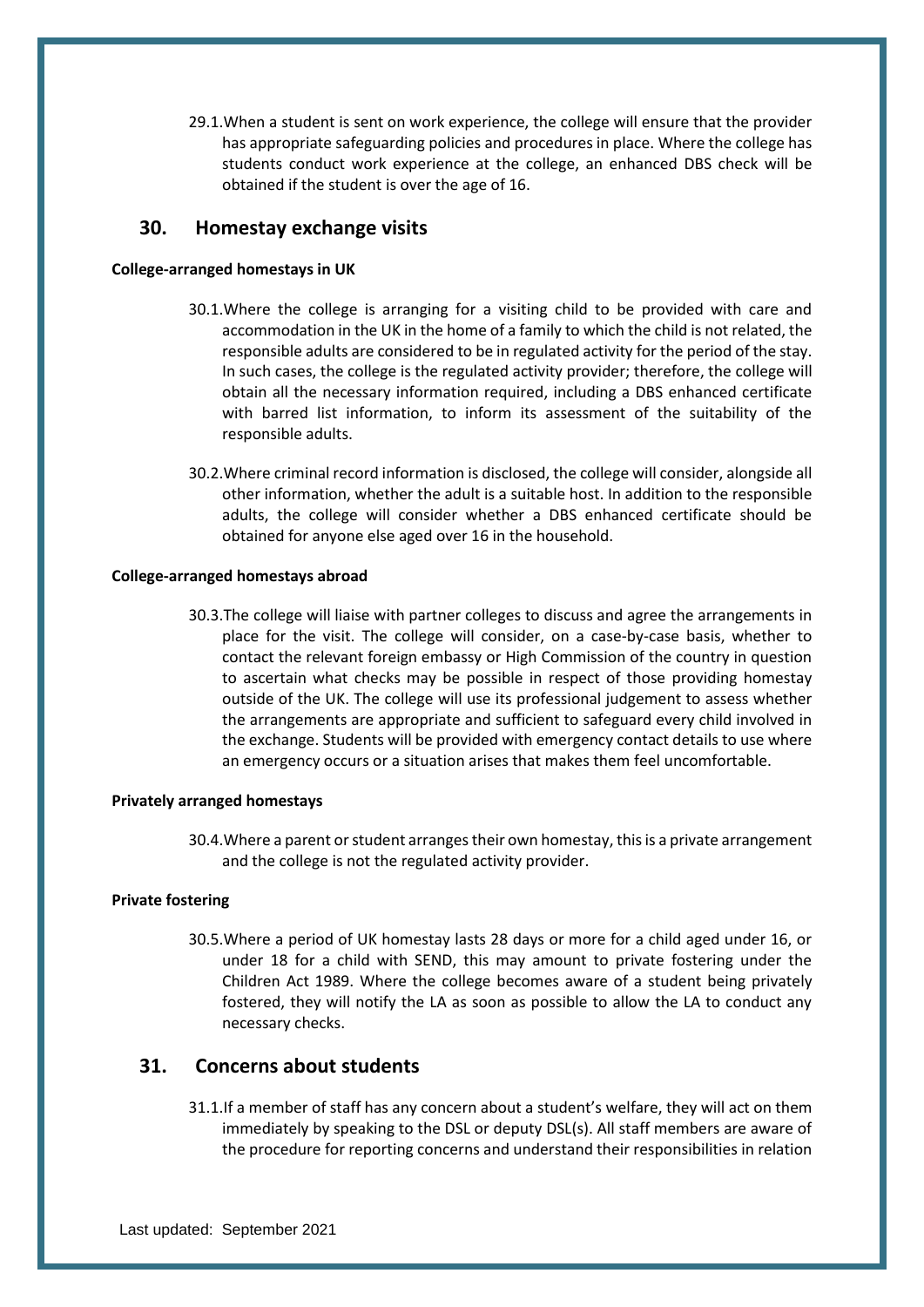29.1.When a student is sent on work experience, the college will ensure that the provider has appropriate safeguarding policies and procedures in place. Where the college has students conduct work experience at the college, an enhanced DBS check will be obtained if the student is over the age of 16.

## <span id="page-39-0"></span>**30. Homestay exchange visits**

#### **College-arranged homestays in UK**

- 30.1.Where the college is arranging for a visiting child to be provided with care and accommodation in the UK in the home of a family to which the child is not related, the responsible adults are considered to be in regulated activity for the period of the stay. In such cases, the college is the regulated activity provider; therefore, the college will obtain all the necessary information required, including a DBS enhanced certificate with barred list information, to inform its assessment of the suitability of the responsible adults.
- 30.2.Where criminal record information is disclosed, the college will consider, alongside all other information, whether the adult is a suitable host. In addition to the responsible adults, the college will consider whether a DBS enhanced certificate should be obtained for anyone else aged over 16 in the household.

#### **College-arranged homestays abroad**

30.3.The college will liaise with partner colleges to discuss and agree the arrangements in place for the visit. The college will consider, on a case-by-case basis, whether to contact the relevant foreign embassy or High Commission of the country in question to ascertain what checks may be possible in respect of those providing homestay outside of the UK. The college will use its professional judgement to assess whether the arrangements are appropriate and sufficient to safeguard every child involved in the exchange. Students will be provided with emergency contact details to use where an emergency occurs or a situation arises that makes them feel uncomfortable.

#### **Privately arranged homestays**

30.4.Where a parent or student arranges their own homestay, this is a private arrangement and the college is not the regulated activity provider.

#### **Private fostering**

30.5.Where a period of UK homestay lasts 28 days or more for a child aged under 16, or under 18 for a child with SEND, this may amount to private fostering under the Children Act 1989. Where the college becomes aware of a student being privately fostered, they will notify the LA as soon as possible to allow the LA to conduct any necessary checks.

## <span id="page-39-1"></span>**31. Concerns about students**

31.1.If a member of staff has any concern about a student's welfare, they will act on them immediately by speaking to the DSL or deputy DSL(s). All staff members are aware of the procedure for reporting concerns and understand their responsibilities in relation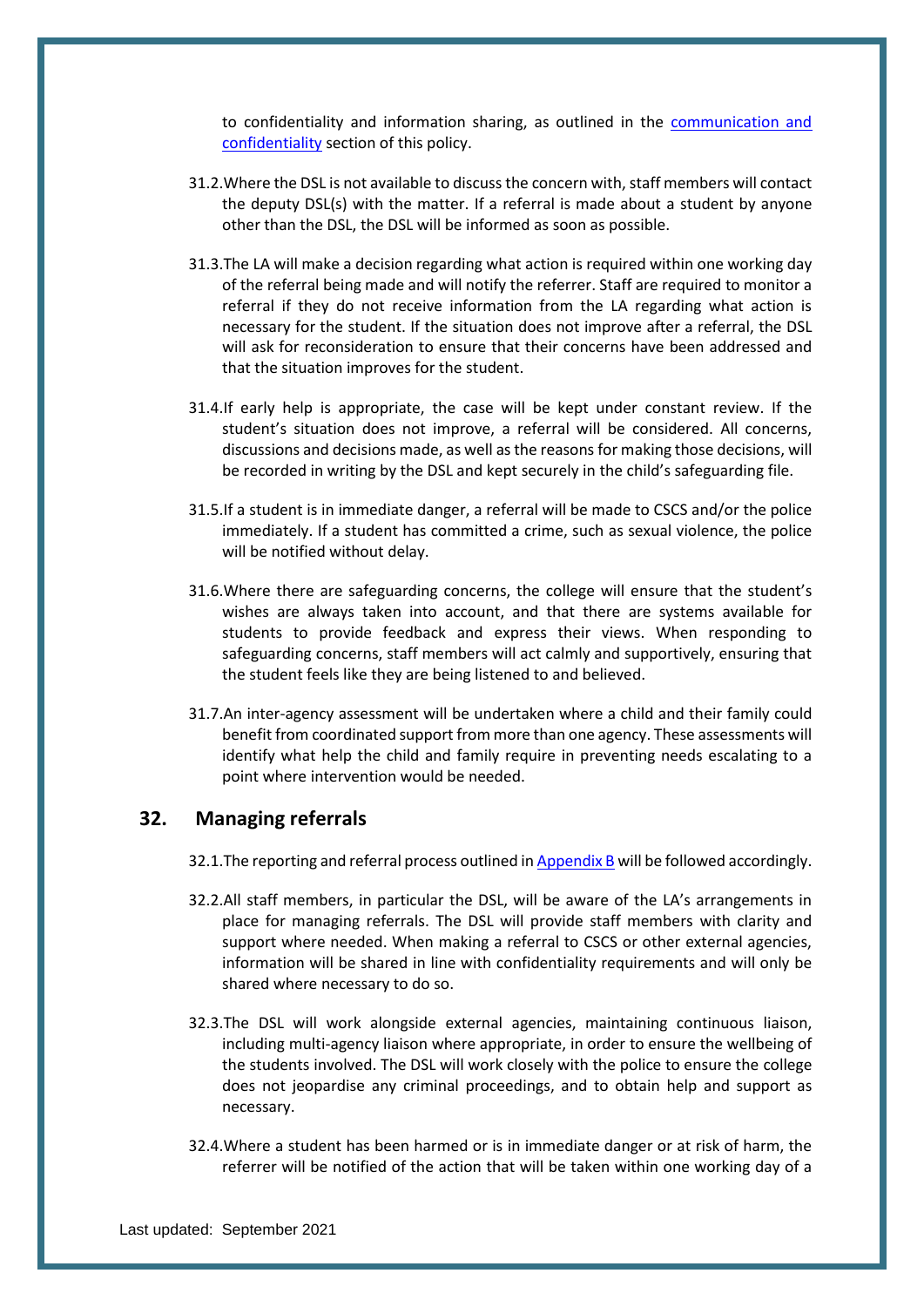to confidentiality and information sharing, as outlined in the [communication and](#page-42-0)  [confidentiality](#page-42-0) section of this policy.

- 31.2.Where the DSL is not available to discuss the concern with, staff members will contact the deputy DSL(s) with the matter. If a referral is made about a student by anyone other than the DSL, the DSL will be informed as soon as possible.
- 31.3.The LA will make a decision regarding what action is required within one working day of the referral being made and will notify the referrer. Staff are required to monitor a referral if they do not receive information from the LA regarding what action is necessary for the student. If the situation does not improve after a referral, the DSL will ask for reconsideration to ensure that their concerns have been addressed and that the situation improves for the student.
- 31.4.If early help is appropriate, the case will be kept under constant review. If the student's situation does not improve, a referral will be considered. All concerns, discussions and decisions made, as well as the reasons for making those decisions, will be recorded in writing by the DSL and kept securely in the child's safeguarding file.
- 31.5.If a student is in immediate danger, a referral will be made to CSCS and/or the police immediately. If a student has committed a crime, such as sexual violence, the police will be notified without delay.
- 31.6.Where there are safeguarding concerns, the college will ensure that the student's wishes are always taken into account, and that there are systems available for students to provide feedback and express their views. When responding to safeguarding concerns, staff members will act calmly and supportively, ensuring that the student feels like they are being listened to and believed.
- 31.7.An inter-agency assessment will be undertaken where a child and their family could benefit from coordinated support from more than one agency. These assessments will identify what help the child and family require in preventing needs escalating to a point where intervention would be needed.

## <span id="page-40-0"></span>**32. Managing referrals**

- 32.1.The reporting and referral process outlined i[n Appendix B](#page-49-0) will be followed accordingly.
- 32.2.All staff members, in particular the DSL, will be aware of the LA's arrangements in place for managing referrals. The DSL will provide staff members with clarity and support where needed. When making a referral to CSCS or other external agencies, information will be shared in line with confidentiality requirements and will only be shared where necessary to do so.
- 32.3.The DSL will work alongside external agencies, maintaining continuous liaison, including multi-agency liaison where appropriate, in order to ensure the wellbeing of the students involved. The DSL will work closely with the police to ensure the college does not jeopardise any criminal proceedings, and to obtain help and support as necessary.
- 32.4.Where a student has been harmed or is in immediate danger or at risk of harm, the referrer will be notified of the action that will be taken within one working day of a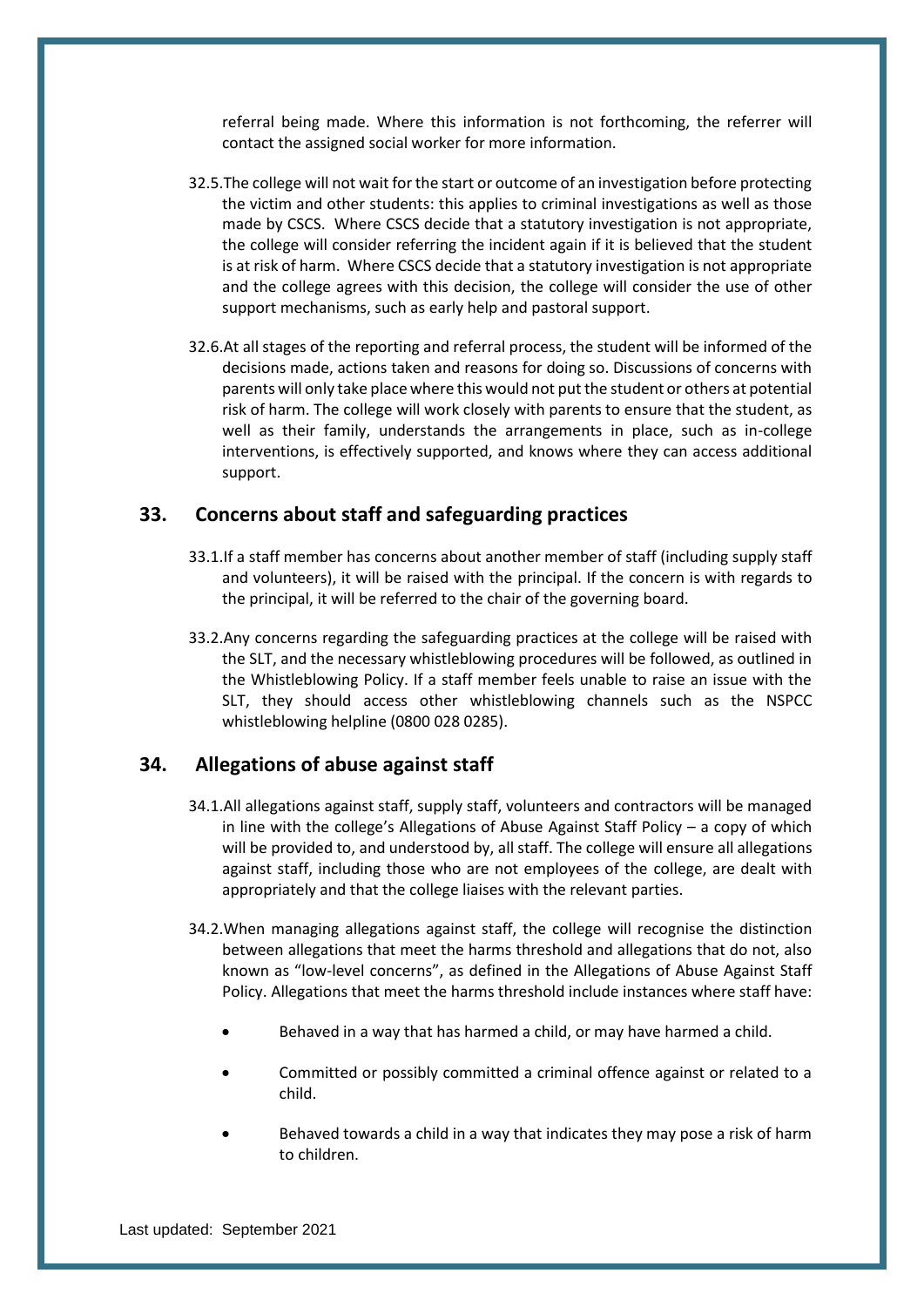referral being made. Where this information is not forthcoming, the referrer will contact the assigned social worker for more information.

- 32.5.The college will not wait for the start or outcome of an investigation before protecting the victim and other students: this applies to criminal investigations as well as those made by CSCS. Where CSCS decide that a statutory investigation is not appropriate, the college will consider referring the incident again if it is believed that the student is at risk of harm. Where CSCS decide that a statutory investigation is not appropriate and the college agrees with this decision, the college will consider the use of other support mechanisms, such as early help and pastoral support.
- 32.6.At all stages of the reporting and referral process, the student will be informed of the decisions made, actions taken and reasons for doing so. Discussions of concerns with parents will only take place where this would not put the student or others at potential risk of harm. The college will work closely with parents to ensure that the student, as well as their family, understands the arrangements in place, such as in-college interventions, is effectively supported, and knows where they can access additional support.

## <span id="page-41-0"></span>**33. Concerns about staff and safeguarding practices**

- 33.1.If a staff member has concerns about another member of staff (including supply staff and volunteers), it will be raised with the principal. If the concern is with regards to the principal, it will be referred to the chair of the governing board.
- 33.2.Any concerns regarding the safeguarding practices at the college will be raised with the SLT, and the necessary whistleblowing procedures will be followed, as outlined in the Whistleblowing Policy. If a staff member feels unable to raise an issue with the SLT, they should access other whistleblowing channels such as the NSPCC whistleblowing helpline (0800 028 0285).

## <span id="page-41-1"></span>**34. Allegations of abuse against staff**

- 34.1.All allegations against staff, supply staff, volunteers and contractors will be managed in line with the college's Allegations of Abuse Against Staff Policy – a copy of which will be provided to, and understood by, all staff. The college will ensure all allegations against staff, including those who are not employees of the college, are dealt with appropriately and that the college liaises with the relevant parties.
- 34.2.When managing allegations against staff, the college will recognise the distinction between allegations that meet the harms threshold and allegations that do not, also known as "low-level concerns", as defined in the Allegations of Abuse Against Staff Policy. Allegations that meet the harms threshold include instances where staff have:
	- Behaved in a way that has harmed a child, or may have harmed a child.
	- Committed or possibly committed a criminal offence against or related to a child.
	- Behaved towards a child in a way that indicates they may pose a risk of harm to children.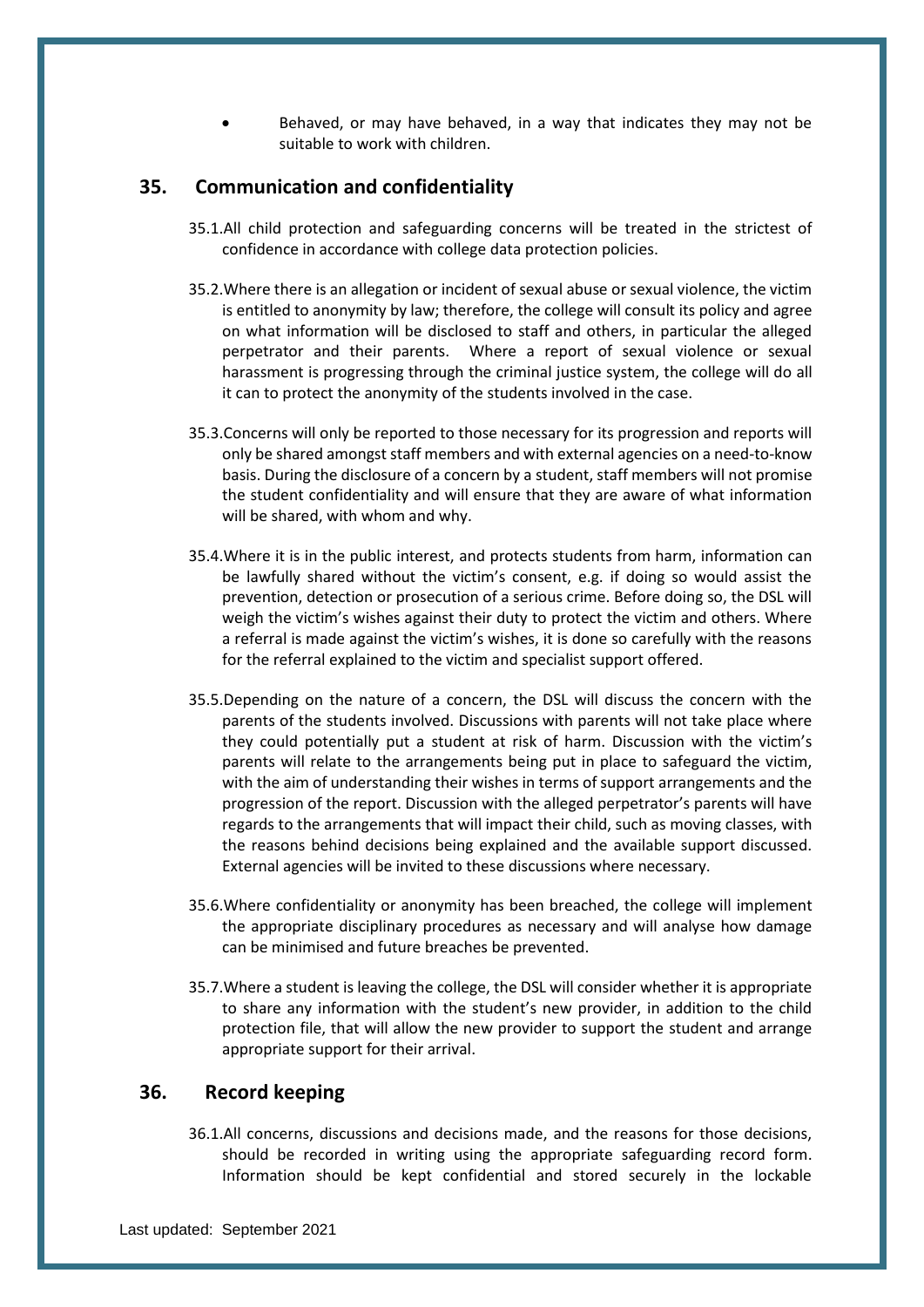• Behaved, or may have behaved, in a way that indicates they may not be suitable to work with children.

## <span id="page-42-0"></span>**35. Communication and confidentiality**

- 35.1.All child protection and safeguarding concerns will be treated in the strictest of confidence in accordance with college data protection policies.
- 35.2.Where there is an allegation or incident of sexual abuse or sexual violence, the victim is entitled to anonymity by law; therefore, the college will consult its policy and agree on what information will be disclosed to staff and others, in particular the alleged perpetrator and their parents. Where a report of sexual violence or sexual harassment is progressing through the criminal justice system, the college will do all it can to protect the anonymity of the students involved in the case.
- 35.3.Concerns will only be reported to those necessary for its progression and reports will only be shared amongst staff members and with external agencies on a need-to-know basis. During the disclosure of a concern by a student, staff members will not promise the student confidentiality and will ensure that they are aware of what information will be shared, with whom and why.
- 35.4.Where it is in the public interest, and protects students from harm, information can be lawfully shared without the victim's consent, e.g. if doing so would assist the prevention, detection or prosecution of a serious crime. Before doing so, the DSL will weigh the victim's wishes against their duty to protect the victim and others. Where a referral is made against the victim's wishes, it is done so carefully with the reasons for the referral explained to the victim and specialist support offered.
- 35.5.Depending on the nature of a concern, the DSL will discuss the concern with the parents of the students involved. Discussions with parents will not take place where they could potentially put a student at risk of harm. Discussion with the victim's parents will relate to the arrangements being put in place to safeguard the victim, with the aim of understanding their wishes in terms of support arrangements and the progression of the report. Discussion with the alleged perpetrator's parents will have regards to the arrangements that will impact their child, such as moving classes, with the reasons behind decisions being explained and the available support discussed. External agencies will be invited to these discussions where necessary.
- 35.6.Where confidentiality or anonymity has been breached, the college will implement the appropriate disciplinary procedures as necessary and will analyse how damage can be minimised and future breaches be prevented.
- 35.7.Where a student is leaving the college, the DSL will consider whether it is appropriate to share any information with the student's new provider, in addition to the child protection file, that will allow the new provider to support the student and arrange appropriate support for their arrival.

## <span id="page-42-1"></span>**36. Record keeping**

36.1.All concerns, discussions and decisions made, and the reasons for those decisions, should be recorded in writing using the appropriate safeguarding record form. Information should be kept confidential and stored securely in the lockable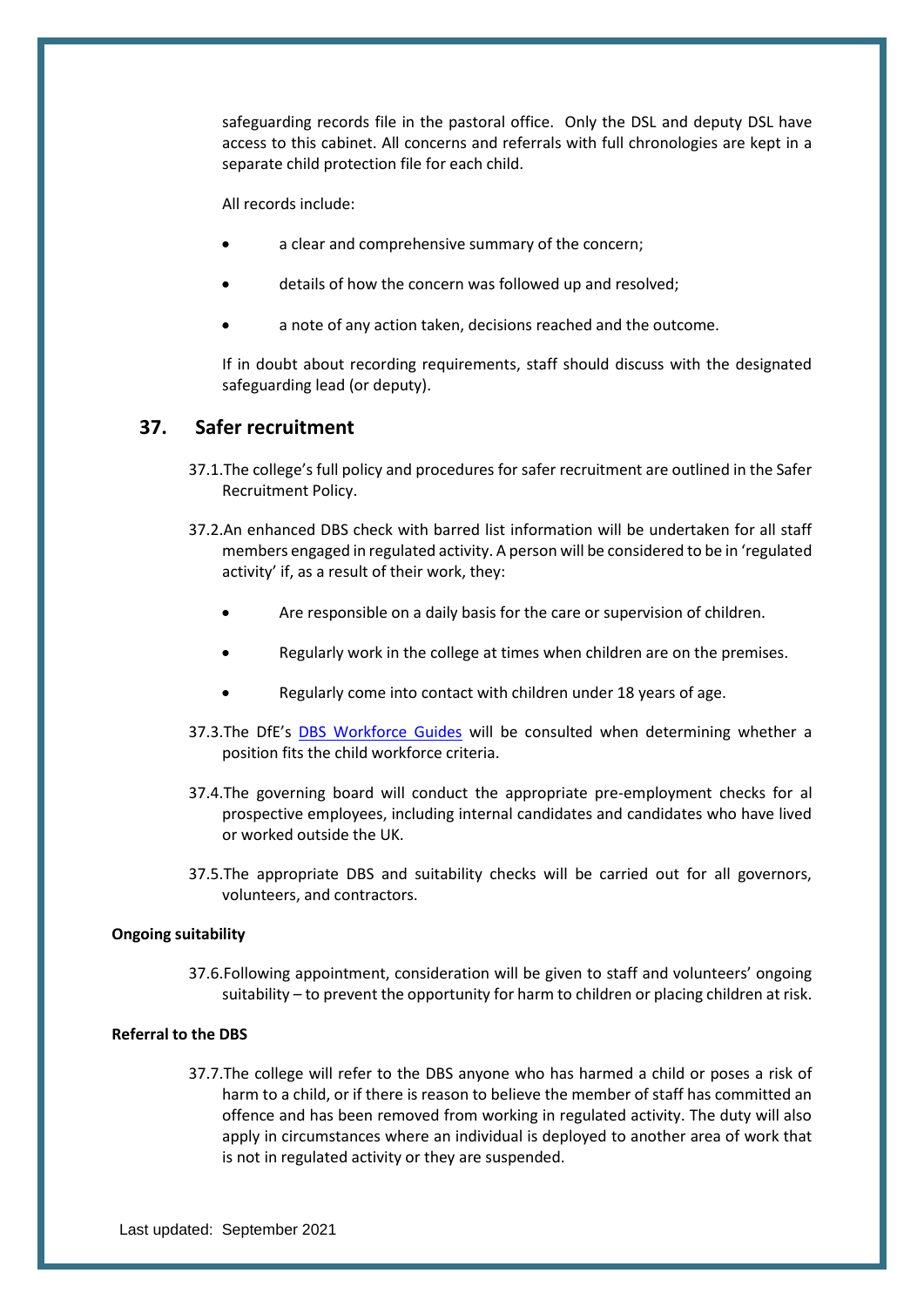safeguarding records file in the pastoral office. Only the DSL and deputy DSL have access to this cabinet. All concerns and referrals with full chronologies are kept in a separate child protection file for each child.

All records include:

- a clear and comprehensive summary of the concern;
- details of how the concern was followed up and resolved;
- a note of any action taken, decisions reached and the outcome.

If in doubt about recording requirements, staff should discuss with the designated safeguarding lead (or deputy).

## <span id="page-43-0"></span>**37. Safer recruitment**

- 37.1.The college's full policy and procedures for safer recruitment are outlined in the Safer Recruitment Policy.
- 37.2.An enhanced DBS check with barred list information will be undertaken for all staff members engaged in regulated activity. A person will be considered to be in 'regulated activity' if, as a result of their work, they:
	- Are responsible on a daily basis for the care or supervision of children.
	- Regularly work in the college at times when children are on the premises.
	- Regularly come into contact with children under 18 years of age.
- 37.3.The DfE's [DBS Workforce Guides](https://www.gov.uk/government/publications/dbs-workforce-guidance) will be consulted when determining whether a position fits the child workforce criteria.
- 37.4.The governing board will conduct the appropriate pre-employment checks for al prospective employees, including internal candidates and candidates who have lived or worked outside the UK.
- 37.5.The appropriate DBS and suitability checks will be carried out for all governors, volunteers, and contractors.

#### **Ongoing suitability**

37.6.Following appointment, consideration will be given to staff and volunteers' ongoing suitability – to prevent the opportunity for harm to children or placing children at risk.

#### **Referral to the DBS**

37.7.The college will refer to the DBS anyone who has harmed a child or poses a risk of harm to a child, or if there is reason to believe the member of staff has committed an offence and has been removed from working in regulated activity. The duty will also apply in circumstances where an individual is deployed to another area of work that is not in regulated activity or they are suspended.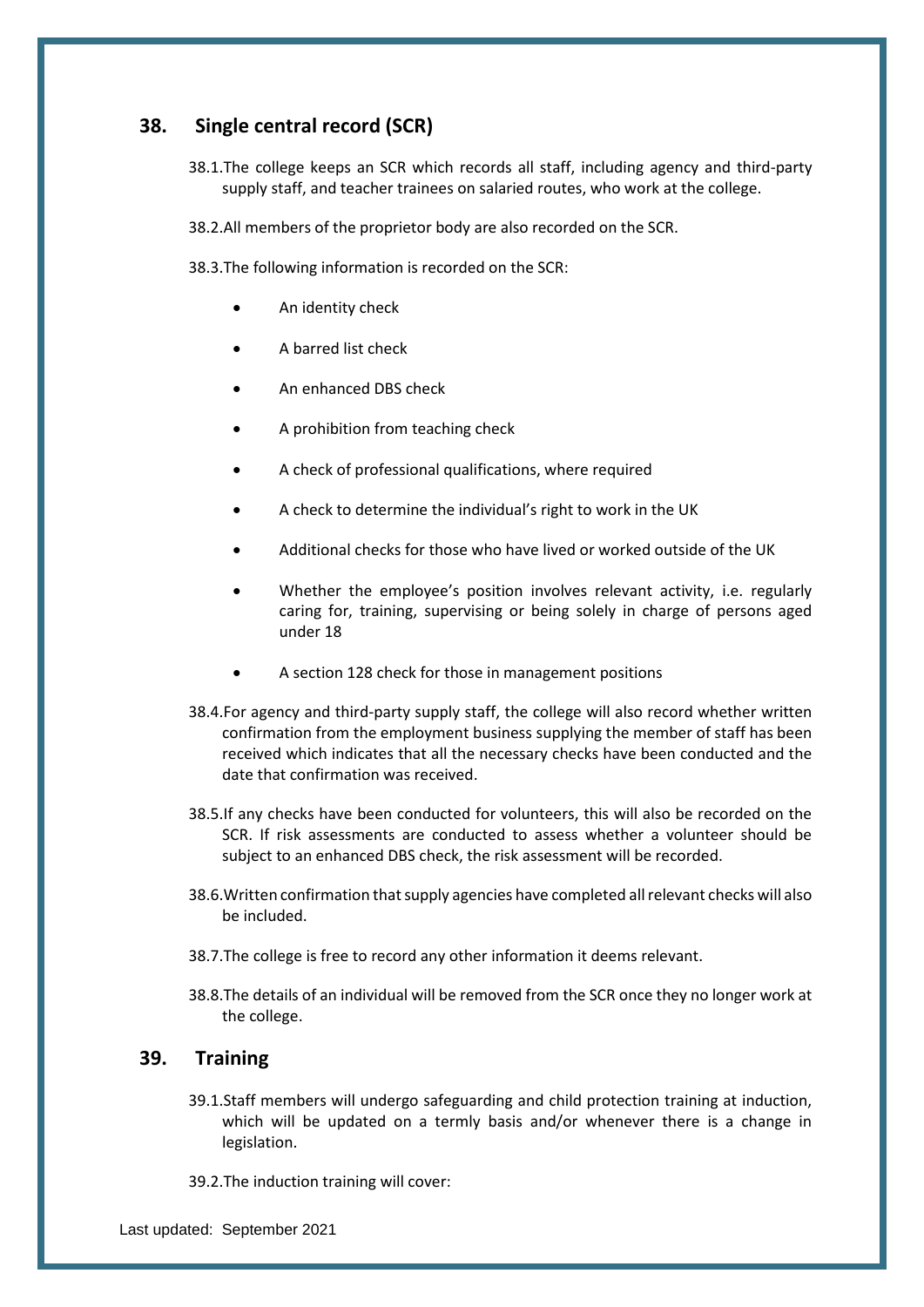## <span id="page-44-0"></span>**38. Single central record (SCR)**

38.1.The college keeps an SCR which records all staff, including agency and third-party supply staff, and teacher trainees on salaried routes, who work at the college.

38.2.All members of the proprietor body are also recorded on the SCR.

38.3.The following information is recorded on the SCR:

- An identity check
- A barred list check
- An enhanced DBS check
- A prohibition from teaching check
- A check of professional qualifications, where required
- A check to determine the individual's right to work in the UK
- Additional checks for those who have lived or worked outside of the UK
- Whether the employee's position involves relevant activity, i.e. regularly caring for, training, supervising or being solely in charge of persons aged under 18
- A section 128 check for those in management positions
- 38.4.For agency and third-party supply staff, the college will also record whether written confirmation from the employment business supplying the member of staff has been received which indicates that all the necessary checks have been conducted and the date that confirmation was received.
- 38.5.If any checks have been conducted for volunteers, this will also be recorded on the SCR. If risk assessments are conducted to assess whether a volunteer should be subject to an enhanced DBS check, the risk assessment will be recorded.
- 38.6.Written confirmation that supply agencies have completed all relevant checks will also be included.
- 38.7.The college is free to record any other information it deems relevant.
- 38.8.The details of an individual will be removed from the SCR once they no longer work at the college.

## <span id="page-44-1"></span>**39. Training**

- 39.1.Staff members will undergo safeguarding and child protection training at induction, which will be updated on a termly basis and/or whenever there is a change in legislation.
- 39.2.The induction training will cover: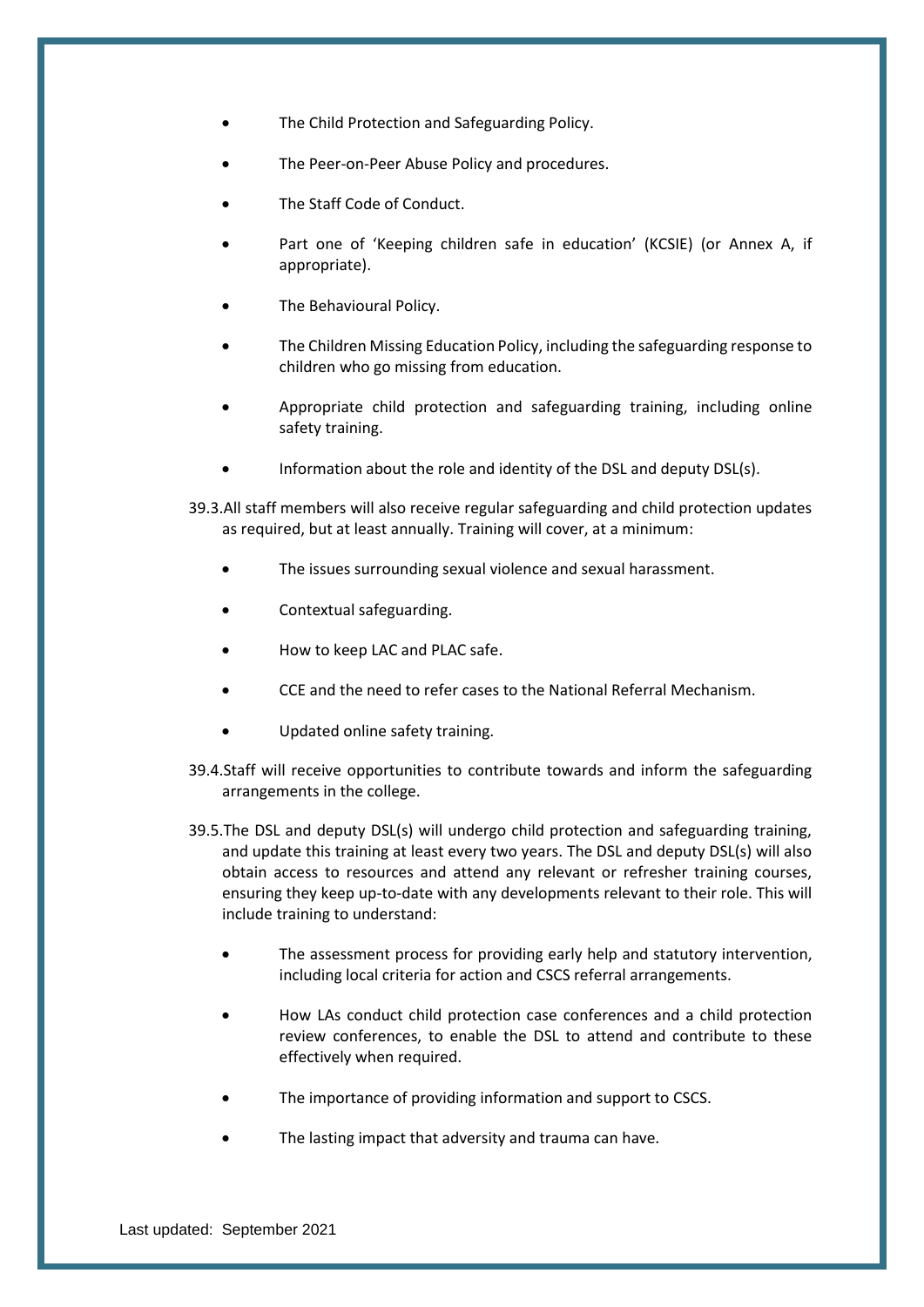- The Child Protection and Safeguarding Policy.
- The Peer-on-Peer Abuse Policy and procedures.
- The Staff Code of Conduct.
- Part one of 'Keeping children safe in education' (KCSIE) (or Annex A, if appropriate).
- The Behavioural Policy.
- The Children Missing Education Policy, including the safeguarding response to children who go missing from education.
- Appropriate child protection and safeguarding training, including online safety training.
- Information about the role and identity of the DSL and deputy DSL(s).

39.3.All staff members will also receive regular safeguarding and child protection updates as required, but at least annually. Training will cover, at a minimum:

- The issues surrounding sexual violence and sexual harassment.
- Contextual safeguarding.
- How to keep LAC and PLAC safe.
- CCE and the need to refer cases to the National Referral Mechanism.
- Updated online safety training.
- 39.4.Staff will receive opportunities to contribute towards and inform the safeguarding arrangements in the college.
- 39.5.The DSL and deputy DSL(s) will undergo child protection and safeguarding training, and update this training at least every two years. The DSL and deputy DSL(s) will also obtain access to resources and attend any relevant or refresher training courses, ensuring they keep up-to-date with any developments relevant to their role. This will include training to understand:
	- The assessment process for providing early help and statutory intervention, including local criteria for action and CSCS referral arrangements.
	- How LAs conduct child protection case conferences and a child protection review conferences, to enable the DSL to attend and contribute to these effectively when required.
	- The importance of providing information and support to CSCS.
	- The lasting impact that adversity and trauma can have.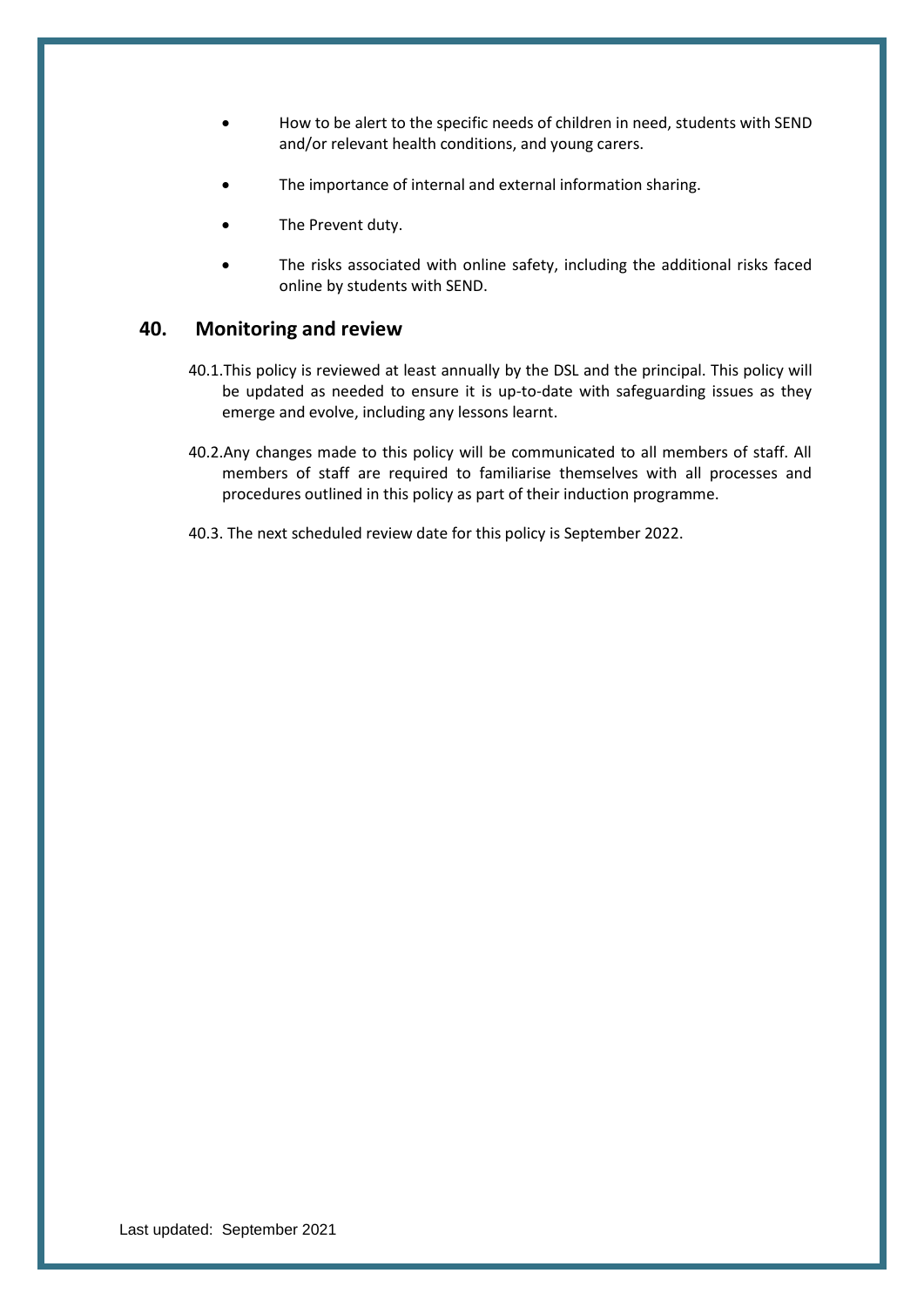- How to be alert to the specific needs of children in need, students with SEND and/or relevant health conditions, and young carers.
- The importance of internal and external information sharing.
- The Prevent duty.
- The risks associated with online safety, including the additional risks faced online by students with SEND.

## <span id="page-46-0"></span>**40. Monitoring and review**

- 40.1.This policy is reviewed at least annually by the DSL and the principal. This policy will be updated as needed to ensure it is up-to-date with safeguarding issues as they emerge and evolve, including any lessons learnt.
- 40.2.Any changes made to this policy will be communicated to all members of staff. All members of staff are required to familiarise themselves with all processes and procedures outlined in this policy as part of their induction programme.
- <span id="page-46-1"></span>40.3. The next scheduled review date for this policy is September 2022.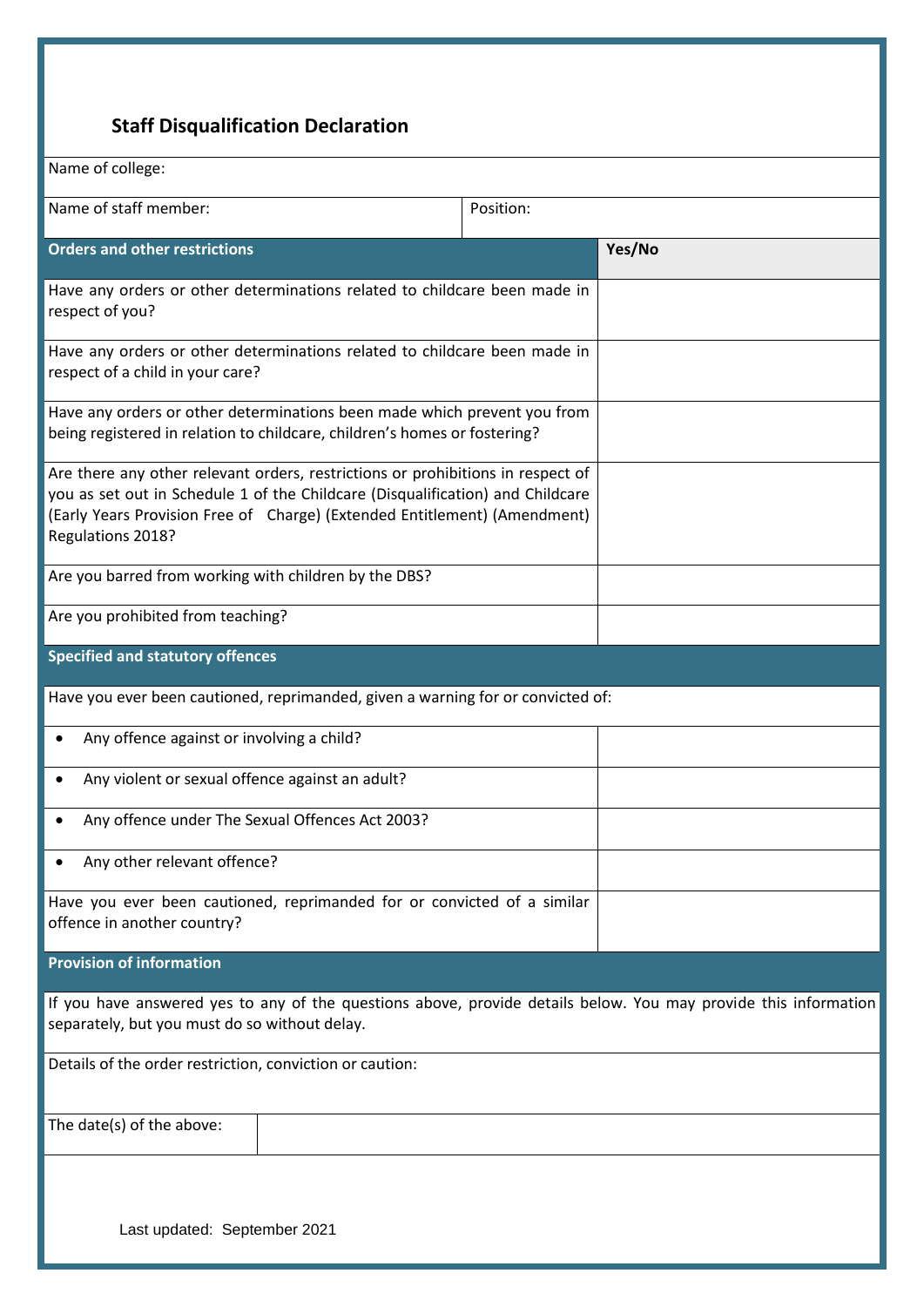## **Staff Disqualification Declaration**

| Name of college:                                                                                                                                                                                                                                                    |           |        |
|---------------------------------------------------------------------------------------------------------------------------------------------------------------------------------------------------------------------------------------------------------------------|-----------|--------|
| Name of staff member:                                                                                                                                                                                                                                               | Position: |        |
| <b>Orders and other restrictions</b>                                                                                                                                                                                                                                |           | Yes/No |
| Have any orders or other determinations related to childcare been made in<br>respect of you?                                                                                                                                                                        |           |        |
| Have any orders or other determinations related to childcare been made in<br>respect of a child in your care?                                                                                                                                                       |           |        |
| Have any orders or other determinations been made which prevent you from<br>being registered in relation to childcare, children's homes or fostering?                                                                                                               |           |        |
| Are there any other relevant orders, restrictions or prohibitions in respect of<br>you as set out in Schedule 1 of the Childcare (Disqualification) and Childcare<br>(Early Years Provision Free of Charge) (Extended Entitlement) (Amendment)<br>Regulations 2018? |           |        |
| Are you barred from working with children by the DBS?                                                                                                                                                                                                               |           |        |
| Are you prohibited from teaching?                                                                                                                                                                                                                                   |           |        |
| <b>Specified and statutory offences</b>                                                                                                                                                                                                                             |           |        |
| Have you ever been cautioned, reprimanded, given a warning for or convicted of:                                                                                                                                                                                     |           |        |
| Any offence against or involving a child?                                                                                                                                                                                                                           |           |        |
| Any violent or sexual offence against an adult?                                                                                                                                                                                                                     |           |        |
| Any offence under The Sexual Offences Act 2003?                                                                                                                                                                                                                     |           |        |
| Any other relevant offence?                                                                                                                                                                                                                                         |           |        |
| Have you ever been cautioned, reprimanded for or convicted of a similar<br>offence in another country?                                                                                                                                                              |           |        |
| <b>Provision of information</b>                                                                                                                                                                                                                                     |           |        |
| If you have answered yes to any of the questions above, provide details below. You may provide this information<br>separately, but you must do so without delay.                                                                                                    |           |        |
| Details of the order restriction, conviction or caution:                                                                                                                                                                                                            |           |        |
| The date(s) of the above:                                                                                                                                                                                                                                           |           |        |
|                                                                                                                                                                                                                                                                     |           |        |
| Last undated: Sentember 2021                                                                                                                                                                                                                                        |           |        |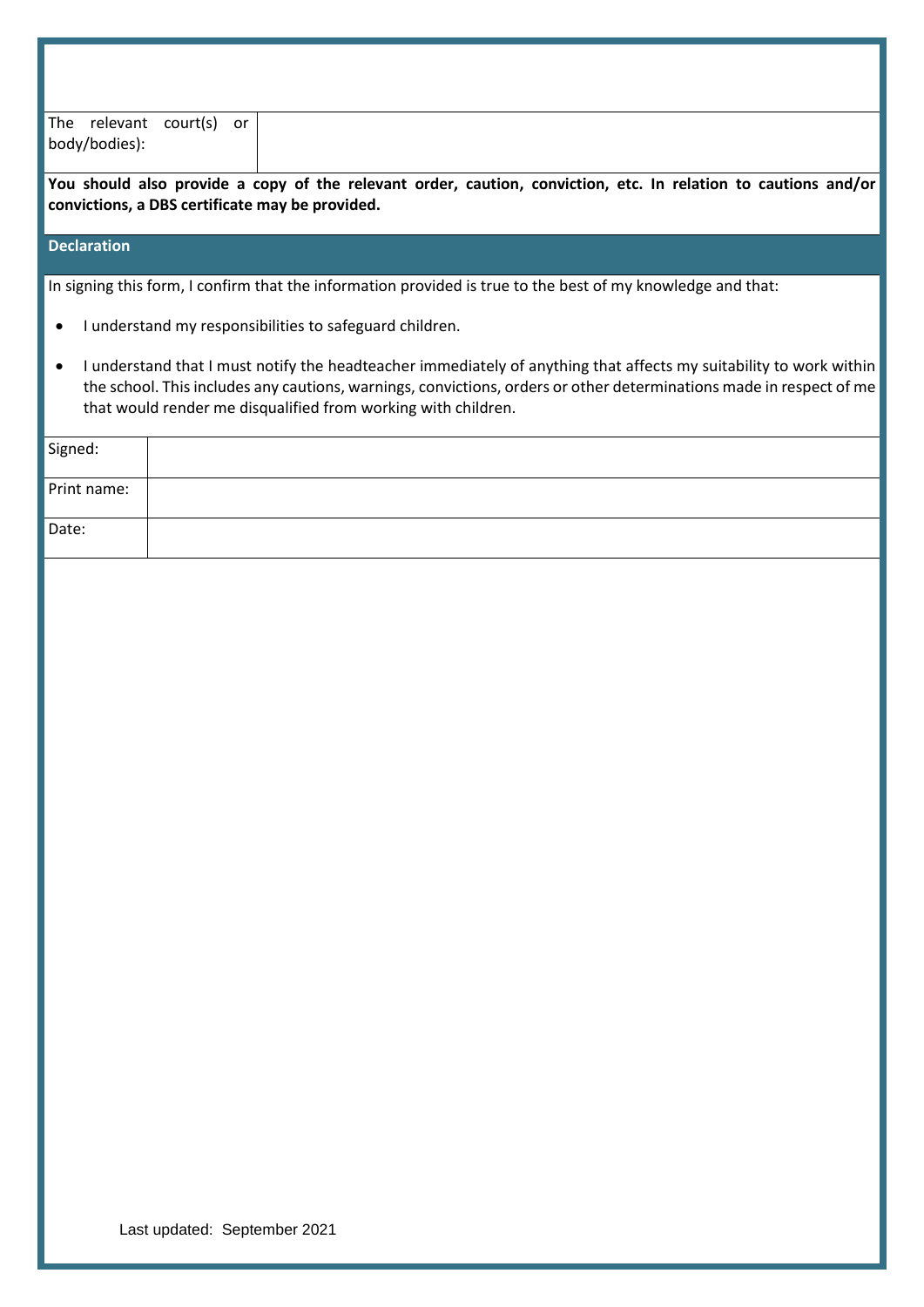| The relevant court(s) or |  |
|--------------------------|--|
| body/bodies):            |  |
|                          |  |

**You should also provide a copy of the relevant order, caution, conviction, etc. In relation to cautions and/or convictions, a DBS certificate may be provided.**

## **Declaration**

In signing this form, I confirm that the information provided is true to the best of my knowledge and that:

- I understand my responsibilities to safeguard children.
- I understand that I must notify the headteacher immediately of anything that affects my suitability to work within the school. This includes any cautions, warnings, convictions, orders or other determinations made in respect of me that would render me disqualified from working with children.

| Signed:     |  |
|-------------|--|
| Print name: |  |
| Date:       |  |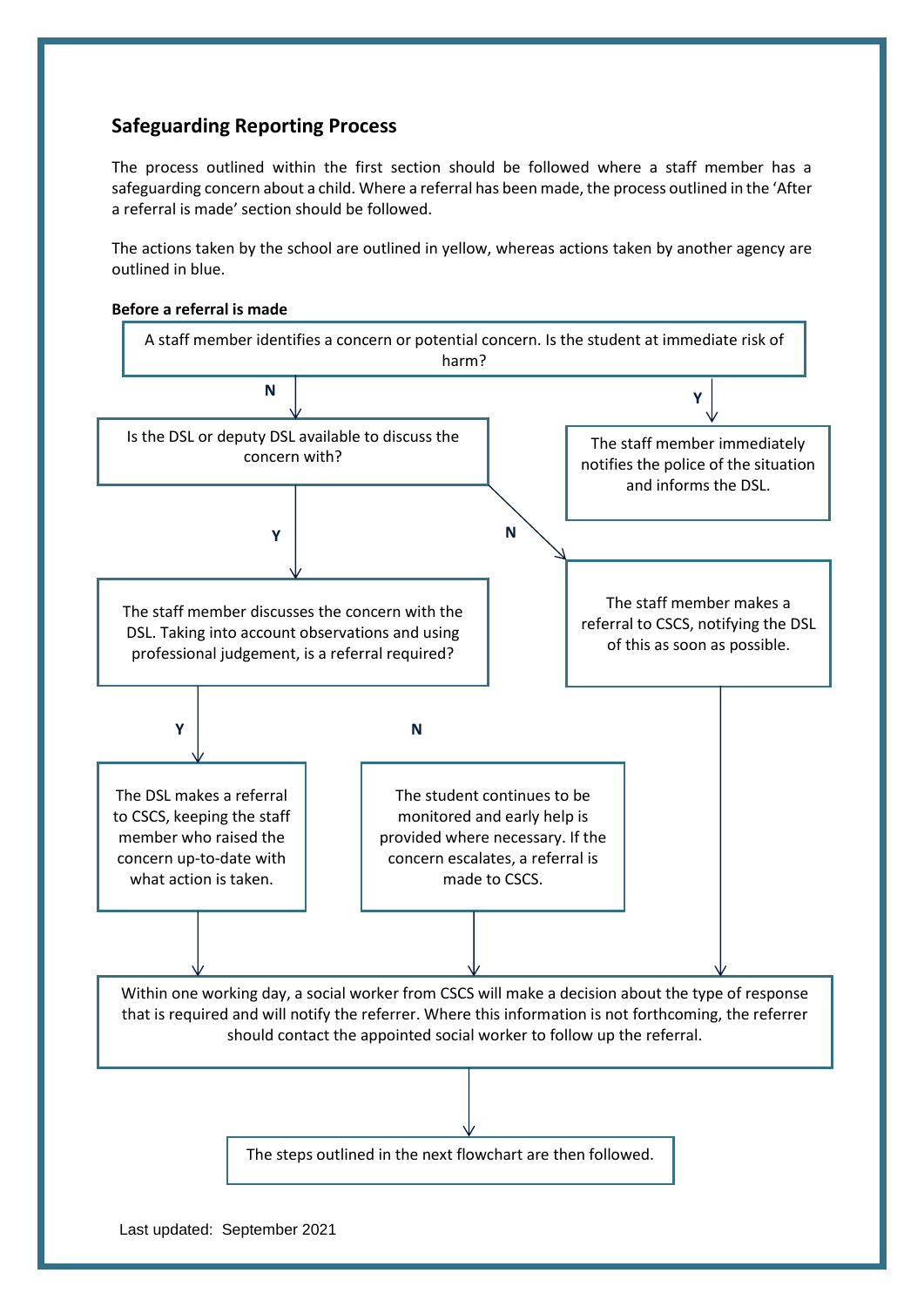## <span id="page-49-0"></span>**Safeguarding Reporting Process**

The process outlined within the first section should be followed where a staff member has a safeguarding concern about a child. Where a referral has been made, the process outlined in the 'After a referral is made' section should be followed.

The actions taken by the school are outlined in yellow, whereas actions taken by another agency are outlined in blue.